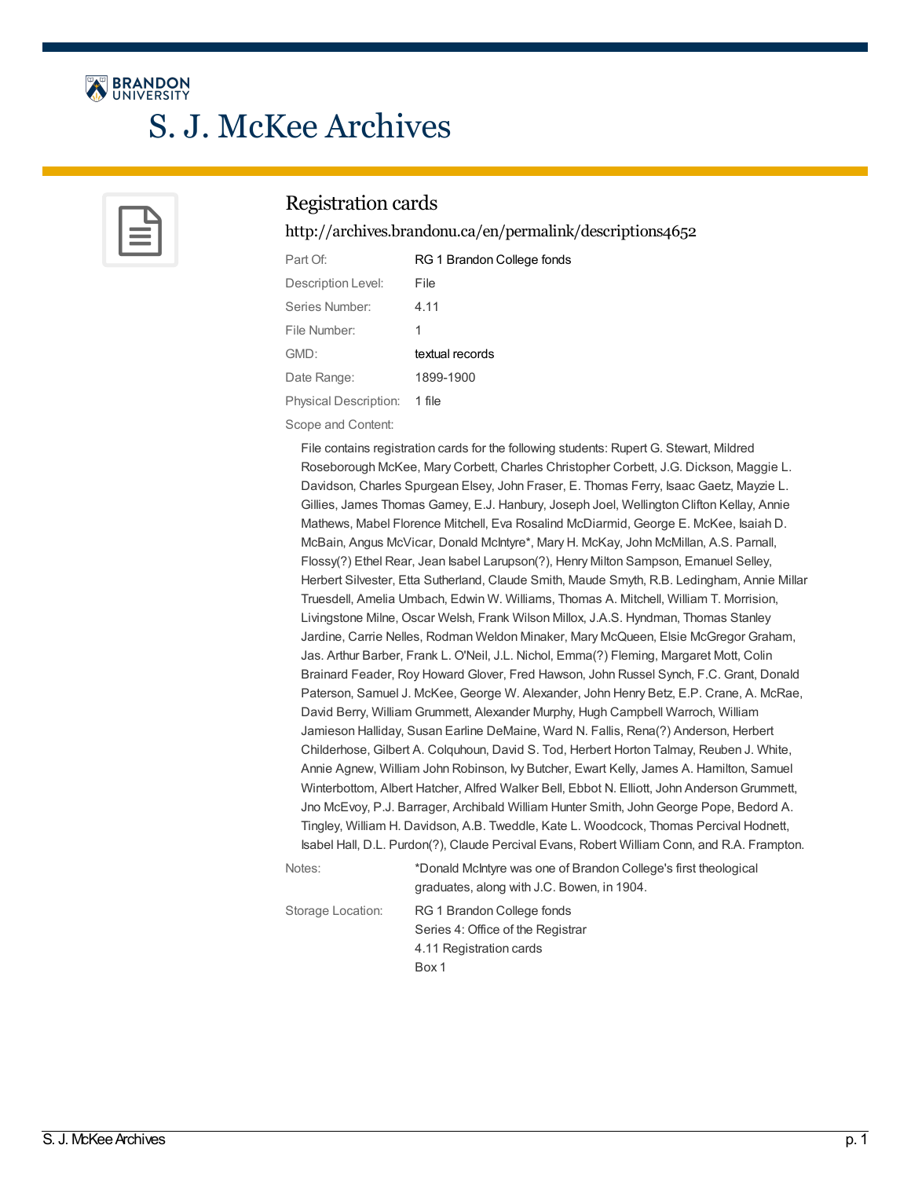

# S. J. McKee Archives



#### Registration cards

<http://archives.brandonu.ca/en/permalink/descriptions4652>

| Part Of:              | RG 1 Brandon College fonds |
|-----------------------|----------------------------|
| Description Level:    | File                       |
| Series Number:        | 4.11                       |
| File Number:          | 1                          |
| GMD:                  | textual records            |
| Date Range:           | 1899-1900                  |
| Physical Description: | 1 file                     |

Scope and Content:

File contains registration cards for the following students: Rupert G. Stewart, Mildred Roseborough McKee, Mary Corbett, Charles Christopher Corbett, J.G. Dickson, Maggie L. Davidson, Charles Spurgean Elsey, John Fraser, E. Thomas Ferry, Isaac Gaetz, Mayzie L. Gillies, James Thomas Gamey, E.J. Hanbury, Joseph Joel, Wellington Clifton Kellay, Annie Mathews, Mabel Florence Mitchell, Eva Rosalind McDiarmid, George E. McKee, Isaiah D. McBain, Angus McVicar, Donald McIntyre\*, Mary H. McKay, John McMillan, A.S. Parnall, Flossy(?) Ethel Rear, Jean Isabel Larupson(?), Henry Milton Sampson, Emanuel Selley, Herbert Silvester, Etta Sutherland, Claude Smith, Maude Smyth, R.B. Ledingham, Annie Millar Truesdell, Amelia Umbach, Edwin W. Williams, Thomas A. Mitchell, William T. Morrision, Livingstone Milne, Oscar Welsh, Frank Wilson Millox, J.A.S. Hyndman, Thomas Stanley Jardine, Carrie Nelles, Rodman Weldon Minaker, Mary McQueen, Elsie McGregor Graham, Jas. Arthur Barber, Frank L. O'Neil, J.L. Nichol, Emma(?) Fleming, Margaret Mott, Colin Brainard Feader, Roy Howard Glover, Fred Hawson, John Russel Synch, F.C. Grant, Donald Paterson, Samuel J. McKee, George W. Alexander, John Henry Betz, E.P. Crane, A. McRae, David Berry, William Grummett, Alexander Murphy, Hugh Campbell Warroch, William Jamieson Halliday, Susan Earline DeMaine, Ward N. Fallis, Rena(?) Anderson, Herbert Childerhose, Gilbert A. Colquhoun, David S. Tod, Herbert Horton Talmay, Reuben J. White, Annie Agnew, William John Robinson, My Butcher, Ewart Kelly, James A. Hamilton, Samuel Winterbottom, Albert Hatcher, Alfred Walker Bell, Ebbot N. Elliott, John AndersonGrummett, Jno McEvoy, P.J. Barrager, Archibald William Hunter Smith, JohnGeorge Pope, Bedord A. Tingley, William H. Davidson, A.B. Tweddle, Kate L. Woodcock, Thomas Percival Hodnett, Isabel Hall, D.L. Purdon(?), Claude Percival Evans, Robert William Conn, and R.A. Frampton.

Notes: \*Donald McIntyre was one of Brandon College's first theological graduates, along with J.C. Bowen, in 1904. Storage Location: RG 1 Brandon College fonds Series 4: Office of the Registrar 4.11 Registration cards Box 1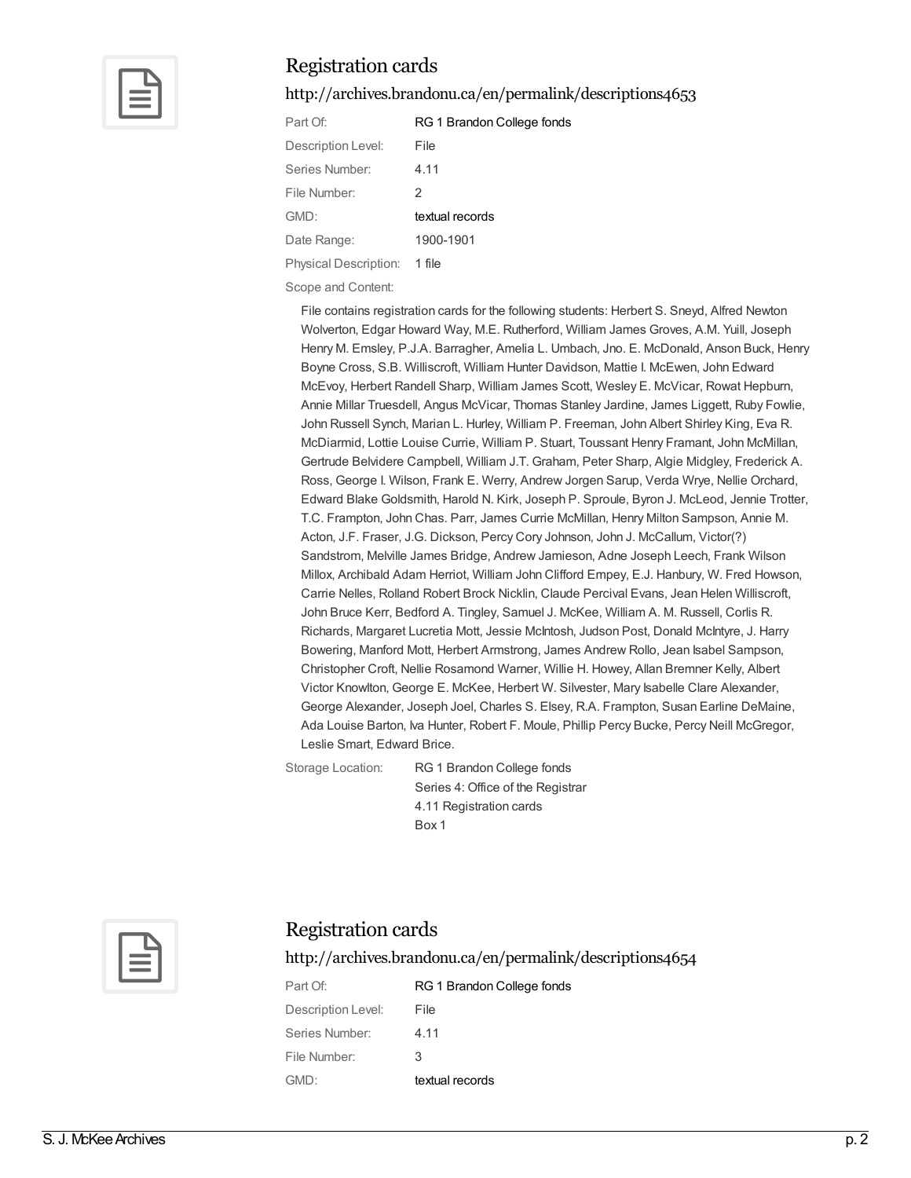

<http://archives.brandonu.ca/en/permalink/descriptions4653>

| Part Of:              | RG 1 Brandon College fonds |
|-----------------------|----------------------------|
| Description Level:    | File                       |
| Series Number:        | 4.11                       |
| File Number:          | 2                          |
| GMD:                  | textual records            |
| Date Range:           | 1900-1901                  |
| Physical Description: | 1 file                     |

Scope and Content:

File contains registration cards for the following students: Herbert S. Sneyd, Alfred Newton Wolverton, Edgar Howard Way, M.E. Rutherford, William James Groves, A.M. Yuill, Joseph Henry M. Emsley, P.J.A. Barragher, Amelia L. Umbach, Jno. E. McDonald, Anson Buck, Henry Boyne Cross, S.B. Williscroft, William Hunter Davidson, Mattie I. McEwen, John Edward McEvoy, Herbert Randell Sharp, William James Scott, Wesley E. McVicar, Rowat Hepburn, Annie Millar Truesdell, Angus McVicar, Thomas Stanley Jardine, James Liggett, Ruby Fowlie, John Russell Synch, Marian L. Hurley, William P. Freeman, John Albert Shirley King, Eva R. McDiarmid, Lottie Louise Currie, William P. Stuart, Toussant Henry Framant, John McMillan, Gertrude Belvidere Campbell, William J.T. Graham, Peter Sharp, Algie Midgley, Frederick A. Ross, George I. Wilson, Frank E. Werry, Andrew Jorgen Sarup, Verda Wrye, Nellie Orchard, Edward Blake Goldsmith, Harold N. Kirk, Joseph P. Sproule, Byron J. McLeod, Jennie Trotter, T.C. Frampton, John Chas. Parr, James Currie McMillan, Henry Milton Sampson, Annie M. Acton, J.F. Fraser, J.G. Dickson, Percy Cory Johnson, John J. McCallum, Victor(?) Sandstrom, Melville James Bridge, Andrew Jamieson, Adne Joseph Leech, Frank Wilson Millox, Archibald Adam Herriot, William John Clifford Empey, E.J. Hanbury, W. Fred Howson, Carrie Nelles, Rolland Robert Brock Nicklin, Claude Percival Evans, Jean Helen Williscroft, John Bruce Kerr, Bedford A. Tingley, Samuel J. McKee, William A. M. Russell, Corlis R. Richards, Margaret Lucretia Mott, Jessie McIntosh, Judson Post, Donald McIntyre, J. Harry Bowering, Manford Mott, Herbert Armstrong, James Andrew Rollo, Jean Isabel Sampson, Christopher Croft, Nellie Rosamond Warner, Willie H. Howey, Allan Bremner Kelly, Albert Victor Knowlton, George E. McKee, Herbert W. Silvester, Mary Isabelle Clare Alexander, George Alexander, Joseph Joel, Charles S. Elsey, R.A. Frampton, Susan Earline DeMaine, Ada Louise Barton, Iva Hunter, Robert F. Moule, Phillip Percy Bucke, Percy Neill McGregor, Leslie Smart, Edward Brice.

Storage Location: RG 1 Brandon College fonds Series 4: Office of the Registrar 4.11 Registration cards Box 1



#### Registration cards

<http://archives.brandonu.ca/en/permalink/descriptions4654>

| Part Of:           | RG 1 Brandon College fonds |
|--------------------|----------------------------|
| Description Level: | File                       |
| Series Number:     | 4.11                       |
| File Number:       | 3                          |
| GMD:               | textual records            |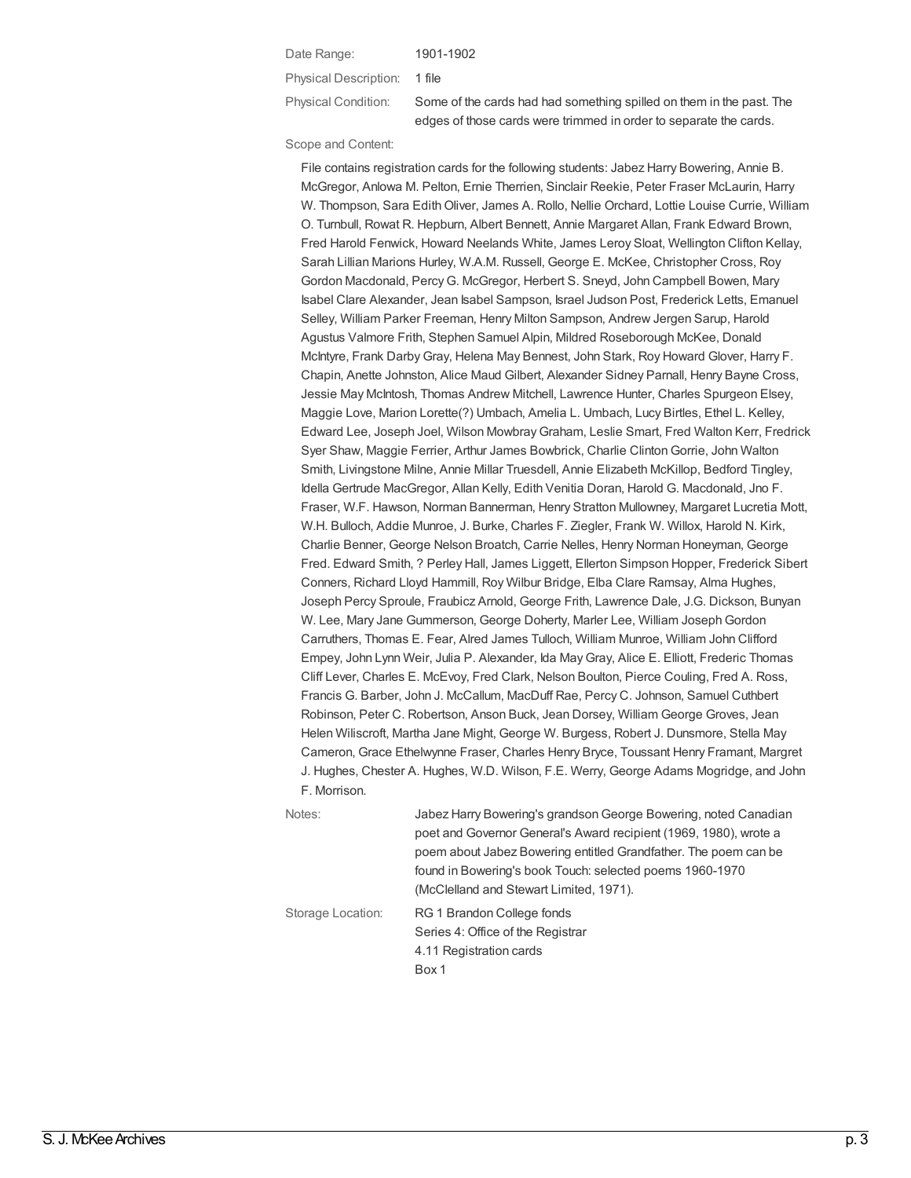#### Date Range: 1901-1902

Physical Description: 1 file

Physical Condition: Some of the cards had had something spilled on them in the past. The edges of those cards were trimmed in order to separate the cards.

#### Scope and Content:

File contains registration cards for the following students: Jabez Harry Bowering, Annie B. McGregor, Anlowa M. Pelton, Ernie Therrien, Sinclair Reekie, Peter Fraser McLaurin, Harry W. Thompson, Sara EdithOliver, James A. Rollo, Nellie Orchard, Lottie Louise Currie, William O. Turnbull, Rowat R. Hepburn, Albert Bennett, Annie Margaret Allan, Frank Edward Brown, Fred Harold Fenwick, Howard Neelands White, James Leroy Sloat, Wellington Clifton Kellay, Sarah Lillian Marions Hurley, W.A.M. Russell, George E. McKee, Christopher Cross, Roy Gordon Macdonald, PercyG. McGregor, Herbert S. Sneyd, John Campbell Bowen, Mary Isabel Clare Alexander, Jean Isabel Sampson, Israel Judson Post, Frederick Letts, Emanuel Selley, William Parker Freeman, Henry Milton Sampson, Andrew Jergen Sarup, Harold Agustus Valmore Frith, Stephen Samuel Alpin, Mildred Roseborough McKee, Donald McIntyre, Frank DarbyGray, Helena May Bennest, John Stark, Roy Howard Glover, Harry F. Chapin, Anette Johnston, Alice Maud Gilbert, Alexander Sidney Parnall, Henry Bayne Cross, Jessie May McIntosh, Thomas Andrew Mitchell, Lawrence Hunter, Charles Spurgeon Elsey, Maggie Love, Marion Lorette(?) Umbach, Amelia L. Umbach, Lucy Birtles, Ethel L. Kelley, Edward Lee, Joseph Joel, Wilson MowbrayGraham, Leslie Smart, Fred Walton Kerr, Fredrick Syer Shaw, Maggie Ferrier, Arthur James Bowbrick, Charlie ClintonGorrie, John Walton Smith, Livingstone Milne, Annie Millar Truesdell, Annie Elizabeth McKillop, Bedford Tingley, Idella Gertrude MacGregor, Allan Kelly, Edith Venitia Doran, Harold G. Macdonald, Jno F. Fraser, W.F. Hawson, Norman Bannerman, Henry Stratton Mullowney, Margaret Lucretia Mott, W.H. Bulloch, Addie Munroe, J. Burke, Charles F. Ziegler, Frank W. Willox, Harold N. Kirk, Charlie Benner, George Nelson Broatch, Carrie Nelles, Henry Norman Honeyman, George Fred. Edward Smith, ? Perley Hall, James Liggett, Ellerton Simpson Hopper, Frederick Sibert Conners, Richard Lloyd Hammill, Roy Wilbur Bridge, Elba Clare Ramsay, Alma Hughes, Joseph Percy Sproule, Fraubicz Arnold, George Frith, Lawrence Dale, J.G. Dickson, Bunyan W. Lee, Mary Jane Gummerson, George Doherty, Marler Lee, William Joseph Gordon Carruthers, Thomas E. Fear, Alred James Tulloch, William Munroe, William John Clifford Empey, John Lynn Weir, Julia P. Alexander, Ida MayGray, Alice E. Elliott, Frederic Thomas Cliff Lever, Charles E. McEvoy, Fred Clark, Nelson Boulton, Pierce Couling, Fred A. Ross, Francis G. Barber, John J. McCallum, MacDuff Rae, Percy C. Johnson, Samuel Cuthbert Robinson, Peter C. Robertson, Anson Buck, Jean Dorsey, William George Groves, Jean Helen Wiliscroft, Martha Jane Might, George W. Burgess, Robert J. Dunsmore, Stella May Cameron, Grace Ethelwynne Fraser, Charles Henry Bryce, Toussant Henry Framant, Margret J. Hughes, Chester A. Hughes, W.D. Wilson, F.E. Werry, George Adams Mogridge, and John F. Morrison.

| Notes:            | Jabez Harry Bowering's grandson George Bowering, noted Canadian   |
|-------------------|-------------------------------------------------------------------|
|                   | poet and Governor General's Award recipient (1969, 1980), wrote a |
|                   | poem about Jabez Bowering entitled Grandfather. The poem can be   |
|                   | found in Bowering's book Touch: selected poems 1960-1970          |
|                   | (McClelland and Stewart Limited, 1971).                           |
| Storage Location: | RG 1 Brandon College fonds                                        |
|                   | Series 4: Office of the Registrar                                 |
|                   | 4.11 Registration cards                                           |
|                   | Box 1                                                             |
|                   |                                                                   |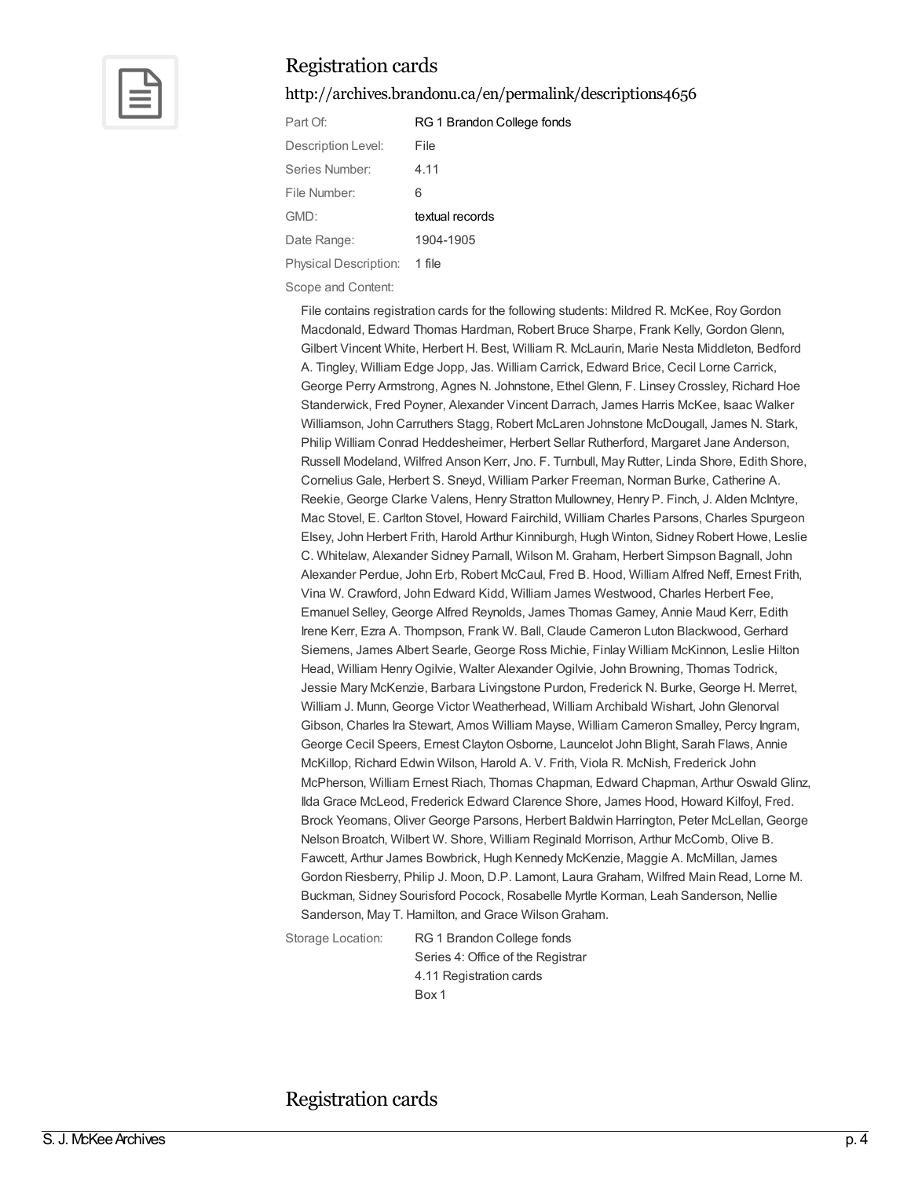

<http://archives.brandonu.ca/en/permalink/descriptions4656>

| Part Of:              | RG 1 Brandon College fonds |
|-----------------------|----------------------------|
| Description Level:    | File                       |
| Series Number:        | 4.11                       |
| File Number:          | 6                          |
| GMD:                  | textual records            |
| Date Range:           | 1904-1905                  |
| Physical Description: | 1 file                     |

Scope and Content:

File contains registration cards for the following students: Mildred R. McKee, RoyGordon Macdonald, Edward Thomas Hardman, Robert Bruce Sharpe, Frank Kelly, GordonGlenn, Gilbert Vincent White, Herbert H. Best, William R. McLaurin, Marie Nesta Middleton, Bedford A. Tingley, William Edge Jopp, Jas. William Carrick, Edward Brice, Cecil Lorne Carrick, George Perry Armstrong, Agnes N. Johnstone, Ethel Glenn, F. Linsey Crossley, Richard Hoe Standerwick, Fred Poyner, Alexander Vincent Darrach, James Harris McKee, Isaac Walker Williamson, John Carruthers Stagg, Robert McLaren Johnstone McDougall, James N. Stark, Philip William Conrad Heddesheimer, Herbert Sellar Rutherford, Margaret Jane Anderson, Russell Modeland, Wilfred Anson Kerr, Jno. F. Turnbull, May Rutter, Linda Shore, Edith Shore, Cornelius Gale, Herbert S. Sneyd, William Parker Freeman, Norman Burke, Catherine A. Reekie, George Clarke Valens, Henry Stratton Mullowney, Henry P. Finch, J. Alden McIntyre, Mac Stovel, E. Carlton Stovel, Howard Fairchild, William Charles Parsons, Charles Spurgeon Elsey, John Herbert Frith, Harold Arthur Kinniburgh, Hugh Winton, Sidney Robert Howe, Leslie C. Whitelaw, Alexander Sidney Parnall, Wilson M. Graham, Herbert Simpson Bagnall, John Alexander Perdue, John Erb, Robert McCaul, Fred B. Hood, William Alfred Neff, Ernest Frith, Vina W. Crawford, John Edward Kidd, William James Westwood, Charles Herbert Fee, Emanuel Selley, George Alfred Reynolds, James Thomas Gamey, Annie Maud Kerr, Edith Irene Kerr, Ezra A. Thompson, Frank W. Ball, Claude Cameron Luton Blackwood, Gerhard Siemens, James Albert Searle, George Ross Michie, Finlay William McKinnon, Leslie Hilton Head, William Henry Ogilvie, Walter Alexander Ogilvie, John Browning, Thomas Todrick, Jessie Mary McKenzie, Barbara Livingstone Purdon, Frederick N. Burke, George H. Merret, William J. Munn, George Victor Weatherhead, William Archibald Wishart, JohnGlenorval Gibson, Charles Ira Stewart, Amos William Mayse, William Cameron Smalley, Percy Ingram, George Cecil Speers, Ernest Clayton Osborne, Launcelot John Blight, Sarah Flaws, Annie McKillop, Richard Edwin Wilson, Harold A. V. Frith, Viola R. McNish, Frederick John McPherson, William Ernest Riach, Thomas Chapman, Edward Chapman, Arthur Oswald Glinz, Ilda Grace McLeod, Frederick Edward Clarence Shore, James Hood, Howard Kilfoyl, Fred. Brock Yeomans, Oliver George Parsons, Herbert Baldwin Harrington, Peter McLellan, George Nelson Broatch, Wilbert W. Shore, William Reginald Morrison, Arthur McComb, Olive B. Fawcett, Arthur James Bowbrick, Hugh Kennedy McKenzie, Maggie A. McMillan, James Gordon Riesberry, Philip J. Moon, D.P. Lamont, Laura Graham, Wilfred Main Read, Lorne M. Buckman, Sidney Sourisford Pocock, Rosabelle Myrtle Korman, Leah Sanderson, Nellie Sanderson, May T. Hamilton, and Grace Wilson Graham.

Storage Location: RG 1 Brandon College fonds Series 4: Office of the Registrar 4.11 Registration cards Box 1

#### Registration cards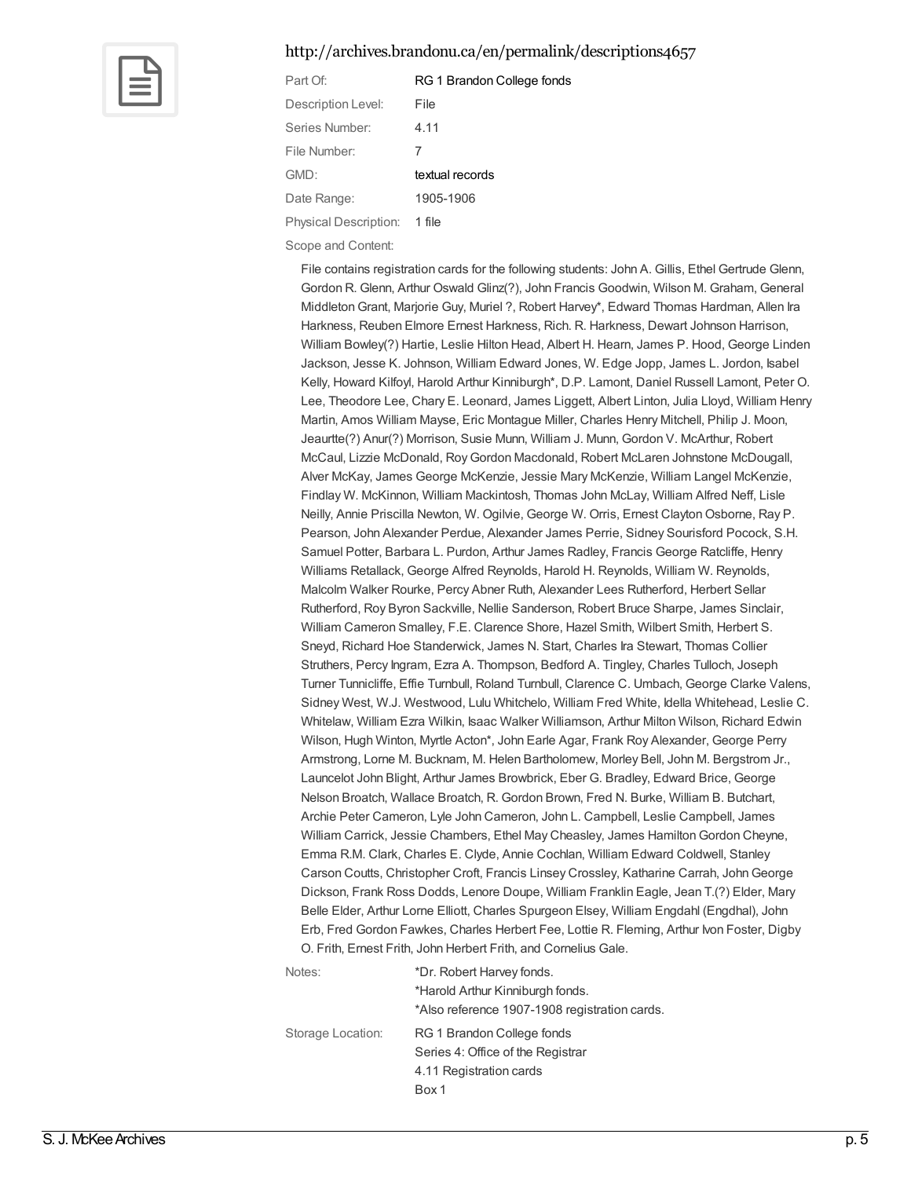#### <http://archives.brandonu.ca/en/permalink/descriptions4657>



| RG 1 Brandon College fonds |
|----------------------------|
| File                       |
| 4.11                       |
| 7                          |
| textual records            |
| 1905-1906                  |
| 1 file                     |
|                            |

Scope and Content:

File contains registration cards for the following students: John A. Gillis, Ethel Gertrude Glenn, Gordon R. Glenn, Arthur Oswald Glinz(?), John Francis Goodwin, Wilson M. Graham, General MiddletonGrant, Marjorie Guy, Muriel ?, Robert Harvey\*, Edward Thomas Hardman, Allen Ira Harkness, Reuben Elmore Ernest Harkness, Rich. R. Harkness, Dewart Johnson Harrison, William Bowley(?) Hartie, Leslie Hilton Head, Albert H. Hearn, James P. Hood, George Linden Jackson, Jesse K. Johnson, William Edward Jones, W. Edge Jopp, James L. Jordon, Isabel Kelly, Howard Kilfoyl, Harold Arthur Kinniburgh\*, D.P. Lamont, Daniel Russell Lamont, Peter O. Lee, Theodore Lee, Chary E. Leonard, James Liggett, Albert Linton, Julia Lloyd, William Henry Martin, Amos William Mayse, Eric Montague Miller, Charles Henry Mitchell, Philip J. Moon, Jeaurtte(?) Anur(?) Morrison, Susie Munn, William J. Munn, Gordon V. McArthur, Robert McCaul, Lizzie McDonald, RoyGordon Macdonald, Robert McLaren Johnstone McDougall, Alver McKay, James George McKenzie, Jessie Mary McKenzie, William Langel McKenzie, Findlay W. McKinnon, William Mackintosh, Thomas John McLay, William Alfred Neff, Lisle Neilly, Annie Priscilla Newton, W. Ogilvie, George W. Orris, Ernest Clayton Osborne, Ray P. Pearson, John Alexander Perdue, Alexander James Perrie, Sidney Sourisford Pocock, S.H. Samuel Potter, Barbara L. Purdon, Arthur James Radley, Francis George Ratcliffe, Henry Williams Retallack, George Alfred Reynolds, Harold H. Reynolds, William W. Reynolds, Malcolm Walker Rourke, Percy Abner Ruth, Alexander Lees Rutherford, Herbert Sellar Rutherford, Roy Byron Sackville, Nellie Sanderson, Robert Bruce Sharpe, James Sinclair, William Cameron Smalley, F.E. Clarence Shore, Hazel Smith, Wilbert Smith, Herbert S. Sneyd, Richard Hoe Standerwick, James N. Start, Charles Ira Stewart, Thomas Collier Struthers, Percy Ingram, Ezra A. Thompson, Bedford A. Tingley, Charles Tulloch, Joseph Turner Tunnicliffe, Effie Turnbull, Roland Turnbull, Clarence C. Umbach, George Clarke Valens, Sidney West, W.J. Westwood, Lulu Whitchelo, William Fred White, Idella Whitehead, Leslie C. Whitelaw, William Ezra Wilkin, Isaac Walker Williamson, Arthur Milton Wilson, Richard Edwin Wilson, Hugh Winton, Myrtle Acton\*, John Earle Agar, Frank Roy Alexander, George Perry Armstrong, Lorne M. Bucknam, M. Helen Bartholomew, Morley Bell, John M. Bergstrom Jr., Launcelot John Blight, Arthur James Browbrick, Eber G. Bradley, Edward Brice, George Nelson Broatch, Wallace Broatch, R. Gordon Brown, Fred N. Burke, William B. Butchart, Archie Peter Cameron, Lyle John Cameron, John L. Campbell, Leslie Campbell, James William Carrick, Jessie Chambers, Ethel May Cheasley, James HamiltonGordon Cheyne, Emma R.M. Clark, Charles E. Clyde, Annie Cochlan, William Edward Coldwell, Stanley Carson Coutts, Christopher Croft, Francis Linsey Crossley, Katharine Carrah, JohnGeorge Dickson, Frank Ross Dodds, Lenore Doupe, William Franklin Eagle, Jean T.(?) Elder, Mary Belle Elder, Arthur Lorne Elliott, Charles Spurgeon Elsey, William Engdahl (Engdhal), John Erb, Fred Gordon Fawkes, Charles Herbert Fee, Lottie R. Fleming, Arthur Ivon Foster, Digby O. Frith, Ernest Frith, John Herbert Frith, and Cornelius Gale.

| Notes:            | *Dr. Robert Harvey fonds.<br>*Harold Arthur Kinniburgh fonds.<br>*Also reference 1907-1908 registration cards. |
|-------------------|----------------------------------------------------------------------------------------------------------------|
| Storage Location: | RG 1 Brandon College fonds<br>Series 4: Office of the Registrar<br>4.11 Registration cards<br>Box 1            |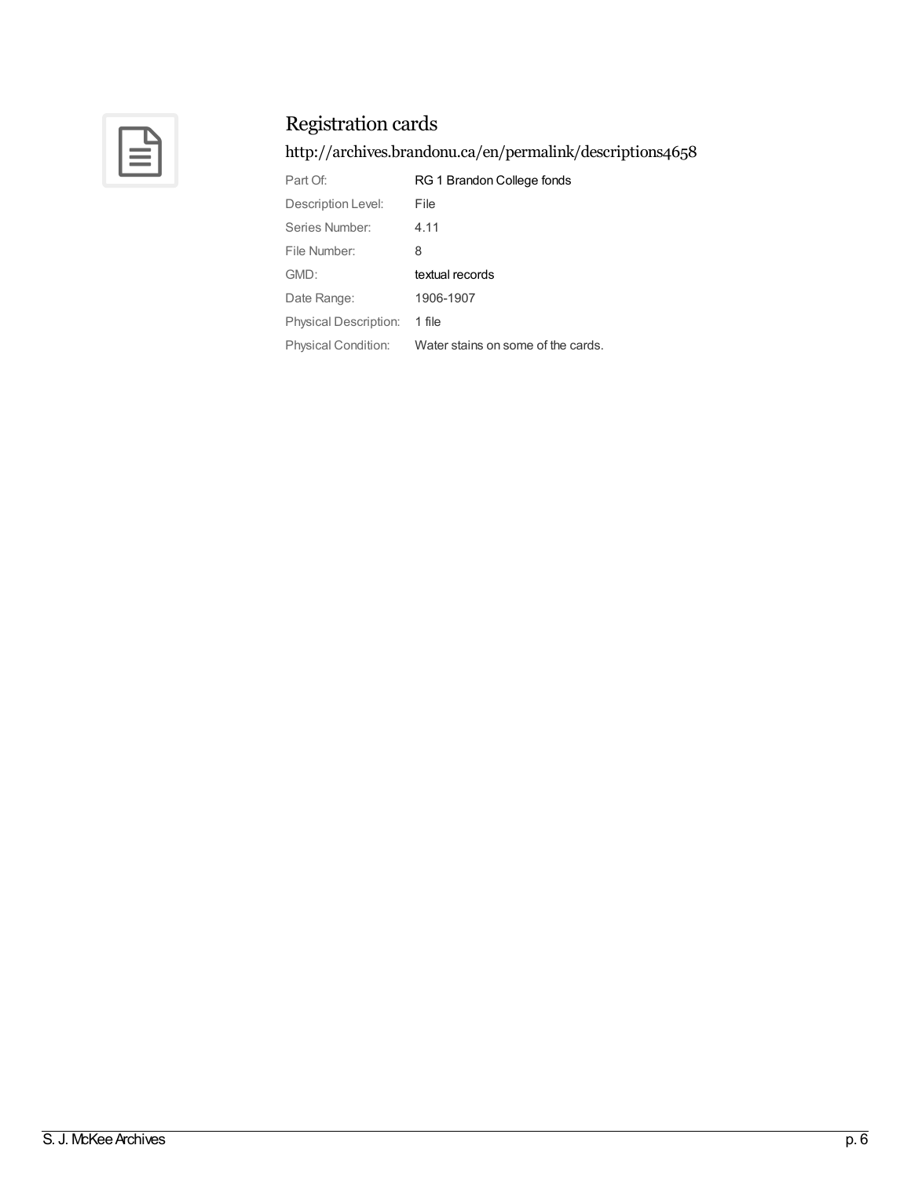

<http://archives.brandonu.ca/en/permalink/descriptions4658>

| Part Of:                   | RG 1 Brandon College fonds         |
|----------------------------|------------------------------------|
| Description Level:         | File                               |
| Series Number:             | 4.11                               |
| File Number:               | 8                                  |
| GMD:                       | textual records                    |
| Date Range:                | 1906-1907                          |
| Physical Description:      | 1 file                             |
| <b>Physical Condition:</b> | Water stains on some of the cards. |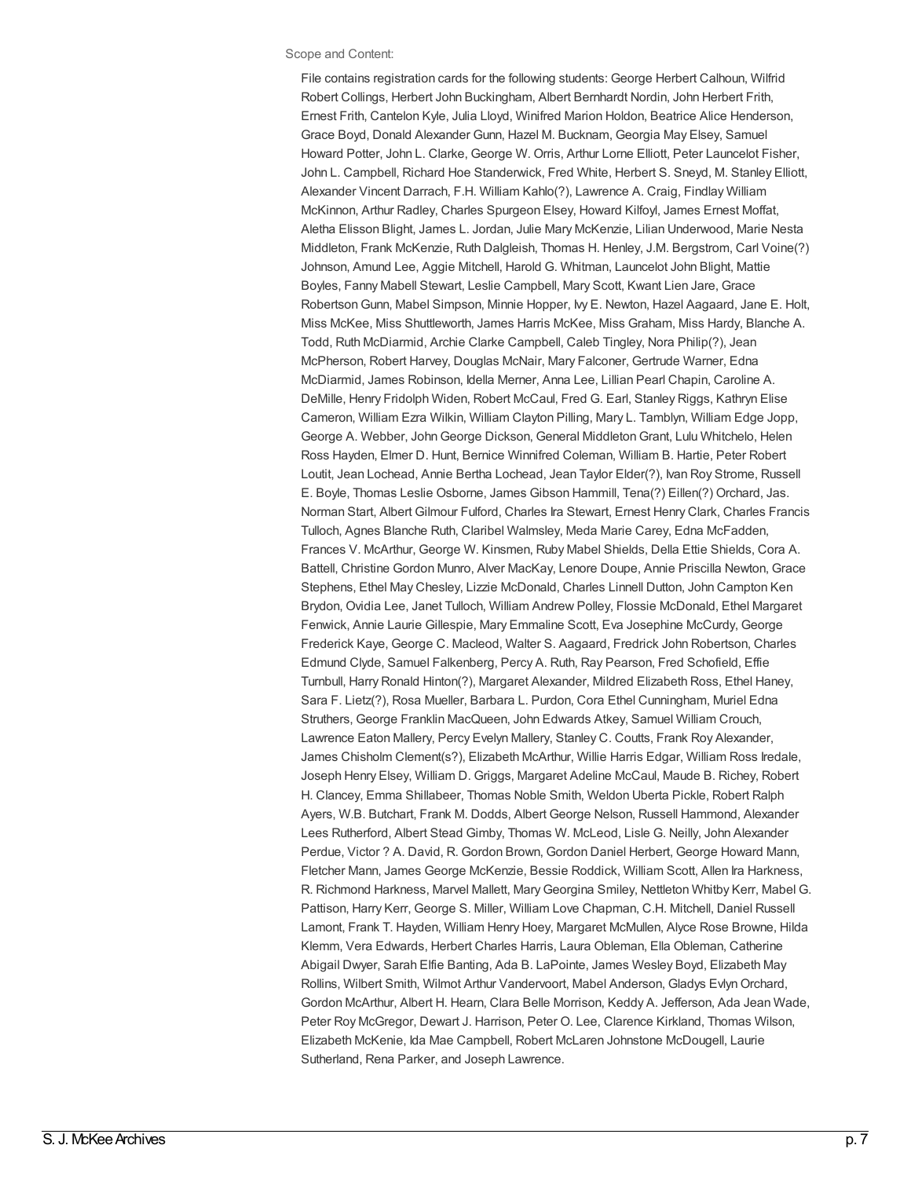#### Scope and Content:

File contains registration cards for the following students: George Herbert Calhoun, Wilfrid Robert Collings, Herbert John Buckingham, Albert Bernhardt Nordin, John Herbert Frith, Ernest Frith, Cantelon Kyle, Julia Lloyd, Winifred Marion Holdon, Beatrice Alice Henderson, Grace Boyd, Donald Alexander Gunn, Hazel M. Bucknam, Georgia May Elsey, Samuel Howard Potter, John L. Clarke, George W. Orris, Arthur Lorne Elliott, Peter Launcelot Fisher, John L. Campbell, Richard Hoe Standerwick, Fred White, Herbert S. Sneyd, M. Stanley Elliott, Alexander Vincent Darrach, F.H. William Kahlo(?), Lawrence A. Craig, Findlay William McKinnon, Arthur Radley, Charles Spurgeon Elsey, Howard Kilfoyl, James Ernest Moffat, Aletha Elisson Blight, James L. Jordan, Julie Mary McKenzie, Lilian Underwood, Marie Nesta Middleton, Frank McKenzie, Ruth Dalgleish, Thomas H. Henley, J.M. Bergstrom, Carl Voine(?) Johnson, Amund Lee, Aggie Mitchell, Harold G. Whitman, Launcelot John Blight, Mattie Boyles, Fanny Mabell Stewart, Leslie Campbell, Mary Scott, Kwant Lien Jare, Grace RobertsonGunn, Mabel Simpson, Minnie Hopper, Ivy E. Newton, Hazel Aagaard, Jane E. Holt, Miss McKee, Miss Shuttleworth, James Harris McKee, Miss Graham, Miss Hardy, Blanche A. Todd, Ruth McDiarmid, Archie Clarke Campbell, Caleb Tingley, Nora Philip(?), Jean McPherson, Robert Harvey, Douglas McNair, Mary Falconer, Gertrude Warner, Edna McDiarmid, James Robinson, Idella Merner, Anna Lee, Lillian Pearl Chapin, Caroline A. DeMille, Henry Fridolph Widen, Robert McCaul, Fred G. Earl, Stanley Riggs, Kathryn Elise Cameron, William Ezra Wilkin, William Clayton Pilling, Mary L. Tamblyn, William Edge Jopp, George A. Webber, JohnGeorge Dickson, General MiddletonGrant, Lulu Whitchelo, Helen Ross Hayden, Elmer D. Hunt, Bernice Winnifred Coleman, William B. Hartie, Peter Robert Loutit, Jean Lochead, Annie Bertha Lochead, Jean Taylor Elder(?), Ivan Roy Strome, Russell E. Boyle, Thomas Leslie Osborne, James Gibson Hammill, Tena(?) Eillen(?) Orchard, Jas. Norman Start, Albert Gilmour Fulford, Charles Ira Stewart, Ernest Henry Clark, Charles Francis Tulloch, Agnes Blanche Ruth, Claribel Walmsley, Meda Marie Carey, Edna McFadden, Frances V. McArthur, George W. Kinsmen, Ruby Mabel Shields, Della Ettie Shields, Cora A. Battell, Christine Gordon Munro, Alver MacKay, Lenore Doupe, Annie Priscilla Newton, Grace Stephens, Ethel May Chesley, Lizzie McDonald, Charles Linnell Dutton, John Campton Ken Brydon, Ovidia Lee, Janet Tulloch, William Andrew Polley, Flossie McDonald, Ethel Margaret Fenwick, Annie Laurie Gillespie, Mary Emmaline Scott, Eva Josephine McCurdy, George Frederick Kaye, George C. Macleod, Walter S. Aagaard, Fredrick John Robertson, Charles Edmund Clyde, Samuel Falkenberg, Percy A. Ruth, Ray Pearson, Fred Schofield, Effie Turnbull, Harry Ronald Hinton(?), Margaret Alexander, Mildred Elizabeth Ross, Ethel Haney, Sara F. Lietz(?), Rosa Mueller, Barbara L. Purdon, Cora Ethel Cunningham, Muriel Edna Struthers, George Franklin MacQueen, John Edwards Atkey, Samuel William Crouch, Lawrence Eaton Mallery, Percy Evelyn Mallery, Stanley C. Coutts, Frank Roy Alexander, James Chisholm Clement(s?), Elizabeth McArthur, Willie Harris Edgar, William Ross Iredale, Joseph Henry Elsey, William D. Griggs, Margaret Adeline McCaul, Maude B. Richey, Robert H. Clancey, Emma Shillabeer, Thomas Noble Smith, Weldon Uberta Pickle, Robert Ralph Ayers, W.B. Butchart, Frank M. Dodds, Albert George Nelson, Russell Hammond, Alexander Lees Rutherford, Albert Stead Gimby, Thomas W. McLeod, Lisle G. Neilly, John Alexander Perdue, Victor ? A. David, R. Gordon Brown, Gordon Daniel Herbert, George Howard Mann, Fletcher Mann, James George McKenzie, Bessie Roddick, William Scott, Allen Ira Harkness, R. Richmond Harkness, Marvel Mallett, MaryGeorgina Smiley, Nettleton Whitby Kerr, Mabel G. Pattison, Harry Kerr, George S. Miller, William Love Chapman, C.H. Mitchell, Daniel Russell Lamont, Frank T. Hayden, William Henry Hoey, Margaret McMullen, Alyce Rose Browne, Hilda Klemm, Vera Edwards, Herbert Charles Harris, Laura Obleman, Ella Obleman, Catherine Abigail Dwyer, Sarah Elfie Banting, Ada B. LaPointe, James Wesley Boyd, Elizabeth May Rollins, Wilbert Smith, Wilmot Arthur Vandervoort, Mabel Anderson, Gladys EvlynOrchard, Gordon McArthur, Albert H. Hearn, Clara Belle Morrison, Keddy A. Jefferson, Ada Jean Wade, Peter Roy McGregor, Dewart J. Harrison, Peter O. Lee, Clarence Kirkland, Thomas Wilson, Elizabeth McKenie, Ida Mae Campbell, Robert McLaren Johnstone McDougell, Laurie Sutherland, Rena Parker, and Joseph Lawrence.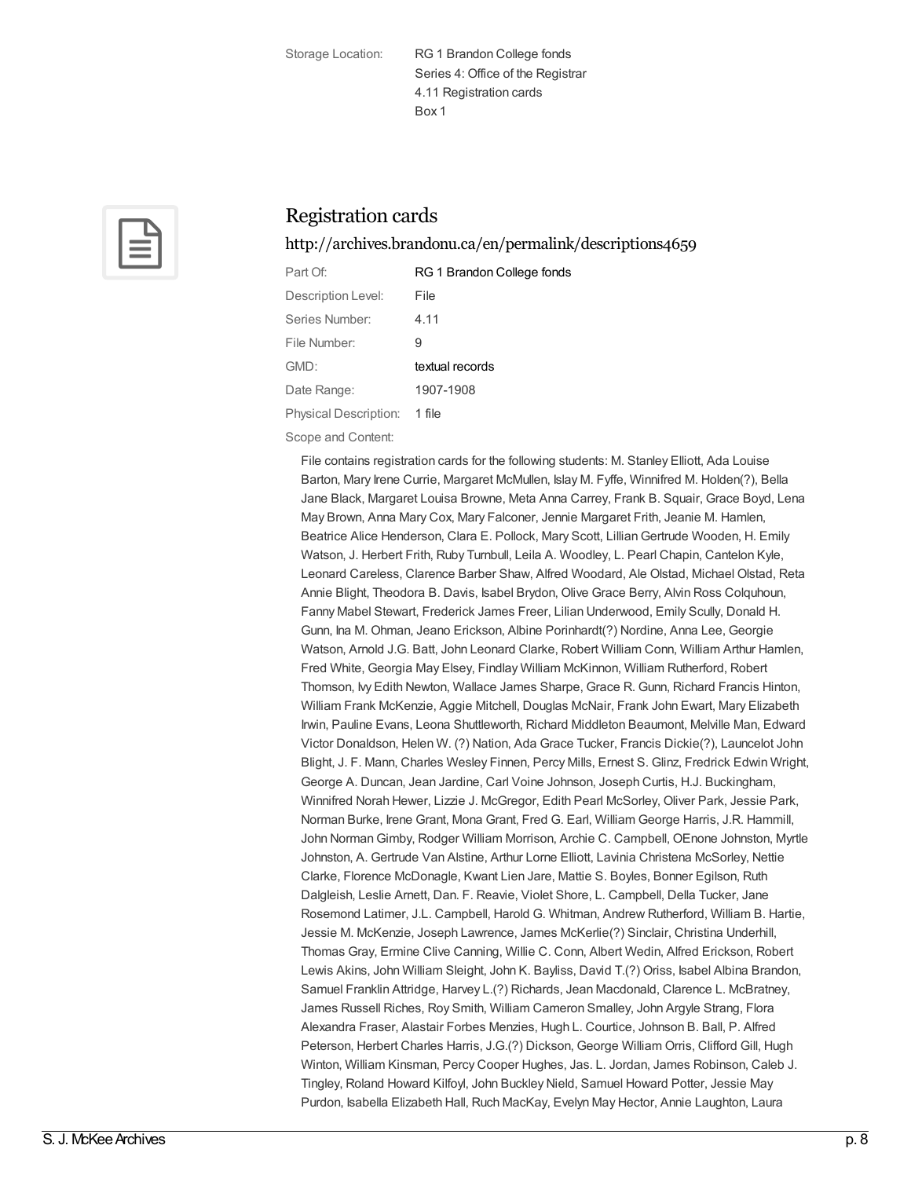Storage Location: RG 1 Brandon College fonds Series 4: Office of the Registrar 4.11 Registration cards Box 1



## Registration cards

<http://archives.brandonu.ca/en/permalink/descriptions4659>

| Part Of:              | RG 1 Brandon College fonds |
|-----------------------|----------------------------|
| Description Level:    | File                       |
| Series Number:        | 4.11                       |
| File Number:          | 9                          |
| GMD:                  | textual records            |
| Date Range:           | 1907-1908                  |
| Physical Description: | 1 file                     |

Scope and Content:

File contains registration cards for the following students: M. Stanley Elliott, Ada Louise Barton, Mary Irene Currie, Margaret McMullen, Islay M. Fyffe, Winnifred M. Holden(?), Bella Jane Black, Margaret Louisa Browne, Meta Anna Carrey, Frank B. Squair, Grace Boyd, Lena May Brown, Anna Mary Cox, Mary Falconer, Jennie Margaret Frith, Jeanie M. Hamlen, Beatrice Alice Henderson, Clara E. Pollock, Mary Scott, LillianGertrude Wooden, H. Emily Watson, J. Herbert Frith, Ruby Turnbull, Leila A. Woodley, L. Pearl Chapin, Cantelon Kyle, Leonard Careless, Clarence Barber Shaw, Alfred Woodard, Ale Olstad, Michael Olstad, Reta Annie Blight, Theodora B. Davis, Isabel Brydon, Olive Grace Berry, Alvin Ross Colquhoun, Fanny Mabel Stewart, Frederick James Freer, Lilian Underwood, Emily Scully, Donald H. Gunn, Ina M. Ohman, Jeano Erickson, Albine Porinhardt(?) Nordine, Anna Lee, Georgie Watson, Arnold J.G. Batt, John Leonard Clarke, Robert William Conn, William Arthur Hamlen, Fred White, Georgia May Elsey, Findlay William McKinnon, William Rutherford, Robert Thomson, Ivy Edith Newton, Wallace James Sharpe, Grace R. Gunn, Richard Francis Hinton, William Frank McKenzie, Aggie Mitchell, Douglas McNair, Frank John Ewart, Mary Elizabeth Irwin, Pauline Evans, Leona Shuttleworth, Richard Middleton Beaumont, Melville Man, Edward Victor Donaldson, Helen W. (?) Nation, Ada Grace Tucker, Francis Dickie(?), Launcelot John Blight, J. F. Mann, Charles Wesley Finnen, Percy Mills, Ernest S. Glinz, Fredrick Edwin Wright, George A. Duncan, Jean Jardine, Carl Voine Johnson, Joseph Curtis, H.J. Buckingham, Winnifred Norah Hewer, Lizzie J. McGregor, Edith Pearl McSorley, Oliver Park, Jessie Park, Norman Burke, Irene Grant, Mona Grant, Fred G. Earl, William George Harris, J.R. Hammill, John NormanGimby, Rodger William Morrison, Archie C. Campbell, OEnone Johnston, Myrtle Johnston, A. Gertrude Van Alstine, Arthur Lorne Elliott, Lavinia Christena McSorley, Nettie Clarke, Florence McDonagle, Kwant Lien Jare, Mattie S. Boyles, Bonner Egilson, Ruth Dalgleish, Leslie Arnett, Dan. F. Reavie, Violet Shore, L. Campbell, Della Tucker, Jane Rosemond Latimer, J.L. Campbell, Harold G. Whitman, Andrew Rutherford, William B. Hartie, Jessie M. McKenzie, Joseph Lawrence, James McKerlie(?) Sinclair, Christina Underhill, Thomas Gray, Ermine Clive Canning, Willie C. Conn, Albert Wedin, Alfred Erickson, Robert Lewis Akins, John William Sleight, John K. Bayliss, David T.(?) Oriss, Isabel Albina Brandon, Samuel Franklin Attridge, Harvey L.(?) Richards, Jean Macdonald, Clarence L. McBratney, James Russell Riches, Roy Smith, William Cameron Smalley, John Argyle Strang, Flora Alexandra Fraser, Alastair Forbes Menzies, Hugh L. Courtice, Johnson B. Ball, P. Alfred Peterson, Herbert Charles Harris, J.G.(?) Dickson, George William Orris, Clifford Gill, Hugh Winton, William Kinsman, Percy Cooper Hughes, Jas. L. Jordan, James Robinson, Caleb J. Tingley, Roland Howard Kilfoyl, John Buckley Nield, Samuel Howard Potter, Jessie May Purdon, Isabella Elizabeth Hall, Ruch MacKay, Evelyn May Hector, Annie Laughton, Laura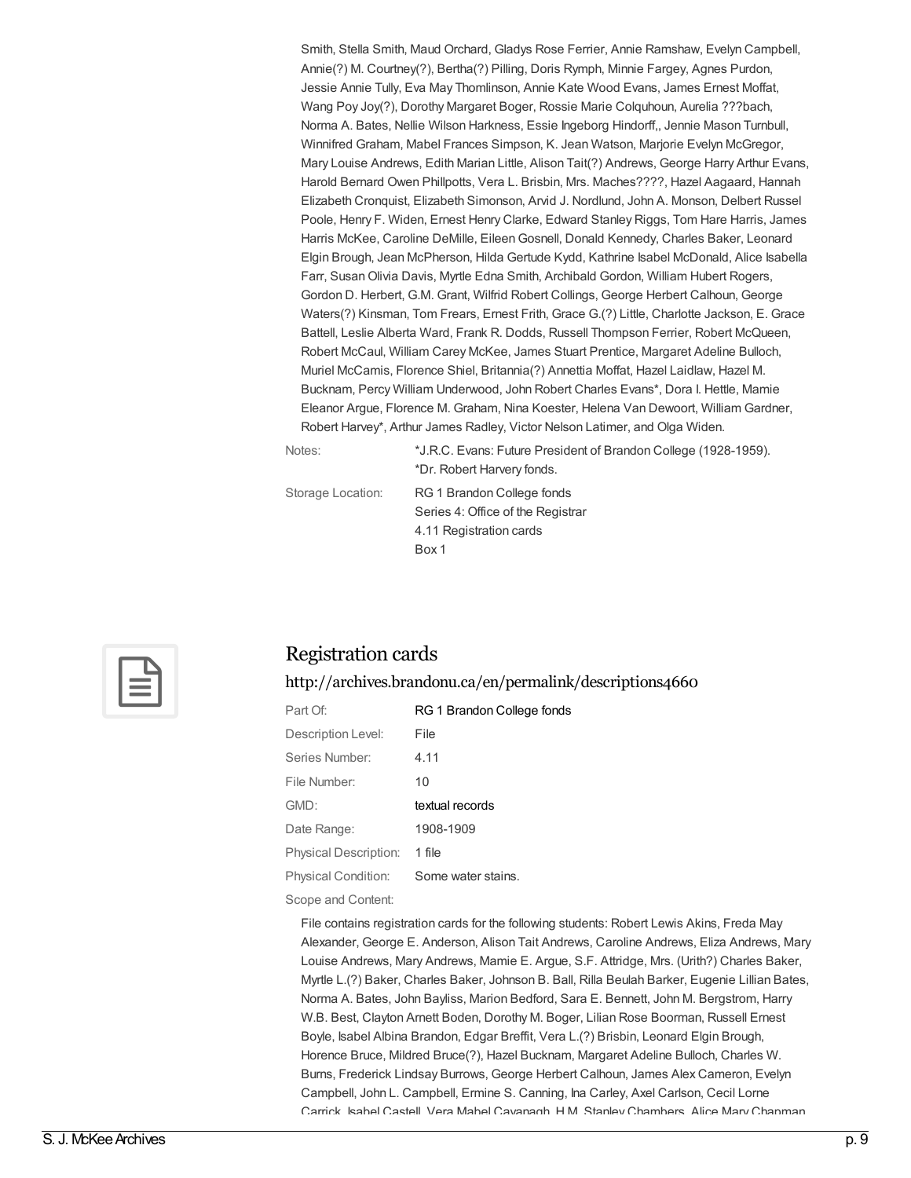Smith, Stella Smith, Maud Orchard, Gladys Rose Ferrier, Annie Ramshaw, Evelyn Campbell, Annie(?) M. Courtney(?), Bertha(?) Pilling, Doris Rymph, Minnie Fargey, Agnes Purdon, Jessie Annie Tully, Eva May Thomlinson, Annie Kate Wood Evans, James Ernest Moffat, Wang Poy Joy(?), Dorothy Margaret Boger, Rossie Marie Colquhoun, Aurelia ???bach, Norma A. Bates, Nellie Wilson Harkness, Essie Ingeborg Hindorff,, Jennie Mason Turnbull, Winnifred Graham, Mabel Frances Simpson, K. Jean Watson, Marjorie Evelyn McGregor, Mary Louise Andrews, Edith Marian Little, Alison Tait(?) Andrews, George Harry Arthur Evans, Harold Bernard Owen Phillpotts, Vera L. Brisbin, Mrs. Maches????, Hazel Aagaard, Hannah Elizabeth Cronquist, Elizabeth Simonson, Arvid J. Nordlund, John A. Monson, Delbert Russel Poole, Henry F. Widen, Ernest Henry Clarke, Edward Stanley Riggs, Tom Hare Harris, James Harris McKee, Caroline DeMille, EileenGosnell, Donald Kennedy, Charles Baker, Leonard Elgin Brough, Jean McPherson, Hilda Gertude Kydd, Kathrine Isabel McDonald, Alice Isabella Farr, SusanOlivia Davis, Myrtle Edna Smith, Archibald Gordon, William Hubert Rogers, Gordon D. Herbert, G.M. Grant, Wilfrid Robert Collings, George Herbert Calhoun, George Waters(?) Kinsman, Tom Frears, Ernest Frith, Grace G.(?) Little, Charlotte Jackson, E. Grace Battell, Leslie Alberta Ward, Frank R. Dodds, Russell Thompson Ferrier, Robert McQueen, Robert McCaul, William Carey McKee, James Stuart Prentice, Margaret Adeline Bulloch, Muriel McCamis, Florence Shiel, Britannia(?) Annettia Moffat, Hazel Laidlaw, Hazel M. Bucknam, Percy William Underwood, John Robert Charles Evans\*, Dora I. Hettle, Mamie Eleanor Argue, Florence M. Graham, Nina Koester, Helena Van Dewoort, William Gardner, Robert Harvey\*, Arthur James Radley, Victor Nelson Latimer, and Olga Widen.

Notes: \*J.R.C. Evans: Future President of Brandon College (1928-1959). \*Dr. Robert Harvery fonds.

Storage Location: RG 1 Brandon College fonds Series 4: Office of the Registrar 4.11 Registration cards Box 1



#### Registration cards

<http://archives.brandonu.ca/en/permalink/descriptions4660>

| Part Of               | RG 1 Brandon College fonds |
|-----------------------|----------------------------|
| Description Level:    | File                       |
| Series Number:        | 4.11                       |
| File Number:          | 10                         |
| GMD:                  |                            |
|                       | textual records            |
| Date Range:           | 1908-1909                  |
| Physical Description: | 1 file                     |

Scope and Content:

File contains registration cards for the following students: Robert Lewis Akins, Freda May Alexander, George E. Anderson, Alison Tait Andrews, Caroline Andrews, Eliza Andrews, Mary Louise Andrews, Mary Andrews, Mamie E. Argue, S.F. Attridge, Mrs. (Urith?) Charles Baker, Myrtle L.(?) Baker, Charles Baker, Johnson B. Ball, Rilla Beulah Barker, Eugenie Lillian Bates, Norma A. Bates, John Bayliss, Marion Bedford, Sara E. Bennett, John M. Bergstrom, Harry W.B. Best, Clayton Arnett Boden, Dorothy M. Boger, Lilian Rose Boorman, Russell Ernest Boyle, Isabel Albina Brandon, Edgar Breffit, Vera L.(?) Brisbin, Leonard Elgin Brough, Horence Bruce, Mildred Bruce(?), Hazel Bucknam, Margaret Adeline Bulloch, Charles W. Burns, Frederick Lindsay Burrows, George Herbert Calhoun, James Alex Cameron, Evelyn Campbell, John L. Campbell, Ermine S. Canning, Ina Carley, Axel Carlson, Cecil Lorne Carrick, Isabel Castell, Vera Mabel Cavanagh, H.M. Stanley Chambers, Alice Mary Chapman,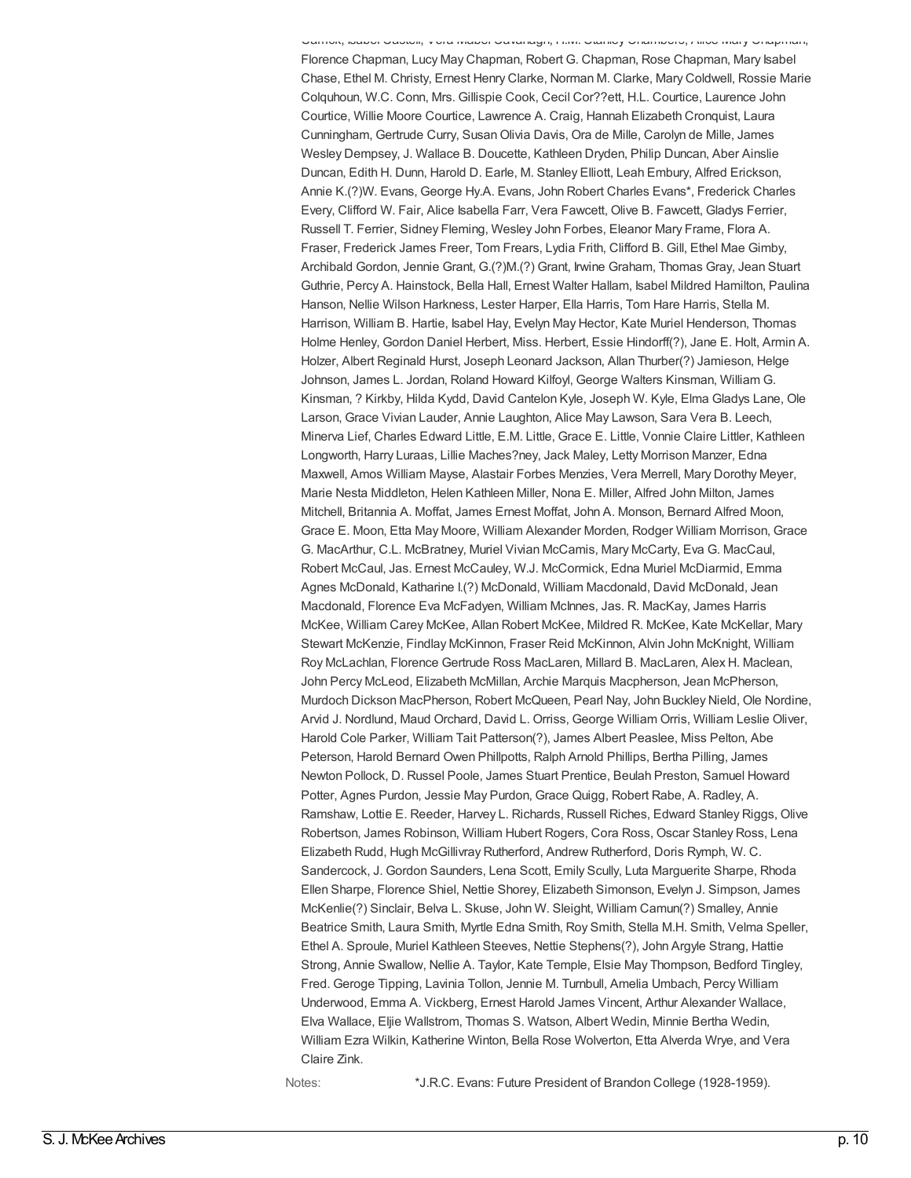Carrick, Isabel Castell, Vera Mabel Cavanagh, H.M. Stanley Chambers, Alice Mary Chapman, Florence Chapman, Lucy May Chapman, Robert G. Chapman, Rose Chapman, Mary Isabel Chase, Ethel M. Christy, Ernest Henry Clarke, Norman M. Clarke, Mary Coldwell, Rossie Marie Colquhoun, W.C. Conn, Mrs. Gillispie Cook, Cecil Cor??ett, H.L. Courtice, Laurence John Courtice, Willie Moore Courtice, Lawrence A. Craig, Hannah Elizabeth Cronquist, Laura Cunningham, Gertrude Curry, SusanOlivia Davis, Ora de Mille, Carolyn de Mille, James Wesley Dempsey, J. Wallace B. Doucette, Kathleen Dryden, Philip Duncan, Aber Ainslie Duncan, Edith H. Dunn, Harold D. Earle, M. Stanley Elliott, Leah Embury, Alfred Erickson, Annie K.(?)W. Evans, George Hy.A. Evans, John Robert Charles Evans\*, Frederick Charles Every, Clifford W. Fair, Alice Isabella Farr, Vera Fawcett, Olive B. Fawcett, Gladys Ferrier, Russell T. Ferrier, Sidney Fleming, Wesley John Forbes, Eleanor Mary Frame, Flora A. Fraser, Frederick James Freer, Tom Frears, Lydia Frith, Clifford B. Gill, Ethel Mae Gimby, Archibald Gordon, Jennie Grant, G.(?)M.(?) Grant, Irwine Graham, Thomas Gray, Jean Stuart Guthrie, Percy A. Hainstock, Bella Hall, Ernest Walter Hallam, Isabel Mildred Hamilton, Paulina Hanson, Nellie Wilson Harkness, Lester Harper, Ella Harris, Tom Hare Harris, Stella M. Harrison, William B. Hartie, Isabel Hay, Evelyn May Hector, Kate Muriel Henderson, Thomas Holme Henley, Gordon Daniel Herbert, Miss. Herbert, Essie Hindorff(?), Jane E. Holt, Armin A. Holzer, Albert Reginald Hurst, Joseph Leonard Jackson, Allan Thurber(?) Jamieson, Helge Johnson, James L. Jordan, Roland Howard Kilfoyl, George Walters Kinsman, William G. Kinsman, ? Kirkby, Hilda Kydd, David Cantelon Kyle, Joseph W. Kyle, Elma Gladys Lane, Ole Larson, Grace Vivian Lauder, Annie Laughton, Alice May Lawson, Sara Vera B. Leech, Minerva Lief, Charles Edward Little, E.M. Little, Grace E. Little, Vonnie Claire Littler, Kathleen Longworth, Harry Luraas, Lillie Maches?ney, Jack Maley, Letty Morrison Manzer, Edna Maxwell, Amos William Mayse, Alastair Forbes Menzies, Vera Merrell, Mary Dorothy Meyer, Marie Nesta Middleton, Helen Kathleen Miller, Nona E. Miller, Alfred John Milton, James Mitchell, Britannia A. Moffat, James Ernest Moffat, John A. Monson, Bernard Alfred Moon, Grace E. Moon, Etta May Moore, William Alexander Morden, Rodger William Morrison, Grace G. MacArthur, C.L. McBratney, Muriel Vivian McCamis, Mary McCarty, Eva G. MacCaul, Robert McCaul, Jas. Ernest McCauley, W.J. McCormick, Edna Muriel McDiarmid, Emma Agnes McDonald, Katharine I.(?) McDonald, William Macdonald, David McDonald, Jean Macdonald, Florence Eva McFadyen, William McInnes, Jas. R. MacKay, James Harris McKee, William Carey McKee, Allan Robert McKee, Mildred R. McKee, Kate McKellar, Mary Stewart McKenzie, Findlay McKinnon, Fraser Reid McKinnon, Alvin John McKnight, William Roy McLachlan, Florence Gertrude Ross MacLaren, Millard B. MacLaren, Alex H. Maclean, John Percy McLeod, Elizabeth McMillan, Archie Marquis Macpherson, Jean McPherson, Murdoch Dickson MacPherson, Robert McQueen, Pearl Nay, John Buckley Nield, Ole Nordine, Arvid J. Nordlund, Maud Orchard, David L. Orriss, George William Orris, William Leslie Oliver, Harold Cole Parker, William Tait Patterson(?), James Albert Peaslee, Miss Pelton, Abe Peterson, Harold Bernard Owen Phillpotts, Ralph Arnold Phillips, Bertha Pilling, James Newton Pollock, D. Russel Poole, James Stuart Prentice, Beulah Preston, Samuel Howard Potter, Agnes Purdon, Jessie May Purdon, Grace Quigg, Robert Rabe, A. Radley, A. Ramshaw, Lottie E. Reeder, Harvey L. Richards, Russell Riches, Edward Stanley Riggs, Olive Robertson, James Robinson, William Hubert Rogers, Cora Ross, Oscar Stanley Ross, Lena Elizabeth Rudd, Hugh McGillivray Rutherford, Andrew Rutherford, Doris Rymph, W. C. Sandercock, J. Gordon Saunders, Lena Scott, Emily Scully, Luta Marguerite Sharpe, Rhoda Ellen Sharpe, Florence Shiel, Nettie Shorey, Elizabeth Simonson, Evelyn J. Simpson, James McKenlie(?) Sinclair, Belva L. Skuse, John W. Sleight, William Camun(?) Smalley, Annie Beatrice Smith, Laura Smith, Myrtle Edna Smith, Roy Smith, Stella M.H. Smith, Velma Speller, Ethel A. Sproule, Muriel Kathleen Steeves, Nettie Stephens(?), John Argyle Strang, Hattie Strong, Annie Swallow, Nellie A. Taylor, Kate Temple, Elsie May Thompson, Bedford Tingley, Fred. Geroge Tipping, Lavinia Tollon, Jennie M. Turnbull, Amelia Umbach, Percy William Underwood, Emma A. Vickberg, Ernest Harold James Vincent, Arthur Alexander Wallace, Elva Wallace, Eljie Wallstrom, Thomas S. Watson, Albert Wedin, Minnie Bertha Wedin, William Ezra Wilkin, Katherine Winton, Bella Rose Wolverton, Etta Alverda Wrye, and Vera Claire Zink.

Notes: \*J.R.C. Evans: Future President of Brandon College (1928-1959).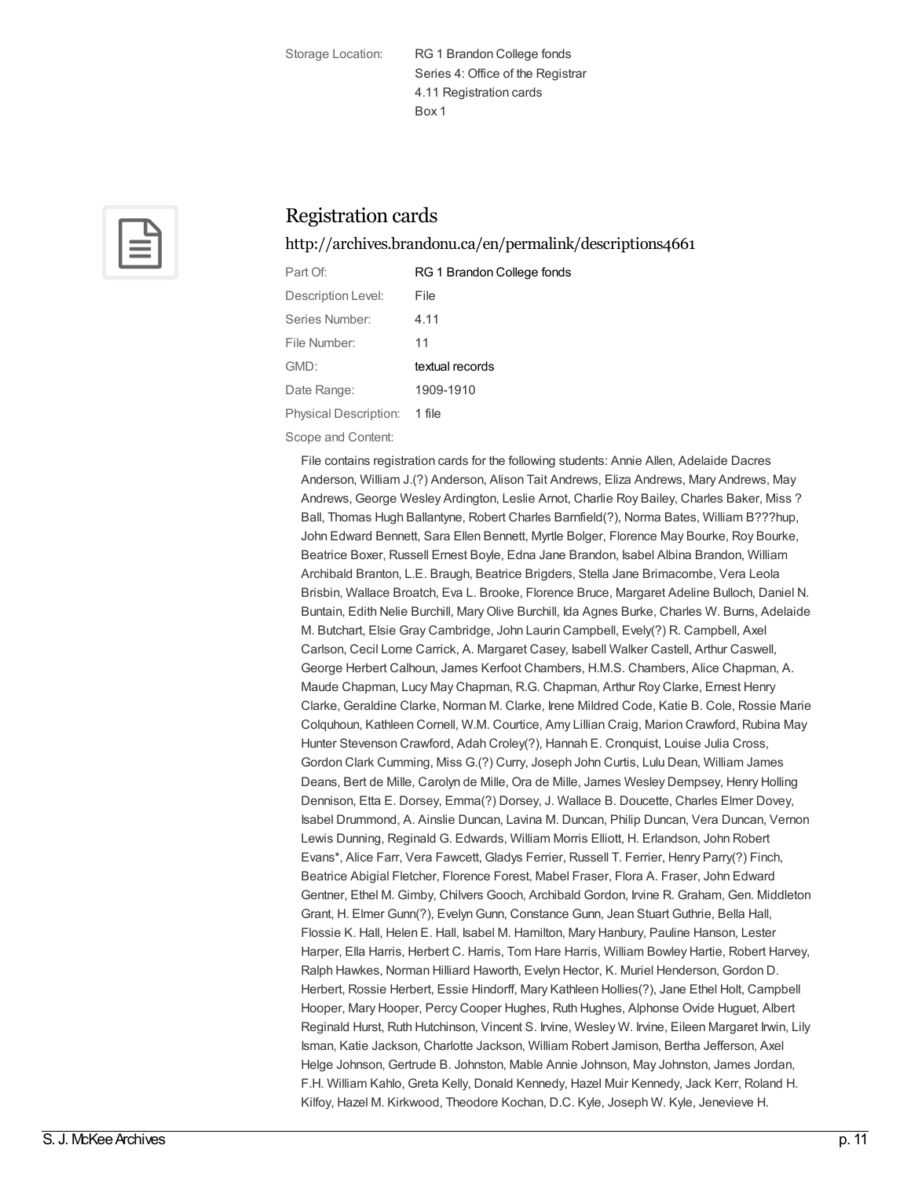Storage Location: RG 1 Brandon College fonds Series 4: Office of the Registrar 4.11 Registration cards Box 1



## Registration cards

<http://archives.brandonu.ca/en/permalink/descriptions4661>

| Part Of:              | RG 1 Brandon College fonds |
|-----------------------|----------------------------|
| Description Level:    | File                       |
| Series Number:        | 4.11                       |
| File Number:          | 11                         |
| GMD:                  | textual records            |
| Date Range:           | 1909-1910                  |
| Physical Description: | 1 file                     |

Scope and Content:

File contains registration cards for the following students: Annie Allen, Adelaide Dacres Anderson, William J.(?) Anderson, Alison Tait Andrews, Eliza Andrews, Mary Andrews, May Andrews, George Wesley Ardington, Leslie Arnot, Charlie Roy Bailey, Charles Baker, Miss ? Ball, Thomas Hugh Ballantyne, Robert Charles Barnfield(?), Norma Bates, William B???hup, John Edward Bennett, Sara Ellen Bennett, Myrtle Bolger, Florence May Bourke, Roy Bourke, Beatrice Boxer, Russell Ernest Boyle, Edna Jane Brandon, Isabel Albina Brandon, William Archibald Branton, L.E. Braugh, Beatrice Brigders, Stella Jane Brimacombe, Vera Leola Brisbin, Wallace Broatch, Eva L. Brooke, Florence Bruce, Margaret Adeline Bulloch, Daniel N. Buntain, Edith Nelie Burchill, MaryOlive Burchill, Ida Agnes Burke, Charles W. Burns, Adelaide M. Butchart, Elsie Gray Cambridge, John Laurin Campbell, Evely(?) R. Campbell, Axel Carlson, Cecil Lorne Carrick, A. Margaret Casey, Isabell Walker Castell, Arthur Caswell, George Herbert Calhoun, James Kerfoot Chambers, H.M.S. Chambers, Alice Chapman, A. Maude Chapman, Lucy May Chapman, R.G. Chapman, Arthur Roy Clarke, Ernest Henry Clarke, Geraldine Clarke, Norman M. Clarke, Irene Mildred Code, Katie B. Cole, Rossie Marie Colquhoun, Kathleen Cornell, W.M. Courtice, Amy Lillian Craig, Marion Crawford, Rubina May Hunter Stevenson Crawford, Adah Croley(?), Hannah E. Cronquist, Louise Julia Cross, Gordon Clark Cumming, Miss G.(?) Curry, Joseph John Curtis, Lulu Dean, William James Deans, Bert de Mille, Carolyn de Mille, Ora de Mille, James Wesley Dempsey, Henry Holling Dennison, Etta E. Dorsey, Emma(?) Dorsey, J. Wallace B. Doucette, Charles Elmer Dovey, Isabel Drummond, A. Ainslie Duncan, Lavina M. Duncan, Philip Duncan, Vera Duncan, Vernon Lewis Dunning, Reginald G. Edwards, William Morris Elliott, H. Erlandson, John Robert Evans\*, Alice Farr, Vera Fawcett, Gladys Ferrier, Russell T. Ferrier, Henry Parry(?) Finch, Beatrice Abigial Fletcher, Florence Forest, Mabel Fraser, Flora A. Fraser, John Edward Gentner, Ethel M. Gimby, Chilvers Gooch, Archibald Gordon, Irvine R. Graham, Gen. Middleton Grant, H. Elmer Gunn(?), Evelyn Gunn, Constance Gunn, Jean Stuart Guthrie, Bella Hall, Flossie K. Hall, Helen E. Hall, Isabel M. Hamilton, Mary Hanbury, Pauline Hanson, Lester Harper, Ella Harris, Herbert C. Harris, Tom Hare Harris, William Bowley Hartie, Robert Harvey, Ralph Hawkes, Norman Hilliard Haworth, Evelyn Hector, K. Muriel Henderson, Gordon D. Herbert, Rossie Herbert, Essie Hindorff, Mary Kathleen Hollies(?), Jane Ethel Holt, Campbell Hooper, Mary Hooper, Percy Cooper Hughes, Ruth Hughes, Alphonse Ovide Huguet, Albert Reginald Hurst, Ruth Hutchinson, Vincent S. Irvine, Wesley W. Irvine, Eileen Margaret Irwin, Lily Isman, Katie Jackson, Charlotte Jackson, William Robert Jamison, Bertha Jefferson, Axel Helge Johnson, Gertrude B. Johnston, Mable Annie Johnson, May Johnston, James Jordan, F.H. William Kahlo, Greta Kelly, Donald Kennedy, Hazel Muir Kennedy, Jack Kerr, Roland H. Kilfoy, Hazel M. Kirkwood, Theodore Kochan, D.C. Kyle, Joseph W. Kyle, Jenevieve H.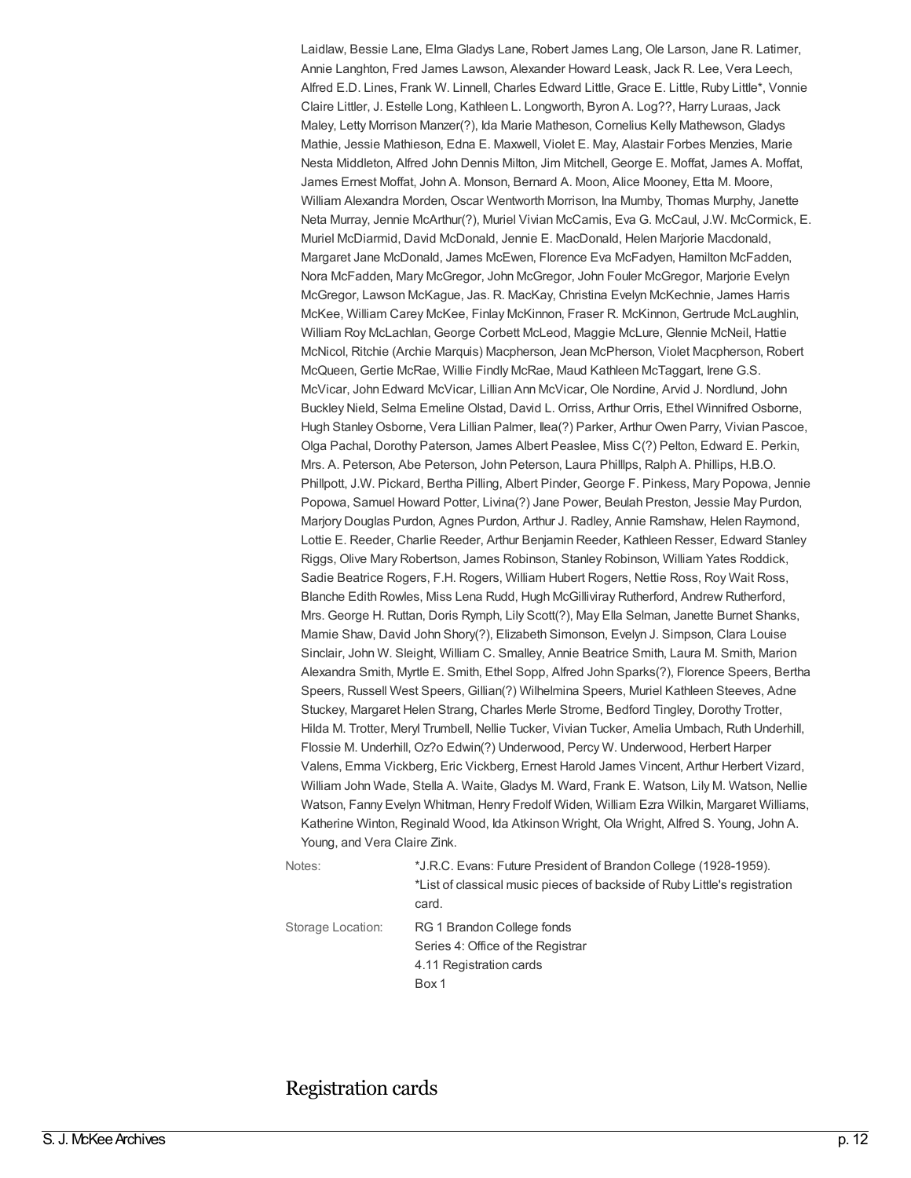Laidlaw, Bessie Lane, Elma Gladys Lane, Robert James Lang, Ole Larson, Jane R. Latimer, Annie Langhton, Fred James Lawson, Alexander Howard Leask, Jack R. Lee, Vera Leech, Alfred E.D. Lines, Frank W. Linnell, Charles Edward Little, Grace E. Little, Ruby Little\*, Vonnie Claire Littler, J. Estelle Long, Kathleen L. Longworth, Byron A. Log??, Harry Luraas, Jack Maley, Letty Morrison Manzer(?), Ida Marie Matheson, Cornelius Kelly Mathewson, Gladys Mathie, Jessie Mathieson, Edna E. Maxwell, Violet E. May, Alastair Forbes Menzies, Marie Nesta Middleton, Alfred John Dennis Milton, Jim Mitchell, George E. Moffat, James A. Moffat, James Ernest Moffat, John A. Monson, Bernard A. Moon, Alice Mooney, Etta M. Moore, William Alexandra Morden, Oscar Wentworth Morrison, Ina Mumby, Thomas Murphy, Janette Neta Murray, Jennie McArthur(?), Muriel Vivian McCamis, Eva G. McCaul, J.W. McCormick, E. Muriel McDiarmid, David McDonald, Jennie E. MacDonald, Helen Marjorie Macdonald, Margaret Jane McDonald, James McEwen, Florence Eva McFadyen, Hamilton McFadden, Nora McFadden, Mary McGregor, John McGregor, John Fouler McGregor, Marjorie Evelyn McGregor, Lawson McKague, Jas. R. MacKay, Christina Evelyn McKechnie, James Harris McKee, William Carey McKee, Finlay McKinnon, Fraser R. McKinnon, Gertrude McLaughlin, William Roy McLachlan, George Corbett McLeod, Maggie McLure, Glennie McNeil, Hattie McNicol, Ritchie (Archie Marquis) Macpherson, Jean McPherson, Violet Macpherson, Robert McQueen, Gertie McRae, Willie Findly McRae, Maud Kathleen McTaggart, Irene G.S. McVicar, John Edward McVicar, Lillian Ann McVicar, Ole Nordine, Arvid J. Nordlund, John Buckley Nield, Selma Emeline Olstad, David L. Orriss, Arthur Orris, Ethel Winnifred Osborne, Hugh Stanley Osborne, Vera Lillian Palmer, Ilea(?) Parker, Arthur Owen Parry, Vivian Pascoe, Olga Pachal, Dorothy Paterson, James Albert Peaslee, Miss C(?) Pelton, Edward E. Perkin, Mrs. A. Peterson, Abe Peterson, John Peterson, Laura Philllps, Ralph A. Phillips, H.B.O. Phillpott, J.W. Pickard, Bertha Pilling, Albert Pinder, George F. Pinkess, Mary Popowa, Jennie Popowa, Samuel Howard Potter, Livina(?) Jane Power, Beulah Preston, Jessie May Purdon, Marjory Douglas Purdon, Agnes Purdon, Arthur J. Radley, Annie Ramshaw, Helen Raymond, Lottie E. Reeder, Charlie Reeder, Arthur Benjamin Reeder, Kathleen Resser, Edward Stanley Riggs, Olive Mary Robertson, James Robinson, Stanley Robinson, William Yates Roddick, Sadie Beatrice Rogers, F.H. Rogers, William Hubert Rogers, Nettie Ross, Roy Wait Ross, Blanche Edith Rowles, Miss Lena Rudd, Hugh McGilliviray Rutherford, Andrew Rutherford, Mrs. George H. Ruttan, Doris Rymph, Lily Scott(?), May Ella Selman, Janette Burnet Shanks, Mamie Shaw, David John Shory(?), Elizabeth Simonson, Evelyn J. Simpson, Clara Louise Sinclair, John W. Sleight, William C. Smalley, Annie Beatrice Smith, Laura M. Smith, Marion Alexandra Smith, Myrtle E. Smith, Ethel Sopp, Alfred John Sparks(?), Florence Speers, Bertha Speers, Russell West Speers, Gillian(?) Wilhelmina Speers, Muriel Kathleen Steeves, Adne Stuckey, Margaret Helen Strang, Charles Merle Strome, Bedford Tingley, Dorothy Trotter, Hilda M. Trotter, Meryl Trumbell, Nellie Tucker, Vivian Tucker, Amelia Umbach, Ruth Underhill, Flossie M. Underhill, Oz?o Edwin(?) Underwood, Percy W. Underwood, Herbert Harper Valens, Emma Vickberg, Eric Vickberg, Ernest Harold James Vincent, Arthur Herbert Vizard, William John Wade, Stella A. Waite, Gladys M. Ward, Frank E. Watson, Lily M. Watson, Nellie Watson, Fanny Evelyn Whitman, Henry Fredolf Widen, William Ezra Wilkin, Margaret Williams, Katherine Winton, Reginald Wood, Ida Atkinson Wright, Ola Wright, Alfred S. Young, John A. Young, and Vera Claire Zink.

Notes:  $*$ J.R.C. Evans: Future President of Brandon College (1928-1959). \*List of classical music pieces of backside of Ruby Little's registration card. Storage Location: RG 1 Brandon College fonds Series 4: Office of the Registrar 4.11 Registration cards Box 1

#### Registration cards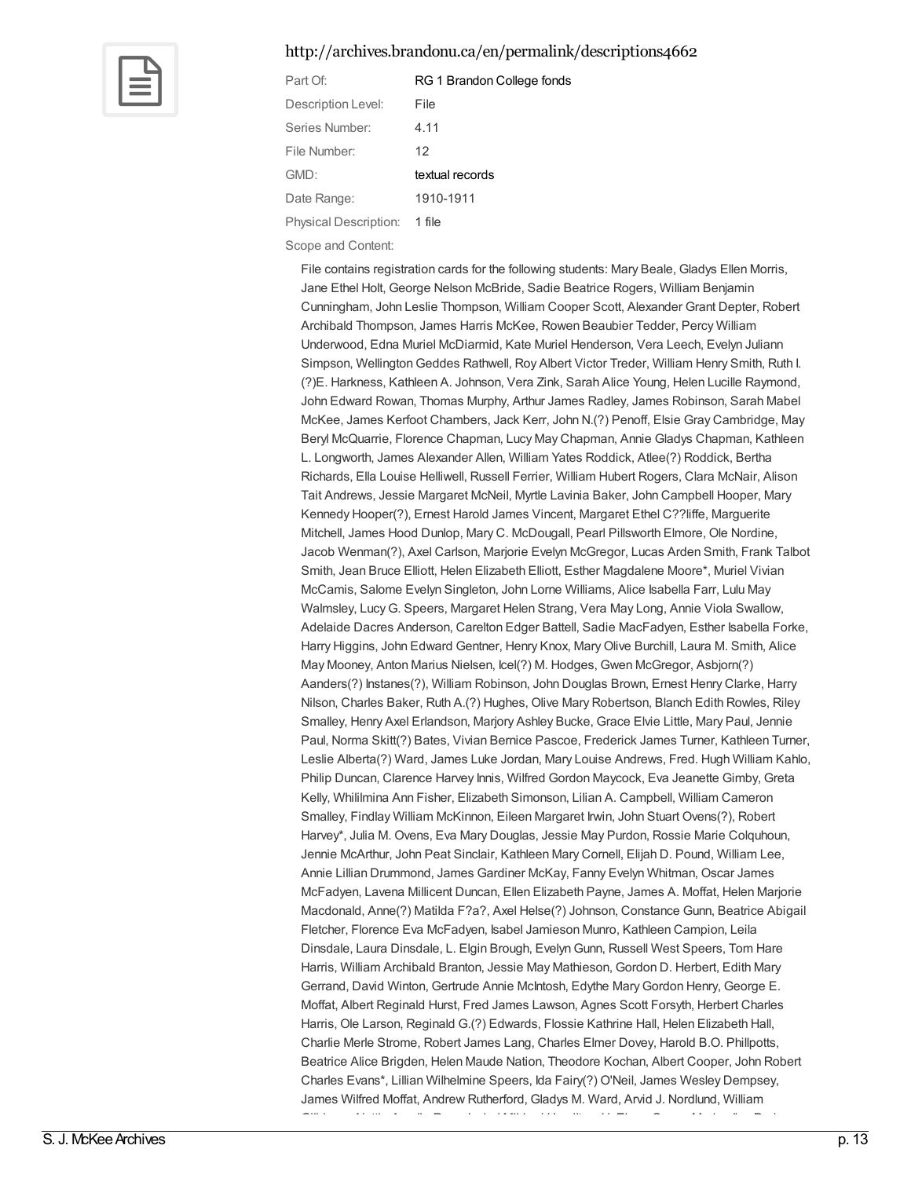#### <http://archives.brandonu.ca/en/permalink/descriptions4662>



| Part Of:              | RG 1 Brandon College fonds |
|-----------------------|----------------------------|
| Description Level:    | File                       |
| Series Number:        | 4.11                       |
| File Number:          | 12                         |
| GMD:                  | textual records            |
| Date Range:           | 1910-1911                  |
| Physical Description: | 1 file                     |

Scope and Content:

File contains registration cards for the following students: Mary Beale, Gladys Ellen Morris, Jane Ethel Holt, George Nelson McBride, Sadie Beatrice Rogers, William Benjamin Cunningham, John Leslie Thompson, William Cooper Scott, Alexander Grant Depter, Robert Archibald Thompson, James Harris McKee, Rowen Beaubier Tedder, Percy William Underwood, Edna Muriel McDiarmid, Kate Muriel Henderson, Vera Leech, Evelyn Juliann Simpson, WellingtonGeddes Rathwell, Roy Albert Victor Treder, William Henry Smith, Ruth I. (?)E. Harkness, Kathleen A. Johnson, Vera Zink, Sarah Alice Young, Helen Lucille Raymond, John Edward Rowan, Thomas Murphy, Arthur James Radley, James Robinson, Sarah Mabel McKee, James Kerfoot Chambers, Jack Kerr, John N.(?) Penoff, Elsie Gray Cambridge, May Beryl McQuarrie, Florence Chapman, Lucy May Chapman, Annie Gladys Chapman, Kathleen L. Longworth, James Alexander Allen, William Yates Roddick, Atlee(?) Roddick, Bertha Richards, Ella Louise Helliwell, Russell Ferrier, William Hubert Rogers, Clara McNair, Alison Tait Andrews, Jessie Margaret McNeil, Myrtle Lavinia Baker, John Campbell Hooper, Mary Kennedy Hooper(?), Ernest Harold James Vincent, Margaret Ethel C??liffe, Marguerite Mitchell, James Hood Dunlop, Mary C. McDougall, Pearl Pillsworth Elmore, Ole Nordine, Jacob Wenman(?), Axel Carlson, Marjorie Evelyn McGregor, Lucas Arden Smith, Frank Talbot Smith, Jean Bruce Elliott, Helen Elizabeth Elliott, Esther Magdalene Moore\*, Muriel Vivian McCamis, Salome Evelyn Singleton, John Lorne Williams, Alice Isabella Farr, Lulu May Walmsley, LucyG. Speers, Margaret Helen Strang, Vera May Long, Annie Viola Swallow, Adelaide Dacres Anderson, Carelton Edger Battell, Sadie MacFadyen, Esther Isabella Forke, Harry Higgins, John Edward Gentner, Henry Knox, MaryOlive Burchill, Laura M. Smith, Alice May Mooney, Anton Marius Nielsen, Icel(?) M. Hodges, Gwen McGregor, Asbjorn(?) Aanders(?) Instanes(?), William Robinson, John Douglas Brown, Ernest Henry Clarke, Harry Nilson, Charles Baker, Ruth A.(?) Hughes, Olive Mary Robertson, Blanch Edith Rowles, Riley Smalley, Henry Axel Erlandson, Marjory Ashley Bucke, Grace Elvie Little, Mary Paul, Jennie Paul, Norma Skitt(?) Bates, Vivian Bernice Pascoe, Frederick James Turner, Kathleen Turner, Leslie Alberta(?) Ward, James Luke Jordan, Mary Louise Andrews, Fred. Hugh William Kahlo, Philip Duncan, Clarence Harvey Innis, Wilfred Gordon Maycock, Eva Jeanette Gimby, Greta Kelly, Whililmina Ann Fisher, Elizabeth Simonson, Lilian A. Campbell, William Cameron Smalley, Findlay William McKinnon, Eileen Margaret Irwin, John Stuart Ovens(?), Robert Harvey\*, Julia M. Ovens, Eva Mary Douglas, Jessie May Purdon, Rossie Marie Colquhoun, Jennie McArthur, John Peat Sinclair, Kathleen Mary Cornell, Elijah D. Pound, William Lee, Annie Lillian Drummond, James Gardiner McKay, Fanny Evelyn Whitman, Oscar James McFadyen, Lavena Millicent Duncan, Ellen Elizabeth Payne, James A. Moffat, Helen Marjorie Macdonald, Anne(?) Matilda F?a?, Axel Helse(?) Johnson, Constance Gunn, Beatrice Abigail Fletcher, Florence Eva McFadyen, Isabel Jamieson Munro, Kathleen Campion, Leila Dinsdale, Laura Dinsdale, L. Elgin Brough, Evelyn Gunn, Russell West Speers, Tom Hare Harris, William Archibald Branton, Jessie May Mathieson, Gordon D. Herbert, Edith Mary Gerrand, David Winton, Gertrude Annie McIntosh, Edythe MaryGordon Henry, George E. Moffat, Albert Reginald Hurst, Fred James Lawson, Agnes Scott Forsyth, Herbert Charles Harris, Ole Larson, Reginald G.(?) Edwards, Flossie Kathrine Hall, Helen Elizabeth Hall, Charlie Merle Strome, Robert James Lang, Charles Elmer Dovey, Harold B.O. Phillpotts, Beatrice Alice Brigden, Helen Maude Nation, Theodore Kochan, Albert Cooper, John Robert Charles Evans\*, Lillian Wilhelmine Speers, Ida Fairy(?) O'Neil, James Wesley Dempsey, James Wilfred Moffat, Andrew Rutherford, Gladys M. Ward, Arvid J. Nordlund, William Gilbbons, Nettie Amelia Ross, Isabel Mildred Hamilton, H. Elmer Green, Marion Ilca Parker,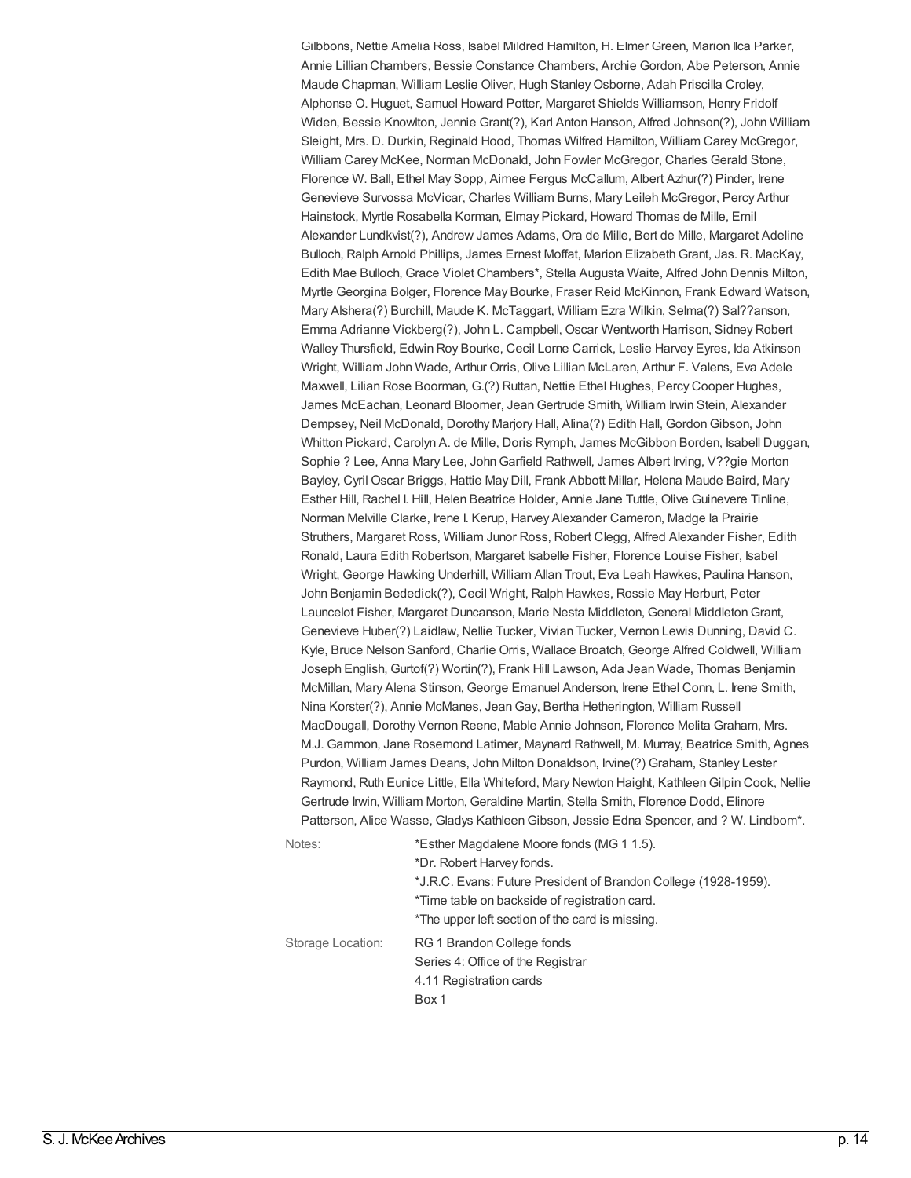Gilbbons, Nettie Amelia Ross, Isabel Mildred Hamilton, H. Elmer Green, Marion Ilca Parker, Annie Lillian Chambers, Bessie Constance Chambers, Archie Gordon, Abe Peterson, Annie Maude Chapman, William Leslie Oliver, Hugh Stanley Osborne, Adah Priscilla Croley, Alphonse O. Huguet, Samuel Howard Potter, Margaret Shields Williamson, Henry Fridolf Widen, Bessie Knowlton, Jennie Grant(?), Karl Anton Hanson, Alfred Johnson(?), John William Sleight, Mrs. D. Durkin, Reginald Hood, Thomas Wilfred Hamilton, William Carey McGregor, William Carey McKee, Norman McDonald, John Fowler McGregor, Charles Gerald Stone, Florence W. Ball, Ethel May Sopp, Aimee Fergus McCallum, Albert Azhur(?) Pinder, Irene Genevieve Survossa McVicar, Charles William Burns, Mary Leileh McGregor, Percy Arthur Hainstock, Myrtle Rosabella Korman, Elmay Pickard, Howard Thomas de Mille, Emil Alexander Lundkvist(?), Andrew James Adams, Ora de Mille, Bert de Mille, Margaret Adeline Bulloch, Ralph Arnold Phillips, James Ernest Moffat, Marion ElizabethGrant, Jas. R. MacKay, Edith Mae Bulloch, Grace Violet Chambers\*, Stella Augusta Waite, Alfred John Dennis Milton, Myrtle Georgina Bolger, Florence May Bourke, Fraser Reid McKinnon, Frank Edward Watson, Mary Alshera(?) Burchill, Maude K. McTaggart, William Ezra Wilkin, Selma(?) Sal??anson, Emma Adrianne Vickberg(?), John L. Campbell, Oscar Wentworth Harrison, Sidney Robert Walley Thursfield, Edwin Roy Bourke, Cecil Lorne Carrick, Leslie Harvey Eyres, Ida Atkinson Wright, William John Wade, Arthur Orris, Olive Lillian McLaren, Arthur F. Valens, Eva Adele Maxwell, Lilian Rose Boorman, G.(?) Ruttan, Nettie Ethel Hughes, Percy Cooper Hughes, James McEachan, Leonard Bloomer, JeanGertrude Smith, William Irwin Stein, Alexander Dempsey, Neil McDonald, Dorothy Marjory Hall, Alina(?) Edith Hall, GordonGibson, John Whitton Pickard, Carolyn A. de Mille, Doris Rymph, James McGibbon Borden, Isabell Duggan, Sophie ? Lee, Anna Mary Lee, JohnGarfield Rathwell, James Albert Irving, V??gie Morton Bayley, Cyril Oscar Briggs, Hattie May Dill, Frank Abbott Millar, Helena Maude Baird, Mary Esther Hill, Rachel I. Hill, Helen Beatrice Holder, Annie Jane Tuttle, Olive Guinevere Tinline, Norman Melville Clarke, Irene I. Kerup, Harvey Alexander Cameron, Madge la Prairie Struthers, Margaret Ross, William Junor Ross, Robert Clegg, Alfred Alexander Fisher, Edith Ronald, Laura Edith Robertson, Margaret Isabelle Fisher, Florence Louise Fisher, Isabel Wright, George Hawking Underhill, William Allan Trout, Eva Leah Hawkes, Paulina Hanson, John Benjamin Bededick(?), Cecil Wright, Ralph Hawkes, Rossie May Herburt, Peter Launcelot Fisher, Margaret Duncanson, Marie Nesta Middleton, General MiddletonGrant, Genevieve Huber(?) Laidlaw, Nellie Tucker, Vivian Tucker, Vernon Lewis Dunning, David C. Kyle, Bruce Nelson Sanford, Charlie Orris, Wallace Broatch, George Alfred Coldwell, William Joseph English, Gurtof(?) Wortin(?), Frank Hill Lawson, Ada Jean Wade, Thomas Benjamin McMillan, Mary Alena Stinson, George Emanuel Anderson, Irene Ethel Conn, L. Irene Smith, Nina Korster(?), Annie McManes, JeanGay, Bertha Hetherington, William Russell MacDougall, Dorothy Vernon Reene, Mable Annie Johnson, Florence Melita Graham, Mrs. M.J. Gammon, Jane Rosemond Latimer, Maynard Rathwell, M. Murray, Beatrice Smith, Agnes Purdon, William James Deans, John Milton Donaldson, Irvine(?) Graham, Stanley Lester Raymond, Ruth Eunice Little, Ella Whiteford, Mary Newton Haight, KathleenGilpin Cook, Nellie Gertrude Irwin, William Morton, Geraldine Martin, Stella Smith, Florence Dodd, Elinore Patterson, Alice Wasse, Gladys Kathleen Gibson, Jessie Edna Spencer, and ? W. Lindbom\*.

| Notes:            | *Esther Magdalene Moore fonds (MG 1 1.5).                       |  |
|-------------------|-----------------------------------------------------------------|--|
|                   | *Dr. Robert Harvey fonds.                                       |  |
|                   | *J.R.C. Evans: Future President of Brandon College (1928-1959). |  |
|                   | *Time table on backside of registration card.                   |  |
|                   | *The upper left section of the card is missing.                 |  |
| Storage Location: | RG 1 Brandon College fonds                                      |  |
|                   | Series 4: Office of the Registrar                               |  |
|                   | 4.11 Registration cards                                         |  |
|                   | Box 1                                                           |  |
|                   |                                                                 |  |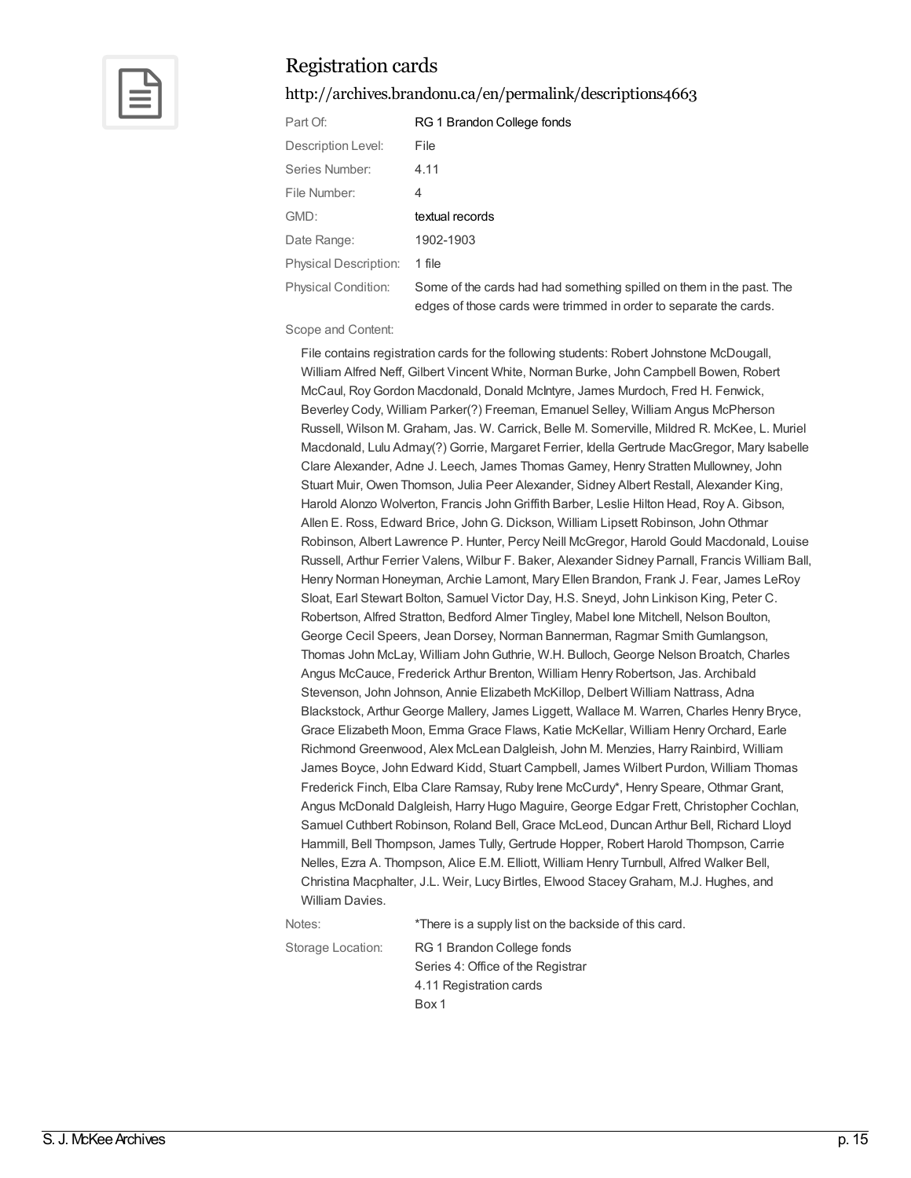

<http://archives.brandonu.ca/en/permalink/descriptions4663>

| Part Of:                     | RG 1 Brandon College fonds                                                                                                                |
|------------------------------|-------------------------------------------------------------------------------------------------------------------------------------------|
| Description Level:           | File                                                                                                                                      |
| Series Number:               | 4.11                                                                                                                                      |
| File Number:                 | 4                                                                                                                                         |
| GMD:                         | textual records                                                                                                                           |
| Date Range:                  | 1902-1903                                                                                                                                 |
| <b>Physical Description:</b> | 1 file                                                                                                                                    |
| <b>Physical Condition:</b>   | Some of the cards had had something spilled on them in the past. The<br>edges of those cards were trimmed in order to separate the cards. |

Scope and Content:

File contains registration cards for the following students: Robert Johnstone McDougall, William Alfred Neff, Gilbert Vincent White, Norman Burke, John Campbell Bowen, Robert McCaul, RoyGordon Macdonald, Donald McIntyre, James Murdoch, Fred H. Fenwick, Beverley Cody, William Parker(?) Freeman, Emanuel Selley, William Angus McPherson Russell, Wilson M. Graham, Jas. W. Carrick, Belle M. Somerville, Mildred R. McKee, L. Muriel Macdonald, Lulu Admay(?) Gorrie, Margaret Ferrier, Idella Gertrude MacGregor, Mary Isabelle Clare Alexander, Adne J. Leech, James Thomas Gamey, Henry Stratten Mullowney, John Stuart Muir, Owen Thomson, Julia Peer Alexander, Sidney Albert Restall, Alexander King, Harold Alonzo Wolverton, Francis JohnGriffith Barber, Leslie Hilton Head, Roy A. Gibson, Allen E. Ross, Edward Brice, John G. Dickson, William Lipsett Robinson, John Othmar Robinson, Albert Lawrence P. Hunter, Percy Neill McGregor, Harold Gould Macdonald, Louise Russell, Arthur Ferrier Valens, Wilbur F. Baker, Alexander Sidney Parnall, Francis William Ball, Henry Norman Honeyman, Archie Lamont, Mary Ellen Brandon, Frank J. Fear, James LeRoy Sloat, Earl Stewart Bolton, Samuel Victor Day, H.S. Sneyd, John Linkison King, Peter C. Robertson, Alfred Stratton, Bedford Almer Tingley, Mabel Ione Mitchell, Nelson Boulton, George Cecil Speers, Jean Dorsey, Norman Bannerman, Ragmar Smith Gumlangson, Thomas John McLay, William JohnGuthrie, W.H. Bulloch, George Nelson Broatch, Charles Angus McCauce, Frederick Arthur Brenton, William Henry Robertson, Jas. Archibald Stevenson, John Johnson, Annie Elizabeth McKillop, Delbert William Nattrass, Adna Blackstock, Arthur George Mallery, James Liggett, Wallace M. Warren, Charles Henry Bryce, Grace Elizabeth Moon, Emma Grace Flaws, Katie McKellar, William HenryOrchard, Earle Richmond Greenwood, Alex McLean Dalgleish, John M. Menzies, Harry Rainbird, William James Boyce, John Edward Kidd, Stuart Campbell, James Wilbert Purdon, William Thomas Frederick Finch, Elba Clare Ramsay, Ruby Irene McCurdy\*, Henry Speare, Othmar Grant, Angus McDonald Dalgleish, Harry Hugo Maguire, George Edgar Frett, Christopher Cochlan, Samuel Cuthbert Robinson, Roland Bell, Grace McLeod, Duncan Arthur Bell, Richard Lloyd Hammill, Bell Thompson, James Tully, Gertrude Hopper, Robert Harold Thompson, Carrie Nelles, Ezra A. Thompson, Alice E.M. Elliott, William Henry Turnbull, Alfred Walker Bell, Christina Macphalter, J.L. Weir, Lucy Birtles, Elwood StaceyGraham, M.J. Hughes, and William Davies.

Notes:  $*$ There is a supply list on the backside of this card. Storage Location: RG 1 Brandon College fonds Series 4: Office of the Registrar 4.11 Registration cards Box 1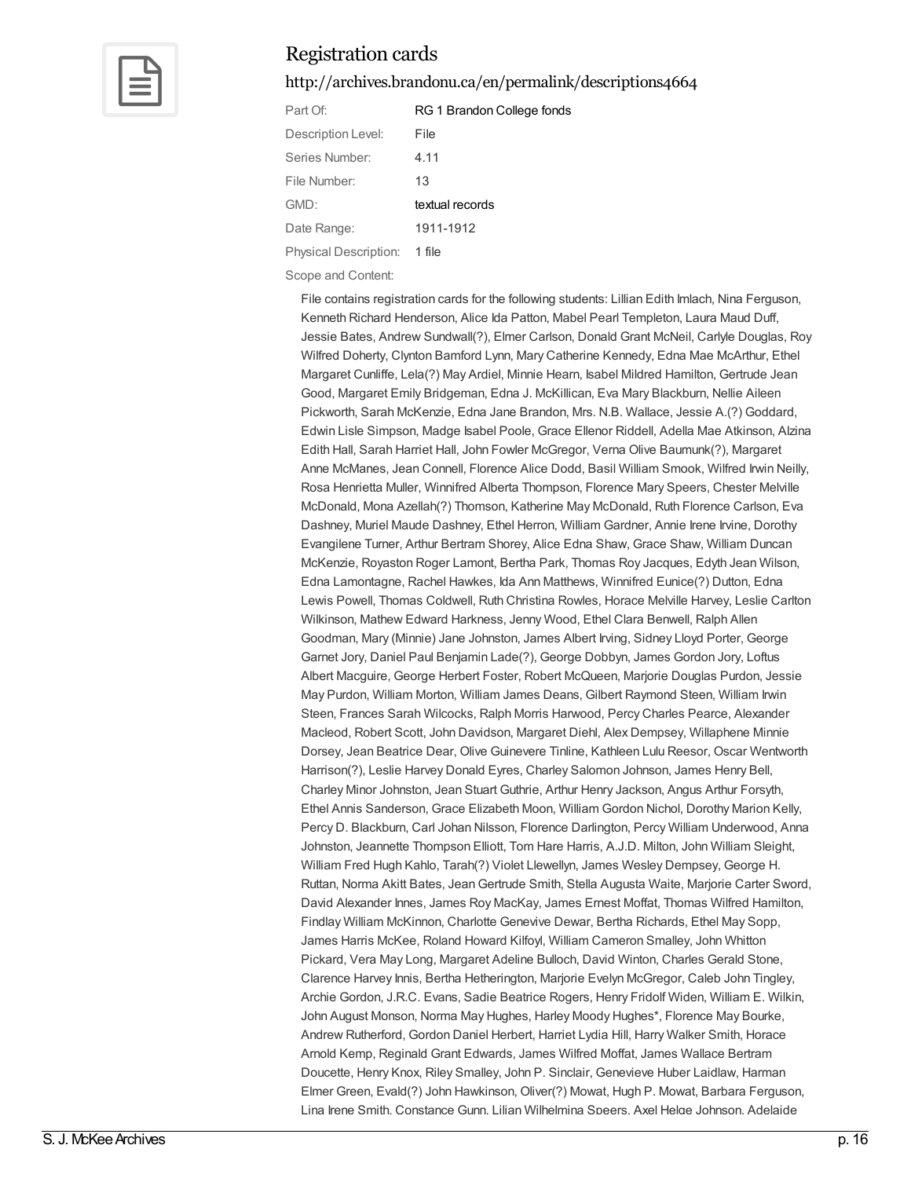

#### <http://archives.brandonu.ca/en/permalink/descriptions4664>

| Part Of:                     | RG 1 Brandon College fonds |
|------------------------------|----------------------------|
| Description Level:           | File                       |
| Series Number:               | 4.11                       |
| File Number:                 | 13                         |
| GMD:                         | textual records            |
| Date Range:                  | 1911-1912                  |
| <b>Physical Description:</b> | 1 file                     |

Scope and Content:

File contains registration cards for the following students: Lillian Edith Imlach, Nina Ferguson, Kenneth Richard Henderson, Alice Ida Patton, Mabel Pearl Templeton, Laura Maud Duff, Jessie Bates, Andrew Sundwall(?), Elmer Carlson, Donald Grant McNeil, Carlyle Douglas, Roy Wilfred Doherty, Clynton Bamford Lynn, Mary Catherine Kennedy, Edna Mae McArthur, Ethel Margaret Cunliffe, Lela(?) May Ardiel, Minnie Hearn, Isabel Mildred Hamilton, Gertrude Jean Good, Margaret Emily Bridgeman, Edna J. McKillican, Eva Mary Blackburn, Nellie Aileen Pickworth, Sarah McKenzie, Edna Jane Brandon, Mrs. N.B. Wallace, Jessie A.(?) Goddard, Edwin Lisle Simpson, Madge Isabel Poole, Grace Ellenor Riddell, Adella Mae Atkinson, Alzina Edith Hall, Sarah Harriet Hall, John Fowler McGregor, Verna Olive Baumunk(?), Margaret Anne McManes, Jean Connell, Florence Alice Dodd, Basil William Smook, Wilfred Irwin Neilly, Rosa Henrietta Muller, Winnifred Alberta Thompson, Florence Mary Speers, Chester Melville McDonald, Mona Azellah(?) Thomson, Katherine May McDonald, Ruth Florence Carlson, Eva Dashney, Muriel Maude Dashney, Ethel Herron, William Gardner, Annie Irene Irvine, Dorothy Evangilene Turner, Arthur Bertram Shorey, Alice Edna Shaw, Grace Shaw, William Duncan McKenzie, Royaston Roger Lamont, Bertha Park, Thomas Roy Jacques, Edyth Jean Wilson, Edna Lamontagne, Rachel Hawkes, Ida Ann Matthews, Winnifred Eunice(?) Dutton, Edna Lewis Powell, Thomas Coldwell, Ruth Christina Rowles, Horace Melville Harvey, Leslie Carlton Wilkinson, Mathew Edward Harkness, Jenny Wood, Ethel Clara Benwell, Ralph Allen Goodman, Mary (Minnie) Jane Johnston, James Albert Irving, Sidney Lloyd Porter, George Garnet Jory, Daniel Paul Benjamin Lade(?), George Dobbyn, James Gordon Jory, Loftus Albert Macguire, George Herbert Foster, Robert McQueen, Marjorie Douglas Purdon, Jessie May Purdon, William Morton, William James Deans, Gilbert Raymond Steen, William Irwin Steen, Frances Sarah Wilcocks, Ralph Morris Harwood, Percy Charles Pearce, Alexander Macleod, Robert Scott, John Davidson, Margaret Diehl, Alex Dempsey, Willaphene Minnie Dorsey, Jean Beatrice Dear, Olive Guinevere Tinline, Kathleen Lulu Reesor, Oscar Wentworth Harrison(?), Leslie Harvey Donald Eyres, Charley Salomon Johnson, James Henry Bell, Charley Minor Johnston, Jean Stuart Guthrie, Arthur Henry Jackson, Angus Arthur Forsyth, Ethel Annis Sanderson, Grace Elizabeth Moon, William Gordon Nichol, Dorothy Marion Kelly, Percy D. Blackburn, Carl Johan Nilsson, Florence Darlington, Percy William Underwood, Anna Johnston, Jeannette Thompson Elliott, Tom Hare Harris, A.J.D. Milton, John William Sleight, William Fred Hugh Kahlo, Tarah(?) Violet Llewellyn, James Wesley Dempsey, George H. Ruttan, Norma Akitt Bates, JeanGertrude Smith, Stella Augusta Waite, Marjorie Carter Sword, David Alexander Innes, James Roy MacKay, James Ernest Moffat, Thomas Wilfred Hamilton, Findlay William McKinnon, Charlotte Genevive Dewar, Bertha Richards, Ethel May Sopp, James Harris McKee, Roland Howard Kilfoyl, William Cameron Smalley, John Whitton Pickard, Vera May Long, Margaret Adeline Bulloch, David Winton, Charles Gerald Stone, Clarence Harvey Innis, Bertha Hetherington, Marjorie Evelyn McGregor, Caleb John Tingley, Archie Gordon, J.R.C. Evans, Sadie Beatrice Rogers, Henry Fridolf Widen, William E. Wilkin, John August Monson, Norma May Hughes, Harley Moody Hughes\*, Florence May Bourke, Andrew Rutherford, Gordon Daniel Herbert, Harriet Lydia Hill, Harry Walker Smith, Horace Arnold Kemp, Reginald Grant Edwards, James Wilfred Moffat, James Wallace Bertram Doucette, Henry Knox, Riley Smalley, John P. Sinclair, Genevieve Huber Laidlaw, Harman Elmer Green, Evald(?) John Hawkinson, Oliver(?) Mowat, Hugh P. Mowat, Barbara Ferguson, Lina Irene Smith, Constance Gunn, Lilian Wilhelmina Speers, Axel Helge Johnson, Adelaide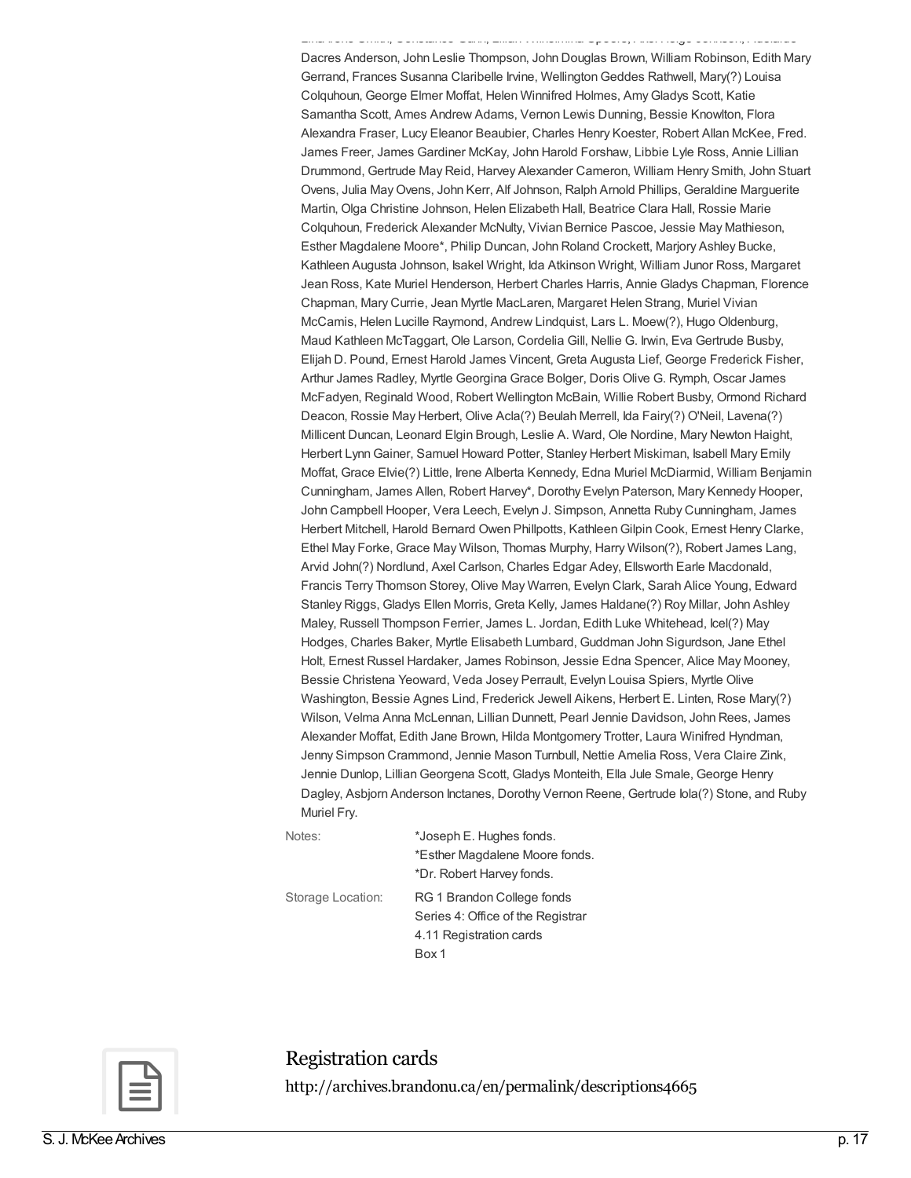Lina Irene Smith, Constance Gunn, Lilian Wilhelmina Speers, Axel Helge Johnson, Adelaide Dacres Anderson, John Leslie Thompson, John Douglas Brown, William Robinson, Edith Mary Gerrand, Frances Susanna Claribelle Irvine, WellingtonGeddes Rathwell, Mary(?) Louisa Colquhoun, George Elmer Moffat, Helen Winnifred Holmes, AmyGladys Scott, Katie Samantha Scott, Ames Andrew Adams, Vernon Lewis Dunning, Bessie Knowlton, Flora Alexandra Fraser, Lucy Eleanor Beaubier, Charles Henry Koester, Robert Allan McKee, Fred. James Freer, James Gardiner McKay, John Harold Forshaw, Libbie Lyle Ross, Annie Lillian Drummond, Gertrude May Reid, Harvey Alexander Cameron, William Henry Smith, John Stuart Ovens, Julia MayOvens, John Kerr, Alf Johnson, Ralph Arnold Phillips, Geraldine Marguerite Martin, Olga Christine Johnson, Helen Elizabeth Hall, Beatrice Clara Hall, Rossie Marie Colquhoun, Frederick Alexander McNulty, Vivian Bernice Pascoe, Jessie May Mathieson, Esther Magdalene Moore\*, Philip Duncan, John Roland Crockett, Marjory Ashley Bucke, Kathleen Augusta Johnson, Isakel Wright, Ida Atkinson Wright, William Junor Ross, Margaret Jean Ross, Kate Muriel Henderson, Herbert Charles Harris, Annie Gladys Chapman, Florence Chapman, Mary Currie, Jean Myrtle MacLaren, Margaret Helen Strang, Muriel Vivian McCamis, Helen Lucille Raymond, Andrew Lindquist, Lars L. Moew(?), Hugo Oldenburg, Maud Kathleen McTaggart, Ole Larson, Cordelia Gill, Nellie G. Irwin, Eva Gertrude Busby, Elijah D. Pound, Ernest Harold James Vincent, Greta Augusta Lief, George Frederick Fisher, Arthur James Radley, Myrtle Georgina Grace Bolger, Doris Olive G. Rymph, Oscar James McFadyen, Reginald Wood, Robert Wellington McBain, Willie Robert Busby, Ormond Richard Deacon, Rossie May Herbert, Olive Acla(?) Beulah Merrell, Ida Fairy(?) O'Neil, Lavena(?) Millicent Duncan, Leonard Elgin Brough, Leslie A. Ward, Ole Nordine, Mary Newton Haight, Herbert Lynn Gainer, Samuel Howard Potter, Stanley Herbert Miskiman, Isabell Mary Emily Moffat, Grace Elvie(?) Little, Irene Alberta Kennedy, Edna Muriel McDiarmid, William Benjamin Cunningham, James Allen, Robert Harvey\*, Dorothy Evelyn Paterson, Mary Kennedy Hooper, John Campbell Hooper, Vera Leech, Evelyn J. Simpson, Annetta Ruby Cunningham, James Herbert Mitchell, Harold Bernard Owen Phillpotts, KathleenGilpin Cook, Ernest Henry Clarke, Ethel May Forke, Grace May Wilson, Thomas Murphy, Harry Wilson(?), Robert James Lang, Arvid John(?) Nordlund, Axel Carlson, Charles Edgar Adey, Ellsworth Earle Macdonald, Francis Terry Thomson Storey, Olive May Warren, Evelyn Clark, Sarah Alice Young, Edward Stanley Riggs, Gladys Ellen Morris, Greta Kelly, James Haldane(?) Roy Millar, John Ashley Maley, Russell Thompson Ferrier, James L. Jordan, Edith Luke Whitehead, Icel(?) May Hodges, Charles Baker, Myrtle Elisabeth Lumbard, Guddman John Sigurdson, Jane Ethel Holt, Ernest Russel Hardaker, James Robinson, Jessie Edna Spencer, Alice May Mooney, Bessie Christena Yeoward, Veda Josey Perrault, Evelyn Louisa Spiers, Myrtle Olive Washington, Bessie Agnes Lind, Frederick Jewell Aikens, Herbert E. Linten, Rose Mary(?) Wilson, Velma Anna McLennan, Lillian Dunnett, Pearl Jennie Davidson, John Rees, James Alexander Moffat, Edith Jane Brown, Hilda Montgomery Trotter, Laura Winifred Hyndman, Jenny Simpson Crammond, Jennie Mason Turnbull, Nettie Amelia Ross, Vera Claire Zink, Jennie Dunlop, LillianGeorgena Scott, Gladys Monteith, Ella Jule Smale, George Henry Dagley, Asbjorn Anderson Inctanes, Dorothy Vernon Reene, Gertrude Iola(?) Stone, and Ruby Muriel Fry.

Notes:  $*$ Joseph E. Hughes fonds. \*Esther Magdalene Moore fonds. \*Dr. Robert Harvey fonds.

Storage Location: RG 1 Brandon College fonds Series 4: Office of the Registrar 4.11 Registration cards Box 1



Registration cards<br><http://archives.brandonu.ca/en/permalink/descriptions4665>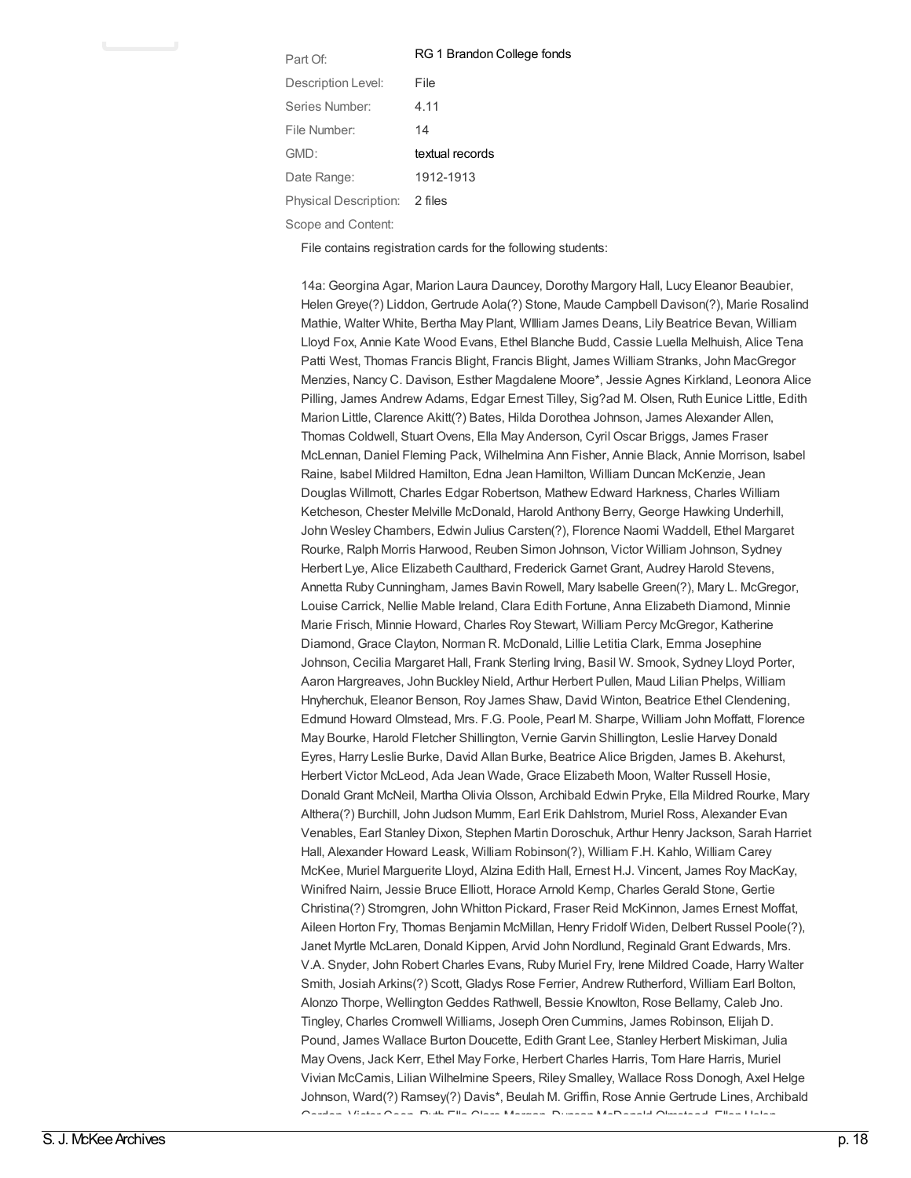| Part Of:                      | RG 1 Brandon College fonds |
|-------------------------------|----------------------------|
| Description Level:            | File                       |
| Series Number:                | 4.11                       |
| File Number:                  | 14                         |
| GMD:                          | textual records            |
| Date Range:                   | 1912-1913                  |
| Physical Description: 2 files |                            |
| Scope and Content:            |                            |

File contains registration cards for the following students:

14a: Georgina Agar, Marion Laura Dauncey, Dorothy Margory Hall, Lucy Eleanor Beaubier, HelenGreye(?) Liddon, Gertrude Aola(?) Stone, Maude Campbell Davison(?), Marie Rosalind Mathie, Walter White, Bertha May Plant, WIlliam James Deans, Lily Beatrice Bevan, William Lloyd Fox, Annie Kate Wood Evans, Ethel Blanche Budd, Cassie Luella Melhuish, Alice Tena Patti West, Thomas Francis Blight, Francis Blight, James William Stranks, John MacGregor Menzies, Nancy C. Davison, Esther Magdalene Moore\*, Jessie Agnes Kirkland, Leonora Alice Pilling, James Andrew Adams, Edgar Ernest Tilley, Sig?ad M. Olsen, Ruth Eunice Little, Edith Marion Little, Clarence Akitt(?) Bates, Hilda Dorothea Johnson, James Alexander Allen, Thomas Coldwell, Stuart Ovens, Ella May Anderson, Cyril Oscar Briggs, James Fraser McLennan, Daniel Fleming Pack, Wilhelmina Ann Fisher, Annie Black, Annie Morrison, Isabel Raine, Isabel Mildred Hamilton, Edna Jean Hamilton, William Duncan McKenzie, Jean Douglas Willmott, Charles Edgar Robertson, Mathew Edward Harkness, Charles William Ketcheson, Chester Melville McDonald, Harold Anthony Berry, George Hawking Underhill, John Wesley Chambers, Edwin Julius Carsten(?), Florence Naomi Waddell, Ethel Margaret Rourke, Ralph Morris Harwood, Reuben Simon Johnson, Victor William Johnson, Sydney Herbert Lye, Alice Elizabeth Caulthard, Frederick Garnet Grant, Audrey Harold Stevens, Annetta Ruby Cunningham, James Bavin Rowell, Mary Isabelle Green(?), Mary L. McGregor, Louise Carrick, Nellie Mable Ireland, Clara Edith Fortune, Anna Elizabeth Diamond, Minnie Marie Frisch, Minnie Howard, Charles Roy Stewart, William Percy McGregor, Katherine Diamond, Grace Clayton, Norman R. McDonald, Lillie Letitia Clark, Emma Josephine Johnson, Cecilia Margaret Hall, Frank Sterling Irving, Basil W. Smook, Sydney Lloyd Porter, Aaron Hargreaves, John Buckley Nield, Arthur Herbert Pullen, Maud Lilian Phelps, William Hnyherchuk, Eleanor Benson, Roy James Shaw, David Winton, Beatrice Ethel Clendening, Edmund Howard Olmstead, Mrs. F.G. Poole, Pearl M. Sharpe, William John Moffatt, Florence May Bourke, Harold Fletcher Shillington, Vernie Garvin Shillington, Leslie Harvey Donald Eyres, Harry Leslie Burke, David Allan Burke, Beatrice Alice Brigden, James B. Akehurst, Herbert Victor McLeod, Ada Jean Wade, Grace Elizabeth Moon, Walter Russell Hosie, Donald Grant McNeil, Martha Olivia Olsson, Archibald Edwin Pryke, Ella Mildred Rourke, Mary Althera(?) Burchill, John Judson Mumm, Earl Erik Dahlstrom, Muriel Ross, Alexander Evan Venables, Earl Stanley Dixon, Stephen Martin Doroschuk, Arthur Henry Jackson, Sarah Harriet Hall, Alexander Howard Leask, William Robinson(?), William F.H. Kahlo, William Carey McKee, Muriel Marguerite Lloyd, Alzina Edith Hall, Ernest H.J. Vincent, James Roy MacKay, Winifred Nairn, Jessie Bruce Elliott, Horace Arnold Kemp, Charles Gerald Stone, Gertie Christina(?) Stromgren, John Whitton Pickard, Fraser Reid McKinnon, James Ernest Moffat, Aileen Horton Fry, Thomas Benjamin McMillan, Henry Fridolf Widen, Delbert Russel Poole(?), Janet Myrtle McLaren, Donald Kippen, Arvid John Nordlund, Reginald Grant Edwards, Mrs. V.A. Snyder, John Robert Charles Evans, Ruby Muriel Fry, Irene Mildred Coade, Harry Walter Smith, Josiah Arkins(?) Scott, Gladys Rose Ferrier, Andrew Rutherford, William Earl Bolton, Alonzo Thorpe, WellingtonGeddes Rathwell, Bessie Knowlton, Rose Bellamy, Caleb Jno. Tingley, Charles Cromwell Williams, JosephOren Cummins, James Robinson, Elijah D. Pound, James Wallace Burton Doucette, EdithGrant Lee, Stanley Herbert Miskiman, Julia MayOvens, Jack Kerr, Ethel May Forke, Herbert Charles Harris, Tom Hare Harris, Muriel Vivian McCamis, Lilian Wilhelmine Speers, Riley Smalley, Wallace Ross Donogh, Axel Helge Johnson, Ward(?) Ramsey(?) Davis\*, Beulah M. Griffin, Rose Annie Gertrude Lines, Archibald Gordon, Victor Coen, Ruth Ella Clare Morgan, Duncan McDonald Olmstead, Ellen Helen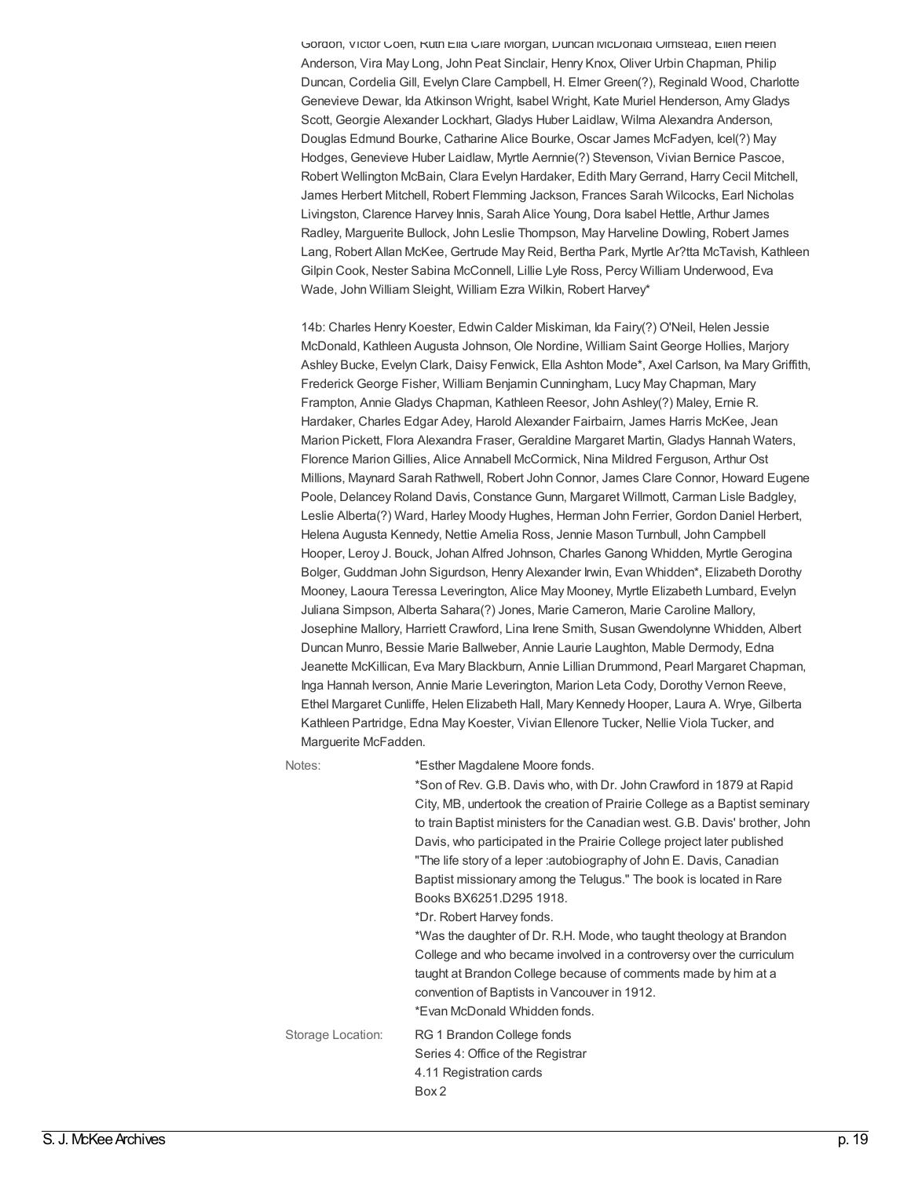Gordon, Victor Coen, Ruth Ella Clare Morgan, Duncan McDonald Olmstead, Ellen Helen Anderson, Vira May Long, John Peat Sinclair, Henry Knox, Oliver Urbin Chapman, Philip Duncan, Cordelia Gill, Evelyn Clare Campbell, H. Elmer Green(?), Reginald Wood, Charlotte Genevieve Dewar, Ida Atkinson Wright, Isabel Wright, Kate Muriel Henderson, AmyGladys Scott, Georgie Alexander Lockhart, Gladys Huber Laidlaw, Wilma Alexandra Anderson, Douglas Edmund Bourke, Catharine Alice Bourke, Oscar James McFadyen, Icel(?) May Hodges, Genevieve Huber Laidlaw, Myrtle Aernnie(?) Stevenson, Vivian Bernice Pascoe, Robert Wellington McBain, Clara Evelyn Hardaker, Edith MaryGerrand, Harry Cecil Mitchell, James Herbert Mitchell, Robert Flemming Jackson, Frances Sarah Wilcocks, Earl Nicholas Livingston, Clarence Harvey Innis, Sarah Alice Young, Dora Isabel Hettle, Arthur James Radley, Marguerite Bullock, John Leslie Thompson, May Harveline Dowling, Robert James Lang, Robert Allan McKee, Gertrude May Reid, Bertha Park, Myrtle Ar?tta McTavish, Kathleen Gilpin Cook, Nester Sabina McConnell, Lillie Lyle Ross, Percy William Underwood, Eva Wade, John William Sleight, William Ezra Wilkin, Robert Harvey\*

14b: Charles Henry Koester, Edwin Calder Miskiman, Ida Fairy(?) O'Neil, Helen Jessie McDonald, Kathleen Augusta Johnson, Ole Nordine, William Saint George Hollies, Marjory Ashley Bucke, Evelyn Clark, Daisy Fenwick, Ella Ashton Mode\*, Axel Carlson, Iva Mary Griffith, Frederick George Fisher, William Benjamin Cunningham, Lucy May Chapman, Mary Frampton, Annie Gladys Chapman, Kathleen Reesor, John Ashley(?) Maley, Ernie R. Hardaker, Charles Edgar Adey, Harold Alexander Fairbairn, James Harris McKee, Jean Marion Pickett, Flora Alexandra Fraser, Geraldine Margaret Martin, Gladys Hannah Waters, Florence Marion Gillies, Alice Annabell McCormick, Nina Mildred Ferguson, Arthur Ost Millions, Maynard Sarah Rathwell, Robert John Connor, James Clare Connor, Howard Eugene Poole, Delancey Roland Davis, Constance Gunn, Margaret Willmott, Carman Lisle Badgley, Leslie Alberta(?) Ward, Harley Moody Hughes, Herman John Ferrier, Gordon Daniel Herbert, Helena Augusta Kennedy, Nettie Amelia Ross, Jennie Mason Turnbull, John Campbell Hooper, Leroy J. Bouck, Johan Alfred Johnson, Charles Ganong Whidden, Myrtle Gerogina Bolger, Guddman John Sigurdson, Henry Alexander Irwin, Evan Whidden\*, Elizabeth Dorothy Mooney, Laoura Teressa Leverington, Alice May Mooney, Myrtle Elizabeth Lumbard, Evelyn Juliana Simpson, Alberta Sahara(?) Jones, Marie Cameron, Marie Caroline Mallory, Josephine Mallory, Harriett Crawford, Lina Irene Smith, SusanGwendolynne Whidden, Albert Duncan Munro, Bessie Marie Ballweber, Annie Laurie Laughton, Mable Dermody, Edna Jeanette McKillican, Eva Mary Blackburn, Annie Lillian Drummond, Pearl Margaret Chapman, Inga Hannah Iverson, Annie Marie Leverington, Marion Leta Cody, Dorothy Vernon Reeve, Ethel Margaret Cunliffe, Helen Elizabeth Hall, Mary Kennedy Hooper, Laura A. Wrye, Gilberta Kathleen Partridge, Edna May Koester, Vivian Ellenore Tucker, Nellie Viola Tucker, and Marguerite McFadden.

#### Notes:  $*$ Esther Magdalene Moore fonds.

|                   | *Son of Rev. G.B. Davis who, with Dr. John Crawford in 1879 at Rapid        |
|-------------------|-----------------------------------------------------------------------------|
|                   | City, MB, undertook the creation of Prairie College as a Baptist seminary   |
|                   | to train Baptist ministers for the Canadian west. G.B. Davis' brother, John |
|                   | Davis, who participated in the Prairie College project later published      |
|                   | "The life story of a leper :autobiography of John E. Davis, Canadian        |
|                   | Baptist missionary among the Telugus." The book is located in Rare          |
|                   | Books BX6251.D295 1918.                                                     |
|                   | *Dr. Robert Harvey fonds.                                                   |
|                   | *Was the daughter of Dr. R.H. Mode, who taught theology at Brandon          |
|                   | College and who became involved in a controversy over the curriculum        |
|                   | taught at Brandon College because of comments made by him at a              |
|                   | convention of Baptists in Vancouver in 1912.                                |
|                   | *Evan McDonald Whidden fonds.                                               |
| Storage Location: | RG 1 Brandon College fonds                                                  |
|                   | Series 4: Office of the Registrar                                           |
|                   | 4.11 Registration cards                                                     |
|                   | Box 2                                                                       |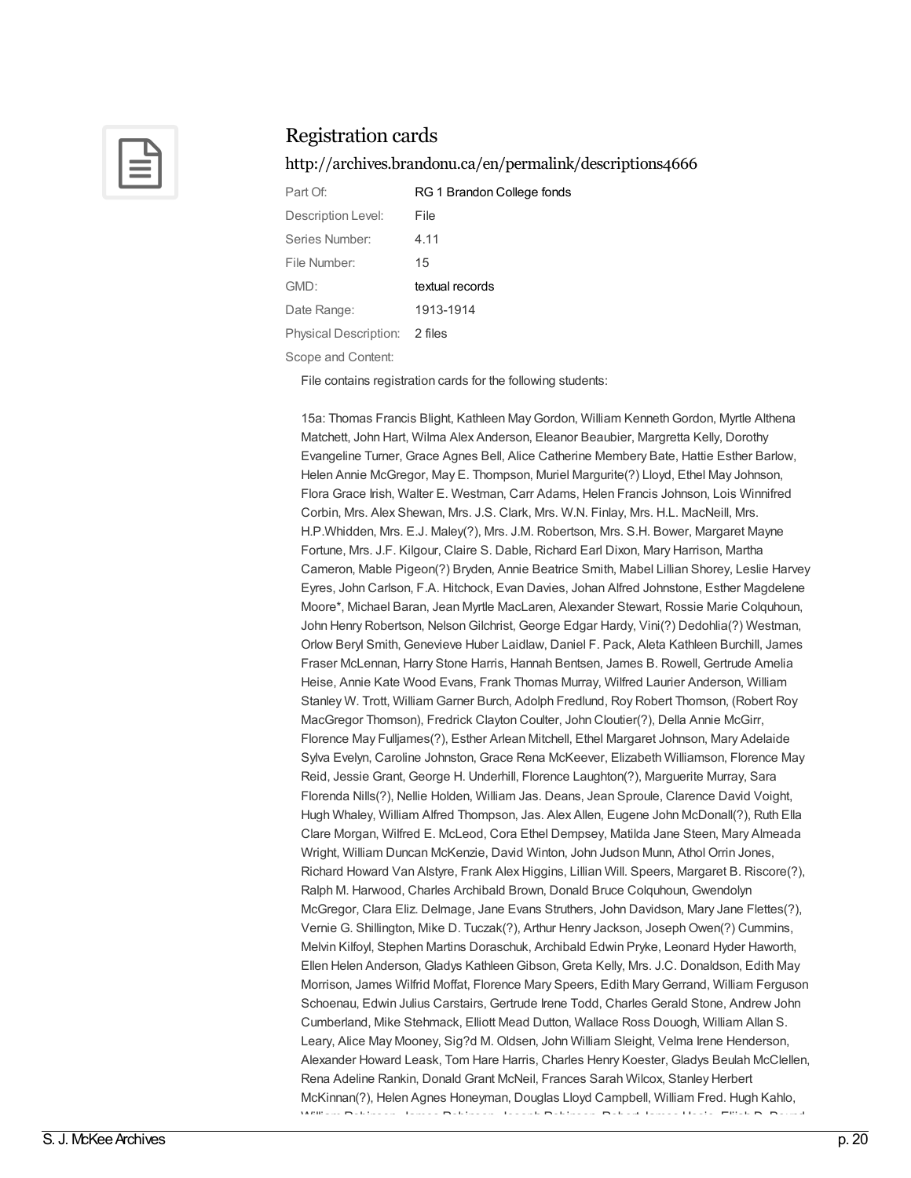

#### <http://archives.brandonu.ca/en/permalink/descriptions4666>

| Part Of:                      | RG 1 Brandon College fonds |
|-------------------------------|----------------------------|
| Description Level:            | File                       |
| Series Number:                | 4.11                       |
| File Number:                  | 15                         |
| GMD:                          | textual records            |
| Date Range:                   | 1913-1914                  |
| Physical Description: 2 files |                            |
|                               |                            |

Scope and Content:

File contains registration cards for the following students:

15a: Thomas Francis Blight, Kathleen May Gordon, William Kenneth Gordon, Myrtle Althena Matchett, John Hart, Wilma Alex Anderson, Eleanor Beaubier, Margretta Kelly, Dorothy Evangeline Turner, Grace Agnes Bell, Alice Catherine Membery Bate, Hattie Esther Barlow, Helen Annie McGregor, May E. Thompson, Muriel Margurite(?) Lloyd, Ethel May Johnson, Flora Grace Irish, Walter E. Westman, Carr Adams, Helen Francis Johnson, Lois Winnifred Corbin, Mrs. Alex Shewan, Mrs. J.S. Clark, Mrs. W.N. Finlay, Mrs. H.L. MacNeill, Mrs. H.P.Whidden, Mrs. E.J. Maley(?), Mrs. J.M. Robertson, Mrs. S.H. Bower, Margaret Mayne Fortune, Mrs. J.F. Kilgour, Claire S. Dable, Richard Earl Dixon, Mary Harrison, Martha Cameron, Mable Pigeon(?) Bryden, Annie Beatrice Smith, Mabel Lillian Shorey, Leslie Harvey Eyres, John Carlson, F.A. Hitchock, Evan Davies, Johan Alfred Johnstone, Esther Magdelene Moore\*, Michael Baran, Jean Myrtle MacLaren, Alexander Stewart, Rossie Marie Colquhoun, John Henry Robertson, NelsonGilchrist, George Edgar Hardy, Vini(?) Dedohlia(?) Westman, Orlow Beryl Smith, Genevieve Huber Laidlaw, Daniel F. Pack, Aleta Kathleen Burchill, James Fraser McLennan, Harry Stone Harris, Hannah Bentsen, James B. Rowell, Gertrude Amelia Heise, Annie Kate Wood Evans, Frank Thomas Murray, Wilfred Laurier Anderson, William Stanley W. Trott, William Garner Burch, Adolph Fredlund, Roy Robert Thomson, (Robert Roy MacGregor Thomson), Fredrick Clayton Coulter, John Cloutier(?), Della Annie McGirr, Florence May Fulljames(?), Esther Arlean Mitchell, Ethel Margaret Johnson, Mary Adelaide Sylva Evelyn, Caroline Johnston, Grace Rena McKeever, Elizabeth Williamson, Florence May Reid, Jessie Grant, George H. Underhill, Florence Laughton(?), Marguerite Murray, Sara Florenda Nills(?), Nellie Holden, William Jas. Deans, Jean Sproule, Clarence David Voight, Hugh Whaley, William Alfred Thompson, Jas. Alex Allen, Eugene John McDonall(?), Ruth Ella Clare Morgan, Wilfred E. McLeod, Cora Ethel Dempsey, Matilda Jane Steen, Mary Almeada Wright, William Duncan McKenzie, David Winton, John Judson Munn, Athol Orrin Jones, Richard Howard Van Alstyre, Frank Alex Higgins, Lillian Will. Speers, Margaret B. Riscore(?), Ralph M. Harwood, Charles Archibald Brown, Donald Bruce Colquhoun, Gwendolyn McGregor, Clara Eliz. Delmage, Jane Evans Struthers, John Davidson, Mary Jane Flettes(?), Vernie G. Shillington, Mike D. Tuczak(?), Arthur Henry Jackson, Joseph Owen(?) Cummins, Melvin Kilfoyl, Stephen Martins Doraschuk, Archibald Edwin Pryke, Leonard Hyder Haworth, Ellen Helen Anderson, Gladys KathleenGibson, Greta Kelly, Mrs. J.C. Donaldson, Edith May Morrison, James Wilfrid Moffat, Florence Mary Speers, Edith MaryGerrand, William Ferguson Schoenau, Edwin Julius Carstairs, Gertrude Irene Todd, Charles Gerald Stone, Andrew John Cumberland, Mike Stehmack, Elliott Mead Dutton, Wallace Ross Douogh, William Allan S. Leary, Alice May Mooney, Sig?d M. Oldsen, John William Sleight, Velma Irene Henderson, Alexander Howard Leask, Tom Hare Harris, Charles Henry Koester, Gladys Beulah McClellen, Rena Adeline Rankin, Donald Grant McNeil, Frances Sarah Wilcox, Stanley Herbert McKinnan(?), Helen Agnes Honeyman, Douglas Lloyd Campbell, William Fred. Hugh Kahlo, William Robinson, James Robinson, Joseph Robinson, Robert James Hosie, Elijah D. Pound,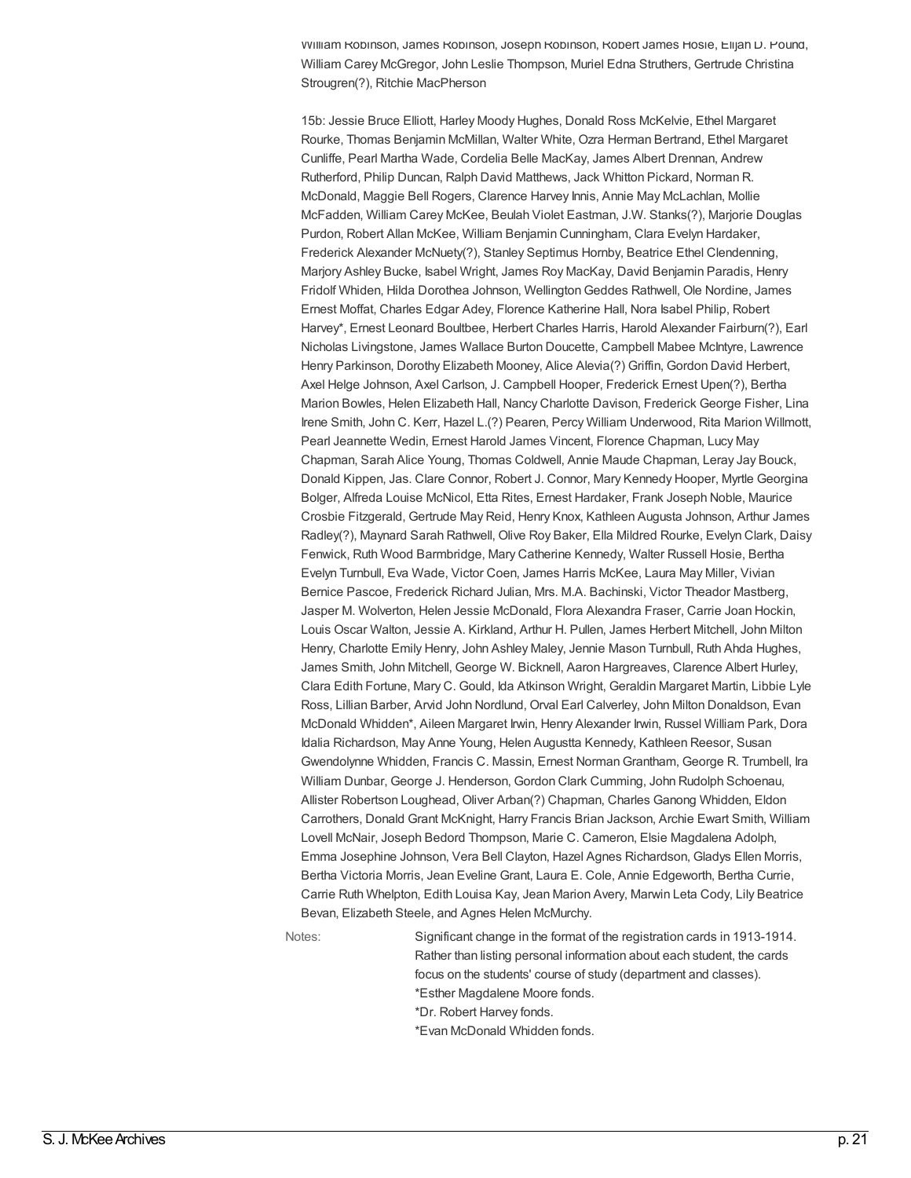William Robinson, James Robinson, Joseph Robinson, Robert James Hosie, Elijah D. Pound, William Carey McGregor, John Leslie Thompson, Muriel Edna Struthers, Gertrude Christina Strougren(?), Ritchie MacPherson

15b: Jessie Bruce Elliott, Harley Moody Hughes, Donald Ross McKelvie, Ethel Margaret Rourke, Thomas Benjamin McMillan, Walter White, Ozra Herman Bertrand, Ethel Margaret Cunliffe, Pearl Martha Wade, Cordelia Belle MacKay, James Albert Drennan, Andrew Rutherford, Philip Duncan, Ralph David Matthews, Jack Whitton Pickard, Norman R. McDonald, Maggie Bell Rogers, Clarence Harvey Innis, Annie May McLachlan, Mollie McFadden, William Carey McKee, Beulah Violet Eastman, J.W. Stanks(?), Marjorie Douglas Purdon, Robert Allan McKee, William Benjamin Cunningham, Clara Evelyn Hardaker, Frederick Alexander McNuety(?), Stanley Septimus Hornby, Beatrice Ethel Clendenning, Marjory Ashley Bucke, Isabel Wright, James Roy MacKay, David Benjamin Paradis, Henry Fridolf Whiden, Hilda Dorothea Johnson, WellingtonGeddes Rathwell, Ole Nordine, James Ernest Moffat, Charles Edgar Adey, Florence Katherine Hall, Nora Isabel Philip, Robert Harvey\*, Ernest Leonard Boultbee, Herbert Charles Harris, Harold Alexander Fairburn(?), Earl Nicholas Livingstone, James Wallace Burton Doucette, Campbell Mabee McIntyre, Lawrence Henry Parkinson, Dorothy Elizabeth Mooney, Alice Alevia(?) Griffin, Gordon David Herbert, Axel Helge Johnson, Axel Carlson, J. Campbell Hooper, Frederick Ernest Upen(?), Bertha Marion Bowles, Helen Elizabeth Hall, Nancy Charlotte Davison, Frederick George Fisher, Lina Irene Smith, John C. Kerr, Hazel L.(?) Pearen, Percy William Underwood, Rita Marion Willmott, Pearl Jeannette Wedin, Ernest Harold James Vincent, Florence Chapman, Lucy May Chapman, Sarah Alice Young, Thomas Coldwell, Annie Maude Chapman, Leray Jay Bouck, Donald Kippen, Jas. Clare Connor, Robert J. Connor, Mary Kennedy Hooper, Myrtle Georgina Bolger, Alfreda Louise McNicol, Etta Rites, Ernest Hardaker, Frank Joseph Noble, Maurice Crosbie Fitzgerald, Gertrude May Reid, Henry Knox, Kathleen Augusta Johnson, Arthur James Radley(?), Maynard Sarah Rathwell, Olive Roy Baker, Ella Mildred Rourke, Evelyn Clark, Daisy Fenwick, Ruth Wood Barmbridge, Mary Catherine Kennedy, Walter Russell Hosie, Bertha Evelyn Turnbull, Eva Wade, Victor Coen, James Harris McKee, Laura May Miller, Vivian Bernice Pascoe, Frederick Richard Julian, Mrs. M.A. Bachinski, Victor Theador Mastberg, Jasper M. Wolverton, Helen Jessie McDonald, Flora Alexandra Fraser, Carrie Joan Hockin, Louis Oscar Walton, Jessie A. Kirkland, Arthur H. Pullen, James Herbert Mitchell, John Milton Henry, Charlotte Emily Henry, John Ashley Maley, Jennie Mason Turnbull, Ruth Ahda Hughes, James Smith, John Mitchell, George W. Bicknell, Aaron Hargreaves, Clarence Albert Hurley, Clara Edith Fortune, Mary C. Gould, Ida Atkinson Wright, Geraldin Margaret Martin, Libbie Lyle Ross, Lillian Barber, Arvid John Nordlund, Orval Earl Calverley, John Milton Donaldson, Evan McDonald Whidden\*, Aileen Margaret Irwin, Henry Alexander Irwin, Russel William Park, Dora Idalia Richardson, May Anne Young, Helen Augustta Kennedy, Kathleen Reesor, Susan Gwendolynne Whidden, Francis C. Massin, Ernest NormanGrantham, George R. Trumbell, Ira William Dunbar, George J. Henderson, Gordon Clark Cumming, John Rudolph Schoenau, Allister Robertson Loughead, Oliver Arban(?) Chapman, Charles Ganong Whidden, Eldon Carrothers, Donald Grant McKnight, Harry Francis Brian Jackson, Archie Ewart Smith, William Lovell McNair, Joseph Bedord Thompson, Marie C. Cameron, Elsie Magdalena Adolph, Emma Josephine Johnson, Vera Bell Clayton, Hazel Agnes Richardson, Gladys Ellen Morris, Bertha Victoria Morris, Jean Eveline Grant, Laura E. Cole, Annie Edgeworth, Bertha Currie, Carrie Ruth Whelpton, Edith Louisa Kay, Jean Marion Avery, Marwin Leta Cody, Lily Beatrice Bevan, Elizabeth Steele, and Agnes Helen McMurchy.

Notes: Significant change in the format of the registration cards in 1913-1914. Rather than listing personal information about each student, the cards focus on the students' course of study (department and classes). \*Esther Magdalene Moore fonds. \*Dr. Robert Harvey fonds. \*Evan McDonald Whidden fonds.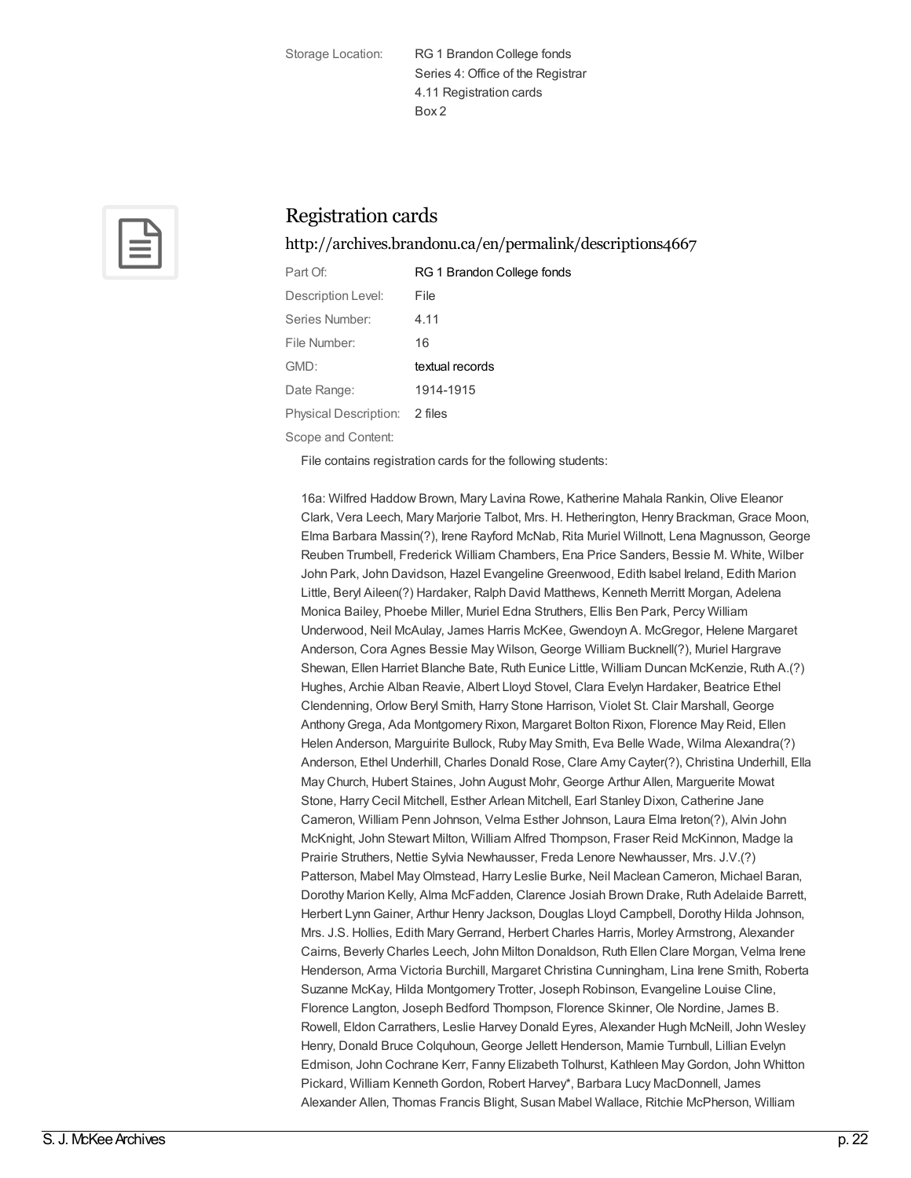Storage Location: RG 1 Brandon College fonds Series 4: Office of the Registrar 4.11 Registration cards Box 2



## Registration cards

<http://archives.brandonu.ca/en/permalink/descriptions4667>

| Part Of:                                  | RG 1 Brandon College fonds |
|-------------------------------------------|----------------------------|
| Description Level:                        | File                       |
| Series Number:                            | 4.11                       |
| File Number:                              | 16                         |
| GMD:                                      | textual records            |
| Date Range:                               | 1914-1915                  |
| Physical Description: 2 files             |                            |
| $\sim$ $\sim$ $\sim$ $\sim$ $\sim$ $\sim$ |                            |

Scope and Content:

File contains registration cards for the following students:

16a: Wilfred Haddow Brown, Mary Lavina Rowe, Katherine Mahala Rankin, Olive Eleanor Clark, Vera Leech, Mary Marjorie Talbot, Mrs. H. Hetherington, Henry Brackman, Grace Moon, Elma Barbara Massin(?), Irene Rayford McNab, Rita Muriel Willnott, Lena Magnusson, George Reuben Trumbell, Frederick William Chambers, Ena Price Sanders, Bessie M. White, Wilber John Park, John Davidson, Hazel Evangeline Greenwood, Edith Isabel Ireland, Edith Marion Little, Beryl Aileen(?) Hardaker, Ralph David Matthews, Kenneth Merritt Morgan, Adelena Monica Bailey, Phoebe Miller, Muriel Edna Struthers, Ellis Ben Park, Percy William Underwood, Neil McAulay, James Harris McKee, Gwendoyn A. McGregor, Helene Margaret Anderson, Cora Agnes Bessie May Wilson, George William Bucknell(?), Muriel Hargrave Shewan, Ellen Harriet Blanche Bate, Ruth Eunice Little, William Duncan McKenzie, Ruth A.(?) Hughes, Archie Alban Reavie, Albert Lloyd Stovel, Clara Evelyn Hardaker, Beatrice Ethel Clendenning, Orlow Beryl Smith, Harry Stone Harrison, Violet St. Clair Marshall, George AnthonyGrega, Ada Montgomery Rixon, Margaret Bolton Rixon, Florence May Reid, Ellen Helen Anderson, Marguirite Bullock, Ruby May Smith, Eva Belle Wade, Wilma Alexandra(?) Anderson, Ethel Underhill, Charles Donald Rose, Clare Amy Cayter(?), Christina Underhill, Ella May Church, Hubert Staines, John August Mohr, George Arthur Allen, Marguerite Mowat Stone, Harry Cecil Mitchell, Esther Arlean Mitchell, Earl Stanley Dixon, Catherine Jane Cameron, William Penn Johnson, Velma Esther Johnson, Laura Elma Ireton(?), Alvin John McKnight, John Stewart Milton, William Alfred Thompson, Fraser Reid McKinnon, Madge la Prairie Struthers, Nettie Sylvia Newhausser, Freda Lenore Newhausser, Mrs. J.V.(?) Patterson, Mabel MayOlmstead, Harry Leslie Burke, Neil Maclean Cameron, Michael Baran, Dorothy Marion Kelly, Alma McFadden, Clarence Josiah Brown Drake, Ruth Adelaide Barrett, Herbert LynnGainer, Arthur Henry Jackson, Douglas Lloyd Campbell, Dorothy Hilda Johnson, Mrs. J.S. Hollies, Edith MaryGerrand, Herbert Charles Harris, Morley Armstrong, Alexander Cairns, Beverly Charles Leech, John Milton Donaldson, Ruth Ellen Clare Morgan, Velma Irene Henderson, Arma Victoria Burchill, Margaret Christina Cunningham, Lina Irene Smith, Roberta Suzanne McKay, Hilda Montgomery Trotter, Joseph Robinson, Evangeline Louise Cline, Florence Langton, Joseph Bedford Thompson, Florence Skinner, Ole Nordine, James B. Rowell, Eldon Carrathers, Leslie Harvey Donald Eyres, Alexander Hugh McNeill, John Wesley Henry, Donald Bruce Colquhoun, George Jellett Henderson, Mamie Turnbull, Lillian Evelyn Edmison, John Cochrane Kerr, Fanny Elizabeth Tolhurst, Kathleen MayGordon, John Whitton Pickard, William Kenneth Gordon, Robert Harvey\*, Barbara Lucy MacDonnell, James Alexander Allen, Thomas Francis Blight, Susan Mabel Wallace, Ritchie McPherson, William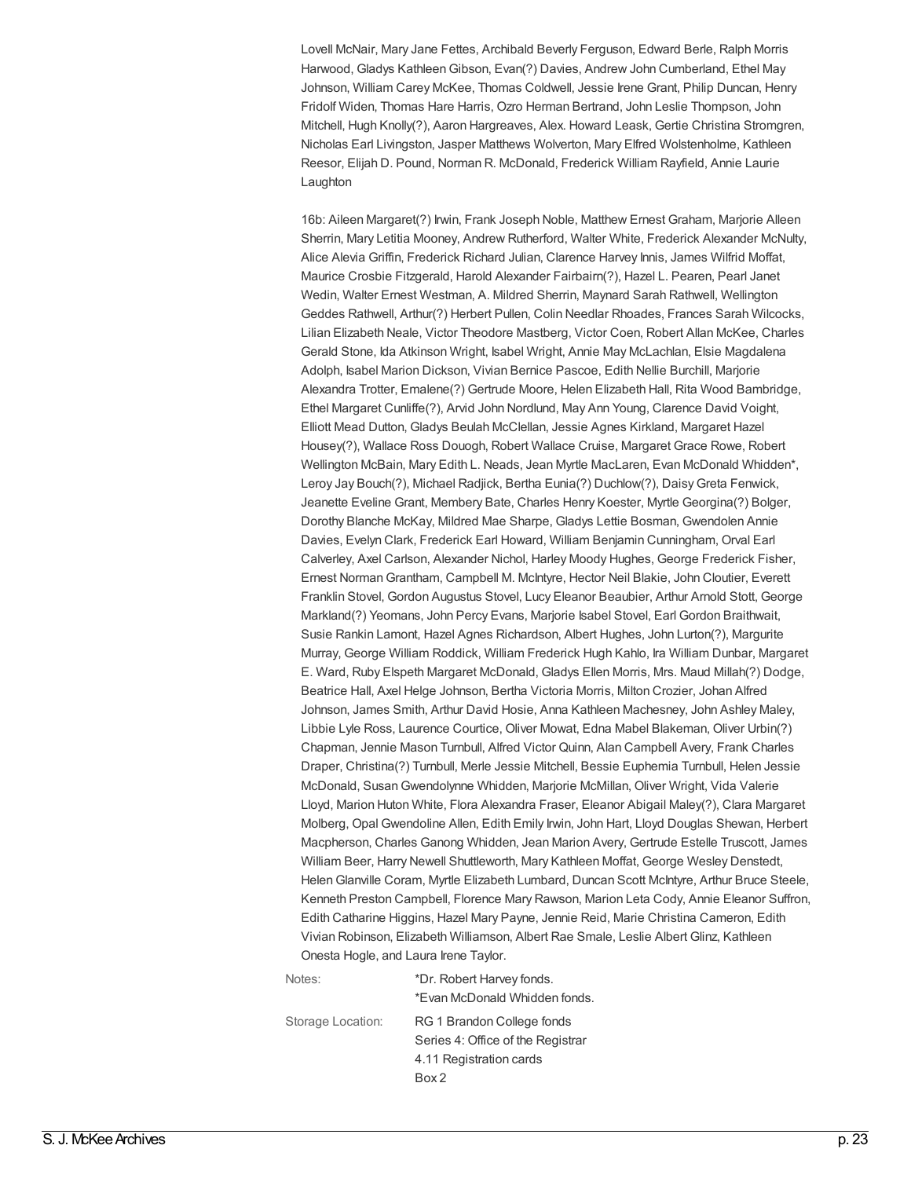Lovell McNair, Mary Jane Fettes, Archibald Beverly Ferguson, Edward Berle, Ralph Morris Harwood, Gladys KathleenGibson, Evan(?) Davies, Andrew John Cumberland, Ethel May Johnson, William Carey McKee, Thomas Coldwell, Jessie Irene Grant, Philip Duncan, Henry Fridolf Widen, Thomas Hare Harris, Ozro Herman Bertrand, John Leslie Thompson, John Mitchell, Hugh Knolly(?), Aaron Hargreaves, Alex. Howard Leask, Gertie Christina Stromgren, Nicholas Earl Livingston, Jasper Matthews Wolverton, Mary Elfred Wolstenholme, Kathleen Reesor, Elijah D. Pound, Norman R. McDonald, Frederick William Rayfield, Annie Laurie Laughton

16b: Aileen Margaret(?) Irwin, Frank Joseph Noble, Matthew Ernest Graham, Marjorie Alleen Sherrin, Mary Letitia Mooney, Andrew Rutherford, Walter White, Frederick Alexander McNulty, Alice Alevia Griffin, Frederick Richard Julian, Clarence Harvey Innis, James Wilfrid Moffat, Maurice Crosbie Fitzgerald, Harold Alexander Fairbairn(?), Hazel L. Pearen, Pearl Janet Wedin, Walter Ernest Westman, A. Mildred Sherrin, Maynard Sarah Rathwell, Wellington Geddes Rathwell, Arthur(?) Herbert Pullen, Colin Needlar Rhoades, Frances Sarah Wilcocks, Lilian Elizabeth Neale, Victor Theodore Mastberg, Victor Coen, Robert Allan McKee, Charles Gerald Stone, Ida Atkinson Wright, Isabel Wright, Annie May McLachlan, Elsie Magdalena Adolph, Isabel Marion Dickson, Vivian Bernice Pascoe, Edith Nellie Burchill, Marjorie Alexandra Trotter, Emalene(?) Gertrude Moore, Helen Elizabeth Hall, Rita Wood Bambridge, Ethel Margaret Cunliffe(?), Arvid John Nordlund, May Ann Young, Clarence David Voight, Elliott Mead Dutton, Gladys Beulah McClellan, Jessie Agnes Kirkland, Margaret Hazel Housey(?), Wallace Ross Douogh, Robert Wallace Cruise, Margaret Grace Rowe, Robert Wellington McBain, Mary Edith L. Neads, Jean Myrtle MacLaren, Evan McDonald Whidden\*, Leroy Jay Bouch(?), Michael Radjick, Bertha Eunia(?) Duchlow(?), DaisyGreta Fenwick, Jeanette Eveline Grant, Membery Bate, Charles Henry Koester, Myrtle Georgina(?) Bolger, Dorothy Blanche McKay, Mildred Mae Sharpe, Gladys Lettie Bosman, Gwendolen Annie Davies, Evelyn Clark, Frederick Earl Howard, William Benjamin Cunningham, Orval Earl Calverley, Axel Carlson, Alexander Nichol, Harley Moody Hughes, George Frederick Fisher, Ernest NormanGrantham, Campbell M. McIntyre, Hector Neil Blakie, John Cloutier, Everett Franklin Stovel, Gordon Augustus Stovel, Lucy Eleanor Beaubier, Arthur Arnold Stott, George Markland(?) Yeomans, John Percy Evans, Marjorie Isabel Stovel, Earl Gordon Braithwait, Susie Rankin Lamont, Hazel Agnes Richardson, Albert Hughes, John Lurton(?), Margurite Murray, George William Roddick, William Frederick Hugh Kahlo, Ira William Dunbar, Margaret E. Ward, Ruby Elspeth Margaret McDonald, Gladys Ellen Morris, Mrs. Maud Millah(?) Dodge, Beatrice Hall, Axel Helge Johnson, Bertha Victoria Morris, Milton Crozier, Johan Alfred Johnson, James Smith, Arthur David Hosie, Anna Kathleen Machesney, John Ashley Maley, Libbie Lyle Ross, Laurence Courtice, Oliver Mowat, Edna Mabel Blakeman, Oliver Urbin(?) Chapman, Jennie Mason Turnbull, Alfred Victor Quinn, Alan Campbell Avery, Frank Charles Draper, Christina(?) Turnbull, Merle Jessie Mitchell, Bessie Euphemia Turnbull, Helen Jessie McDonald, SusanGwendolynne Whidden, Marjorie McMillan, Oliver Wright, Vida Valerie Lloyd, Marion Huton White, Flora Alexandra Fraser, Eleanor Abigail Maley(?), Clara Margaret Molberg, Opal Gwendoline Allen, Edith Emily Irwin, John Hart, Lloyd Douglas Shewan, Herbert Macpherson, Charles Ganong Whidden, Jean Marion Avery, Gertrude Estelle Truscott, James William Beer, Harry Newell Shuttleworth, Mary Kathleen Moffat, George Wesley Denstedt, HelenGlanville Coram, Myrtle Elizabeth Lumbard, Duncan Scott McIntyre, Arthur Bruce Steele, Kenneth Preston Campbell, Florence Mary Rawson, Marion Leta Cody, Annie Eleanor Suffron, Edith Catharine Higgins, Hazel Mary Payne, Jennie Reid, Marie Christina Cameron, Edith Vivian Robinson, Elizabeth Williamson, Albert Rae Smale, Leslie Albert Glinz, Kathleen Onesta Hogle, and Laura Irene Taylor.

Notes:  $*Dr.$  Robert Harvey fonds. \*Evan McDonald Whidden fonds. Storage Location: RG 1 Brandon College fonds Series 4: Office of the Registrar 4.11 Registration cards Box 2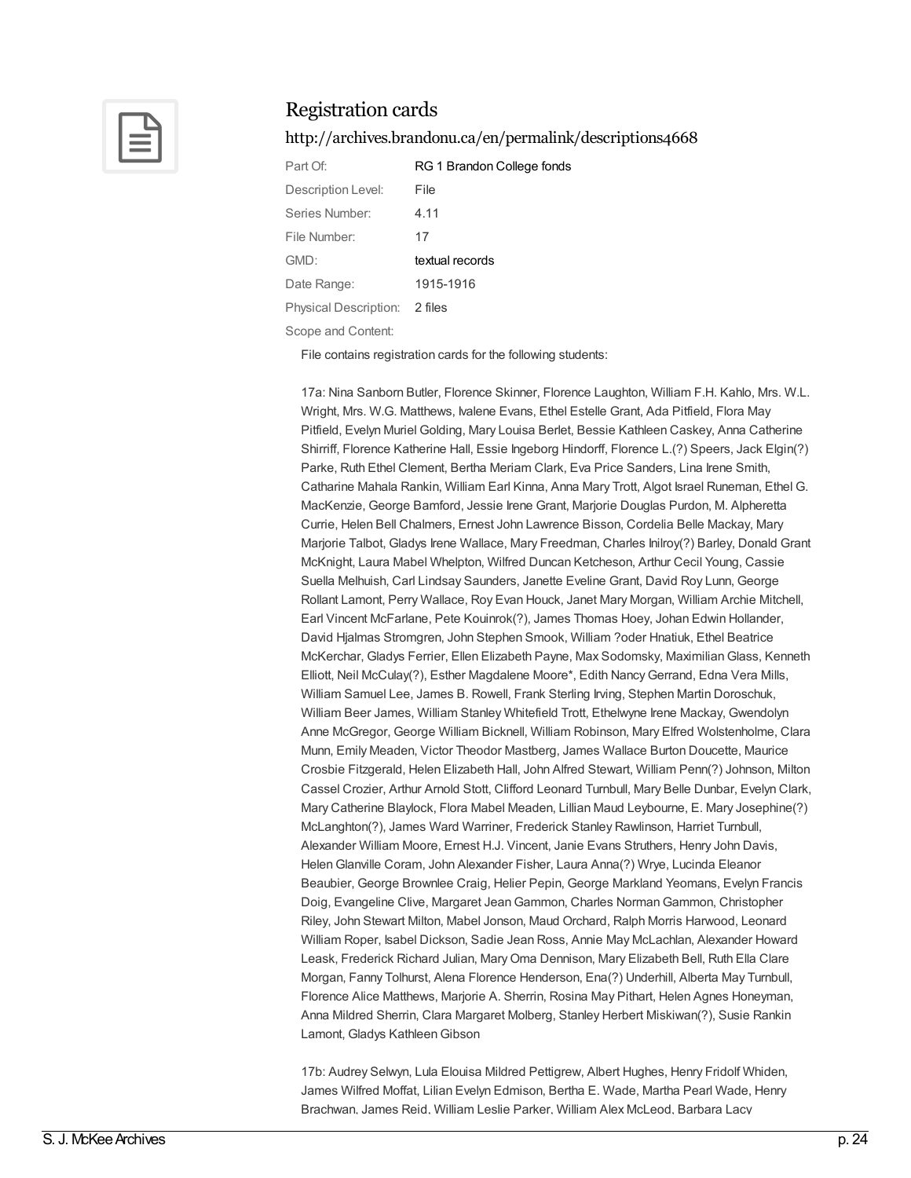

#### <http://archives.brandonu.ca/en/permalink/descriptions4668>

| Part Of:                     | RG 1 Brandon College fonds |
|------------------------------|----------------------------|
| Description Level:           | File                       |
| Series Number:               | 4.11                       |
| File Number:                 | 17                         |
| GMD:                         | textual records            |
| Date Range:                  | 1915-1916                  |
| <b>Physical Description:</b> | 2 files                    |
|                              |                            |

Scope and Content:

File contains registration cards for the following students:

17a: Nina Sanborn Butler, Florence Skinner, Florence Laughton, William F.H. Kahlo, Mrs. W.L. Wright, Mrs. W.G. Matthews, Ivalene Evans, Ethel Estelle Grant, Ada Pitfield, Flora May Pitfield, Evelyn Muriel Golding, Mary Louisa Berlet, Bessie Kathleen Caskey, Anna Catherine Shirriff, Florence Katherine Hall, Essie Ingeborg Hindorff, Florence L.(?) Speers, Jack Elgin(?) Parke, Ruth Ethel Clement, Bertha Meriam Clark, Eva Price Sanders, Lina Irene Smith, Catharine Mahala Rankin, William Earl Kinna, Anna Mary Trott, Algot Israel Runeman, Ethel G. MacKenzie, George Bamford, Jessie Irene Grant, Marjorie Douglas Purdon, M. Alpheretta Currie, Helen Bell Chalmers, Ernest John Lawrence Bisson, Cordelia Belle Mackay, Mary Marjorie Talbot, Gladys Irene Wallace, Mary Freedman, Charles Inilroy(?) Barley, Donald Grant McKnight, Laura Mabel Whelpton, Wilfred Duncan Ketcheson, Arthur Cecil Young, Cassie Suella Melhuish, Carl Lindsay Saunders, Janette Eveline Grant, David Roy Lunn, George Rollant Lamont, Perry Wallace, Roy Evan Houck, Janet Mary Morgan, William Archie Mitchell, Earl Vincent McFarlane, Pete Kouinrok(?), James Thomas Hoey, Johan Edwin Hollander, David Hjalmas Stromgren, John Stephen Smook, William ?oder Hnatiuk, Ethel Beatrice McKerchar, Gladys Ferrier, Ellen Elizabeth Payne, Max Sodomsky, MaximilianGlass, Kenneth Elliott, Neil McCulay(?), Esther Magdalene Moore\*, Edith NancyGerrand, Edna Vera Mills, William Samuel Lee, James B. Rowell, Frank Sterling Irving, Stephen Martin Doroschuk, William Beer James, William Stanley Whitefield Trott, Ethelwyne Irene Mackay, Gwendolyn Anne McGregor, George William Bicknell, William Robinson, Mary Elfred Wolstenholme, Clara Munn, Emily Meaden, Victor Theodor Mastberg, James Wallace Burton Doucette, Maurice Crosbie Fitzgerald, Helen Elizabeth Hall, John Alfred Stewart, William Penn(?) Johnson, Milton Cassel Crozier, Arthur Arnold Stott, Clifford Leonard Turnbull, Mary Belle Dunbar, Evelyn Clark, Mary Catherine Blaylock, Flora Mabel Meaden, Lillian Maud Leybourne, E. Mary Josephine(?) McLanghton(?), James Ward Warriner, Frederick Stanley Rawlinson, Harriet Turnbull, Alexander William Moore, Ernest H.J. Vincent, Janie Evans Struthers, Henry John Davis, HelenGlanville Coram, John Alexander Fisher, Laura Anna(?) Wrye, Lucinda Eleanor Beaubier, George Brownlee Craig, Helier Pepin, George Markland Yeomans, Evelyn Francis Doig, Evangeline Clive, Margaret JeanGammon, Charles NormanGammon, Christopher Riley, John Stewart Milton, Mabel Jonson, Maud Orchard, Ralph Morris Harwood, Leonard William Roper, Isabel Dickson, Sadie Jean Ross, Annie May McLachlan, Alexander Howard Leask, Frederick Richard Julian, MaryOma Dennison, Mary Elizabeth Bell, Ruth Ella Clare Morgan, Fanny Tolhurst, Alena Florence Henderson, Ena(?) Underhill, Alberta May Turnbull, Florence Alice Matthews, Marjorie A. Sherrin, Rosina May Pithart, Helen Agnes Honeyman, Anna Mildred Sherrin, Clara Margaret Molberg, Stanley Herbert Miskiwan(?), Susie Rankin Lamont, Gladys Kathleen Gibson

17b: Audrey Selwyn, Lula Elouisa Mildred Pettigrew, Albert Hughes, Henry Fridolf Whiden, James Wilfred Moffat, Lilian Evelyn Edmison, Bertha E. Wade, Martha Pearl Wade, Henry Brachwan, James Reid, William Leslie Parker, William Alex McLeod, Barbara Lacy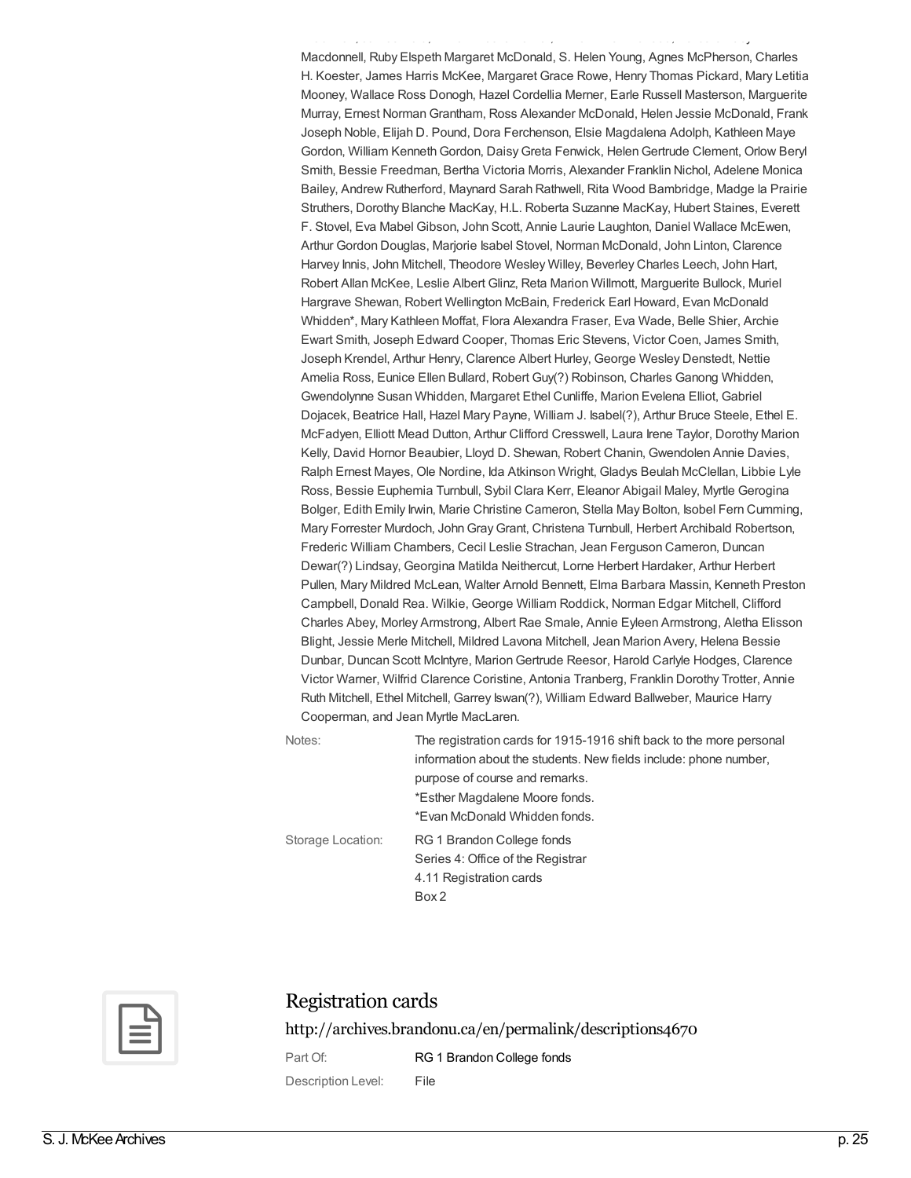Macdonnell, Ruby Elspeth Margaret McDonald, S. Helen Young, Agnes McPherson, Charles H. Koester, James Harris McKee, Margaret Grace Rowe, Henry Thomas Pickard, Mary Letitia Mooney, Wallace Ross Donogh, Hazel Cordellia Merner, Earle Russell Masterson, Marguerite Murray, Ernest NormanGrantham, Ross Alexander McDonald, Helen Jessie McDonald, Frank Joseph Noble, Elijah D. Pound, Dora Ferchenson, Elsie Magdalena Adolph, Kathleen Maye Gordon, William Kenneth Gordon, Daisy Greta Fenwick, Helen Gertrude Clement, Orlow Beryl Smith, Bessie Freedman, Bertha Victoria Morris, Alexander Franklin Nichol, Adelene Monica Bailey, Andrew Rutherford, Maynard Sarah Rathwell, Rita Wood Bambridge, Madge la Prairie Struthers, Dorothy Blanche MacKay, H.L. Roberta Suzanne MacKay, Hubert Staines, Everett F. Stovel, Eva Mabel Gibson, John Scott, Annie Laurie Laughton, Daniel Wallace McEwen, Arthur Gordon Douglas, Marjorie Isabel Stovel, Norman McDonald, John Linton, Clarence Harvey Innis, John Mitchell, Theodore Wesley Willey, Beverley Charles Leech, John Hart, Robert Allan McKee, Leslie Albert Glinz, Reta Marion Willmott, Marguerite Bullock, Muriel Hargrave Shewan, Robert Wellington McBain, Frederick Earl Howard, Evan McDonald Whidden\*, Mary Kathleen Moffat, Flora Alexandra Fraser, Eva Wade, Belle Shier, Archie Ewart Smith, Joseph Edward Cooper, Thomas Eric Stevens, Victor Coen, James Smith, Joseph Krendel, Arthur Henry, Clarence Albert Hurley, George Wesley Denstedt, Nettie Amelia Ross, Eunice Ellen Bullard, Robert Guy(?) Robinson, Charles Ganong Whidden, Gwendolynne Susan Whidden, Margaret Ethel Cunliffe, Marion Evelena Elliot, Gabriel Dojacek, Beatrice Hall, Hazel Mary Payne, William J. Isabel(?), Arthur Bruce Steele, Ethel E. McFadyen, Elliott Mead Dutton, Arthur Clifford Cresswell, Laura Irene Taylor, Dorothy Marion Kelly, David Hornor Beaubier, Lloyd D. Shewan, Robert Chanin, Gwendolen Annie Davies, Ralph Ernest Mayes, Ole Nordine, Ida Atkinson Wright, Gladys Beulah McClellan, Libbie Lyle Ross, Bessie Euphemia Turnbull, Sybil Clara Kerr, Eleanor Abigail Maley, Myrtle Gerogina Bolger, Edith Emily Irwin, Marie Christine Cameron, Stella May Bolton, Isobel Fern Cumming, Mary Forrester Murdoch, JohnGrayGrant, Christena Turnbull, Herbert Archibald Robertson, Frederic William Chambers, Cecil Leslie Strachan, Jean Ferguson Cameron, Duncan Dewar(?) Lindsay, Georgina Matilda Neithercut, Lorne Herbert Hardaker, Arthur Herbert Pullen, Mary Mildred McLean, Walter Arnold Bennett, Elma Barbara Massin, Kenneth Preston Campbell, Donald Rea. Wilkie, George William Roddick, Norman Edgar Mitchell, Clifford Charles Abey, Morley Armstrong, Albert Rae Smale, Annie Eyleen Armstrong, Aletha Elisson Blight, Jessie Merle Mitchell, Mildred Lavona Mitchell, Jean Marion Avery, Helena Bessie Dunbar, Duncan Scott McIntyre, MarionGertrude Reesor, Harold Carlyle Hodges, Clarence Victor Warner, Wilfrid Clarence Coristine, Antonia Tranberg, Franklin Dorothy Trotter, Annie Ruth Mitchell, Ethel Mitchell, Garrey Iswan(?), William Edward Ballweber, Maurice Harry Cooperman, and Jean Myrtle MacLaren.

Brachwan, James Reid, William Leslie Parker, William Alex McLeod, Barbara Lacy

| Notes:            | The registration cards for 1915-1916 shift back to the more personal<br>information about the students. New fields include: phone number, |  |
|-------------------|-------------------------------------------------------------------------------------------------------------------------------------------|--|
|                   | purpose of course and remarks.<br>*Esther Magdalene Moore fonds.<br>*Evan McDonald Whidden fonds.                                         |  |
| Storage Location: | RG 1 Brandon College fonds<br>Series 4: Office of the Registrar<br>4.11 Registration cards<br>Box 2                                       |  |



#### Registration cards

<http://archives.brandonu.ca/en/permalink/descriptions4670>

Part Of: RG 1 [Brandon](http://archives.brandonu.ca/en/list?q=setName%3a%22RG+1+Brandon+College+fonds%22&p=1&ps=&sort=title_sort+asc) College fonds Description Level: File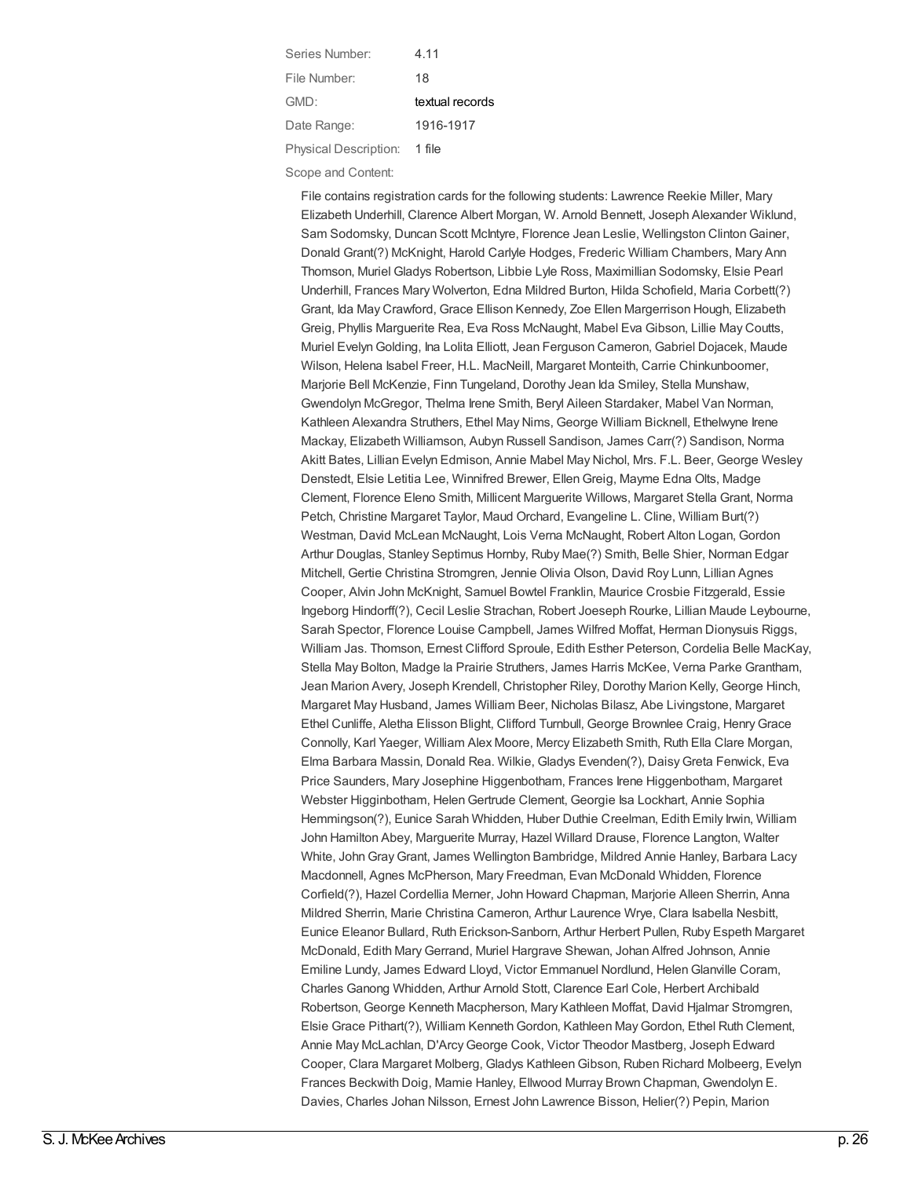| Series Number:               | 4 11            |
|------------------------------|-----------------|
| File Number:                 | 18              |
| GMD:                         | textual records |
| Date Range:                  | 1916-1917       |
| <b>Physical Description:</b> | 1 file          |

Scope and Content:

File contains registration cards for the following students: Lawrence Reekie Miller, Mary Elizabeth Underhill, Clarence Albert Morgan, W. Arnold Bennett, Joseph Alexander Wiklund, Sam Sodomsky, Duncan Scott McIntyre, Florence Jean Leslie, Wellingston ClintonGainer, Donald Grant(?) McKnight, Harold Carlyle Hodges, Frederic William Chambers, Mary Ann Thomson, Muriel Gladys Robertson, Libbie Lyle Ross, Maximillian Sodomsky, Elsie Pearl Underhill, Frances Mary Wolverton, Edna Mildred Burton, Hilda Schofield, Maria Corbett(?) Grant, Ida May Crawford, Grace Ellison Kennedy, Zoe Ellen Margerrison Hough, Elizabeth Greig, Phyllis Marguerite Rea, Eva Ross McNaught, Mabel Eva Gibson, Lillie May Coutts, Muriel EvelynGolding, Ina Lolita Elliott, Jean Ferguson Cameron, Gabriel Dojacek, Maude Wilson, Helena Isabel Freer, H.L. MacNeill, Margaret Monteith, Carrie Chinkunboomer, Marjorie Bell McKenzie, Finn Tungeland, Dorothy Jean Ida Smiley, Stella Munshaw, Gwendolyn McGregor, Thelma Irene Smith, Beryl Aileen Stardaker, Mabel Van Norman, Kathleen Alexandra Struthers, Ethel May Nims, George William Bicknell, Ethelwyne Irene Mackay, Elizabeth Williamson, Aubyn Russell Sandison, James Carr(?) Sandison, Norma Akitt Bates, Lillian Evelyn Edmison, Annie Mabel May Nichol, Mrs. F.L. Beer, George Wesley Denstedt, Elsie Letitia Lee, Winnifred Brewer, EllenGreig, Mayme Edna Olts, Madge Clement, Florence Eleno Smith, Millicent Marguerite Willows, Margaret Stella Grant, Norma Petch, Christine Margaret Taylor, Maud Orchard, Evangeline L. Cline, William Burt(?) Westman, David McLean McNaught, Lois Verna McNaught, Robert Alton Logan, Gordon Arthur Douglas, Stanley Septimus Hornby, Ruby Mae(?) Smith, Belle Shier, Norman Edgar Mitchell, Gertie Christina Stromgren, Jennie Olivia Olson, David Roy Lunn, Lillian Agnes Cooper, Alvin John McKnight, Samuel Bowtel Franklin, Maurice Crosbie Fitzgerald, Essie Ingeborg Hindorff(?), Cecil Leslie Strachan, Robert Joeseph Rourke, Lillian Maude Leybourne, Sarah Spector, Florence Louise Campbell, James Wilfred Moffat, Herman Dionysuis Riggs, William Jas. Thomson, Ernest Clifford Sproule, Edith Esther Peterson, Cordelia Belle MacKay, Stella May Bolton, Madge la Prairie Struthers, James Harris McKee, Verna Parke Grantham, Jean Marion Avery, Joseph Krendell, Christopher Riley, Dorothy Marion Kelly, George Hinch, Margaret May Husband, James William Beer, Nicholas Bilasz, Abe Livingstone, Margaret Ethel Cunliffe, Aletha Elisson Blight, Clifford Turnbull, George Brownlee Craig, HenryGrace Connolly, Karl Yaeger, William Alex Moore, Mercy Elizabeth Smith, Ruth Ella Clare Morgan, Elma Barbara Massin, Donald Rea. Wilkie, Gladys Evenden(?), DaisyGreta Fenwick, Eva Price Saunders, Mary Josephine Higgenbotham, Frances Irene Higgenbotham, Margaret Webster Higginbotham, HelenGertrude Clement, Georgie Isa Lockhart, Annie Sophia Hemmingson(?), Eunice Sarah Whidden, Huber Duthie Creelman, Edith Emily Irwin, William John Hamilton Abey, Marguerite Murray, Hazel Willard Drause, Florence Langton, Walter White, JohnGrayGrant, James Wellington Bambridge, Mildred Annie Hanley, Barbara Lacy Macdonnell, Agnes McPherson, Mary Freedman, Evan McDonald Whidden, Florence Corfield(?), Hazel Cordellia Merner, John Howard Chapman, Marjorie Alleen Sherrin, Anna Mildred Sherrin, Marie Christina Cameron, Arthur Laurence Wrye, Clara Isabella Nesbitt, Eunice Eleanor Bullard, Ruth Erickson-Sanborn, Arthur Herbert Pullen, Ruby Espeth Margaret McDonald, Edith MaryGerrand, Muriel Hargrave Shewan, Johan Alfred Johnson, Annie Emiline Lundy, James Edward Lloyd, Victor Emmanuel Nordlund, HelenGlanville Coram, Charles Ganong Whidden, Arthur Arnold Stott, Clarence Earl Cole, Herbert Archibald Robertson, George Kenneth Macpherson, Mary Kathleen Moffat, David Hjalmar Stromgren, Elsie Grace Pithart(?), William KennethGordon, Kathleen MayGordon, Ethel Ruth Clement, Annie May McLachlan, D'ArcyGeorge Cook, Victor Theodor Mastberg, Joseph Edward Cooper, Clara Margaret Molberg, Gladys KathleenGibson, Ruben Richard Molbeerg, Evelyn Frances Beckwith Doig, Mamie Hanley, Ellwood Murray Brown Chapman, Gwendolyn E. Davies, Charles Johan Nilsson, Ernest John Lawrence Bisson, Helier(?) Pepin, Marion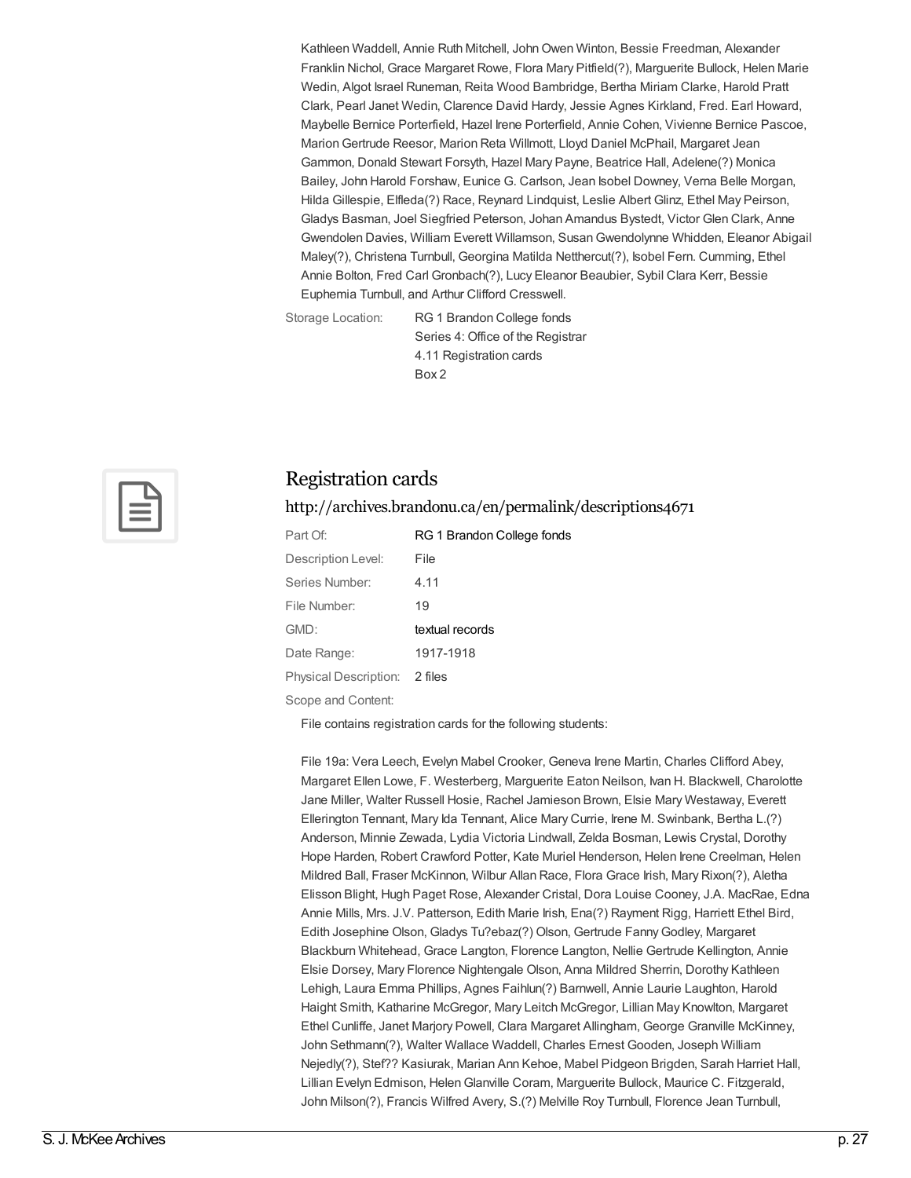Kathleen Waddell, Annie Ruth Mitchell, JohnOwen Winton, Bessie Freedman, Alexander Franklin Nichol, Grace Margaret Rowe, Flora Mary Pitfield(?), Marguerite Bullock, Helen Marie Wedin, Algot Israel Runeman, Reita Wood Bambridge, Bertha Miriam Clarke, Harold Pratt Clark, Pearl Janet Wedin, Clarence David Hardy, Jessie Agnes Kirkland, Fred. Earl Howard, Maybelle Bernice Porterfield, Hazel Irene Porterfield, Annie Cohen, Vivienne Bernice Pascoe, MarionGertrude Reesor, Marion Reta Willmott, Lloyd Daniel McPhail, Margaret Jean Gammon, Donald Stewart Forsyth, Hazel Mary Payne, Beatrice Hall, Adelene(?) Monica Bailey, John Harold Forshaw, Eunice G. Carlson, Jean Isobel Downey, Verna Belle Morgan, Hilda Gillespie, Elfleda(?) Race, Reynard Lindquist, Leslie Albert Glinz, Ethel May Peirson, Gladys Basman, Joel Siegfried Peterson, Johan Amandus Bystedt, Victor Glen Clark, Anne Gwendolen Davies, William Everett Willamson, SusanGwendolynne Whidden, Eleanor Abigail Maley(?), Christena Turnbull, Georgina Matilda Netthercut(?), Isobel Fern. Cumming, Ethel Annie Bolton, Fred Carl Gronbach(?), Lucy Eleanor Beaubier, Sybil Clara Kerr, Bessie Euphemia Turnbull, and Arthur Clifford Cresswell.

Storage Location: RG 1 Brandon College fonds Series 4: Office of the Registrar 4.11 Registration cards Box 2



#### Registration cards

<http://archives.brandonu.ca/en/permalink/descriptions4671>

| Part Of:                      | RG 1 Brandon College fonds |
|-------------------------------|----------------------------|
| Description Level:            | File                       |
| Series Number:                | 4.11                       |
| File Number:                  | 19                         |
| GMD:                          | textual records            |
| Date Range:                   | 1917-1918                  |
| Physical Description: 2 files |                            |
|                               |                            |

Scope and Content:

File contains registration cards for the following students:

File 19a: Vera Leech, Evelyn Mabel Crooker, Geneva Irene Martin, Charles Clifford Abey, Margaret Ellen Lowe, F. Westerberg, Marguerite Eaton Neilson, Ivan H. Blackwell, Charolotte Jane Miller, Walter Russell Hosie, Rachel Jamieson Brown, Elsie Mary Westaway, Everett Ellerington Tennant, Mary Ida Tennant, Alice Mary Currie, Irene M. Swinbank, Bertha L.(?) Anderson, Minnie Zewada, Lydia Victoria Lindwall, Zelda Bosman, Lewis Crystal, Dorothy Hope Harden, Robert Crawford Potter, Kate Muriel Henderson, Helen Irene Creelman, Helen Mildred Ball, Fraser McKinnon, Wilbur Allan Race, Flora Grace Irish, Mary Rixon(?), Aletha Elisson Blight, Hugh Paget Rose, Alexander Cristal, Dora Louise Cooney, J.A. MacRae, Edna Annie Mills, Mrs. J.V. Patterson, Edith Marie Irish, Ena(?) Rayment Rigg, Harriett Ethel Bird, Edith Josephine Olson, Gladys Tu?ebaz(?) Olson, Gertrude Fanny Godley, Margaret Blackburn Whitehead, Grace Langton, Florence Langton, Nellie Gertrude Kellington, Annie Elsie Dorsey, Mary Florence Nightengale Olson, Anna Mildred Sherrin, Dorothy Kathleen Lehigh, Laura Emma Phillips, Agnes Faihlun(?) Barnwell, Annie Laurie Laughton, Harold Haight Smith, Katharine McGregor, Mary Leitch McGregor, Lillian May Knowlton, Margaret Ethel Cunliffe, Janet Marjory Powell, Clara Margaret Allingham, George Granville McKinney, John Sethmann(?), Walter Wallace Waddell, Charles Ernest Gooden, Joseph William Nejedly(?), Stef?? Kasiurak, Marian Ann Kehoe, Mabel Pidgeon Brigden, Sarah Harriet Hall, Lillian Evelyn Edmison, HelenGlanville Coram, Marguerite Bullock, Maurice C. Fitzgerald, John Milson(?), Francis Wilfred Avery, S.(?) Melville Roy Turnbull, Florence Jean Turnbull,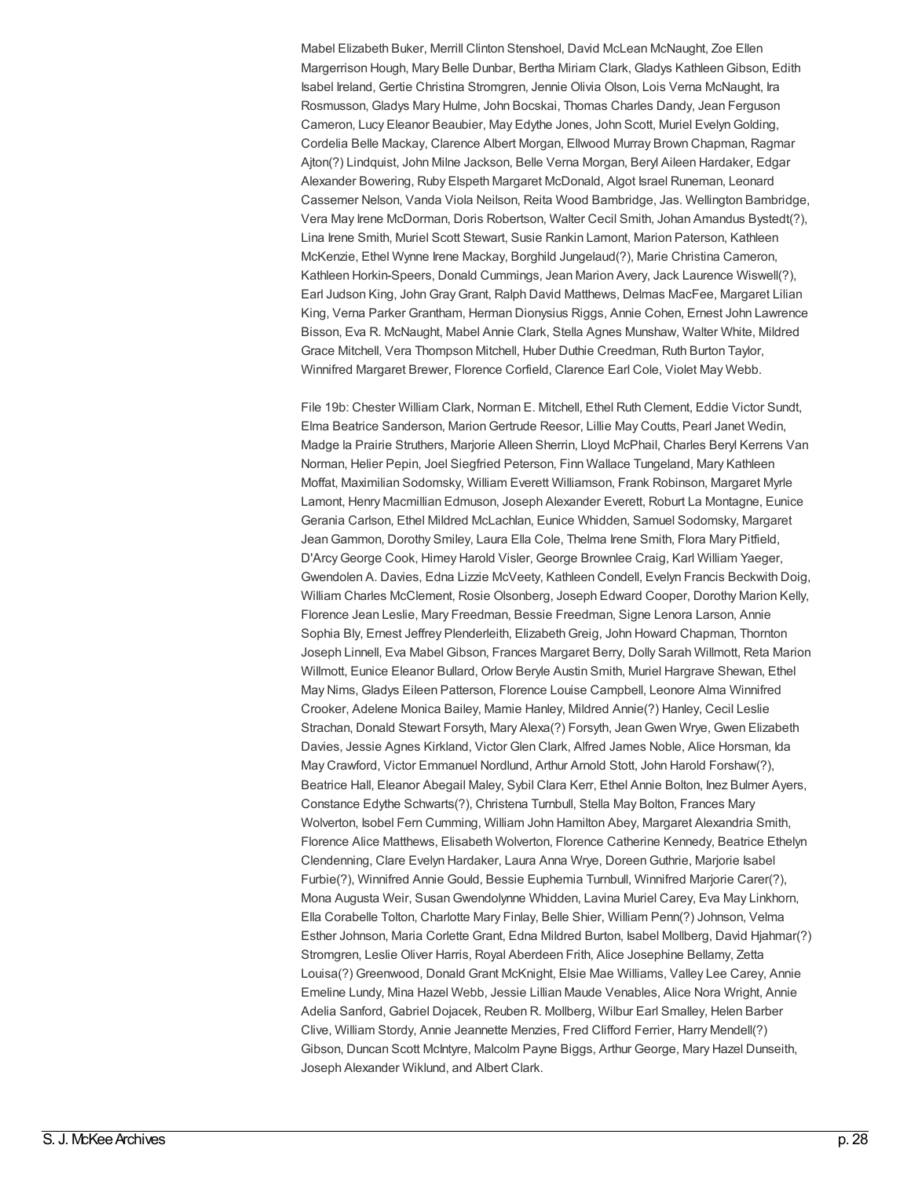Mabel Elizabeth Buker, Merrill Clinton Stenshoel, David McLean McNaught, Zoe Ellen Margerrison Hough, Mary Belle Dunbar, Bertha Miriam Clark, Gladys KathleenGibson, Edith Isabel Ireland, Gertie Christina Stromgren, Jennie Olivia Olson, Lois Verna McNaught, Ira Rosmusson, Gladys Mary Hulme, John Bocskai, Thomas Charles Dandy, Jean Ferguson Cameron, Lucy Eleanor Beaubier, May Edythe Jones, John Scott, Muriel EvelynGolding, Cordelia Belle Mackay, Clarence Albert Morgan, Ellwood Murray Brown Chapman, Ragmar Ajton(?) Lindquist, John Milne Jackson, Belle Verna Morgan, Beryl Aileen Hardaker, Edgar Alexander Bowering, Ruby Elspeth Margaret McDonald, Algot Israel Runeman, Leonard Cassemer Nelson, Vanda Viola Neilson, Reita Wood Bambridge, Jas. Wellington Bambridge, Vera May Irene McDorman, Doris Robertson, Walter Cecil Smith, Johan Amandus Bystedt(?), Lina Irene Smith, Muriel Scott Stewart, Susie Rankin Lamont, Marion Paterson, Kathleen McKenzie, Ethel Wynne Irene Mackay, Borghild Jungelaud(?), Marie Christina Cameron, Kathleen Horkin-Speers, Donald Cummings, Jean Marion Avery, Jack Laurence Wiswell(?), Earl Judson King, JohnGrayGrant, Ralph David Matthews, Delmas MacFee, Margaret Lilian King, Verna Parker Grantham, Herman Dionysius Riggs, Annie Cohen, Ernest John Lawrence Bisson, Eva R. McNaught, Mabel Annie Clark, Stella Agnes Munshaw, Walter White, Mildred Grace Mitchell, Vera Thompson Mitchell, Huber Duthie Creedman, Ruth Burton Taylor, Winnifred Margaret Brewer, Florence Corfield, Clarence Earl Cole, Violet May Webb.

File 19b: Chester William Clark, Norman E. Mitchell, Ethel Ruth Clement, Eddie Victor Sundt, Elma Beatrice Sanderson, MarionGertrude Reesor, Lillie May Coutts, Pearl Janet Wedin, Madge la Prairie Struthers, Marjorie Alleen Sherrin, Lloyd McPhail, Charles Beryl Kerrens Van Norman, Helier Pepin, Joel Siegfried Peterson, Finn Wallace Tungeland, Mary Kathleen Moffat, Maximilian Sodomsky, William Everett Williamson, Frank Robinson, Margaret Myrle Lamont, Henry Macmillian Edmuson, Joseph Alexander Everett, Roburt La Montagne, Eunice Gerania Carlson, Ethel Mildred McLachlan, Eunice Whidden, Samuel Sodomsky, Margaret JeanGammon, Dorothy Smiley, Laura Ella Cole, Thelma Irene Smith, Flora Mary Pitfield, D'ArcyGeorge Cook, Himey Harold Visler, George Brownlee Craig, Karl William Yaeger, Gwendolen A. Davies, Edna Lizzie McVeety, Kathleen Condell, Evelyn Francis Beckwith Doig, William Charles McClement, Rosie Olsonberg, Joseph Edward Cooper, Dorothy Marion Kelly, Florence Jean Leslie, Mary Freedman, Bessie Freedman, Signe Lenora Larson, Annie Sophia Bly, Ernest Jeffrey Plenderleith, ElizabethGreig, John Howard Chapman, Thornton Joseph Linnell, Eva Mabel Gibson, Frances Margaret Berry, Dolly Sarah Willmott, Reta Marion Willmott, Eunice Eleanor Bullard, Orlow Beryle Austin Smith, Muriel Hargrave Shewan, Ethel May Nims, Gladys Eileen Patterson, Florence Louise Campbell, Leonore Alma Winnifred Crooker, Adelene Monica Bailey, Mamie Hanley, Mildred Annie(?) Hanley, Cecil Leslie Strachan, Donald Stewart Forsyth, Mary Alexa(?) Forsyth, JeanGwen Wrye, Gwen Elizabeth Davies, Jessie Agnes Kirkland, Victor Glen Clark, Alfred James Noble, Alice Horsman, Ida May Crawford, Victor Emmanuel Nordlund, Arthur Arnold Stott, John Harold Forshaw(?), Beatrice Hall, Eleanor Abegail Maley, Sybil Clara Kerr, Ethel Annie Bolton, Inez Bulmer Ayers, Constance Edythe Schwarts(?), Christena Turnbull, Stella May Bolton, Frances Mary Wolverton, Isobel Fern Cumming, William John Hamilton Abey, Margaret Alexandria Smith, Florence Alice Matthews, Elisabeth Wolverton, Florence Catherine Kennedy, Beatrice Ethelyn Clendenning, Clare Evelyn Hardaker, Laura Anna Wrye, DoreenGuthrie, Marjorie Isabel Furbie(?), Winnifred Annie Gould, Bessie Euphemia Turnbull, Winnifred Marjorie Carer(?), Mona Augusta Weir, SusanGwendolynne Whidden, Lavina Muriel Carey, Eva May Linkhorn, Ella Corabelle Tolton, Charlotte Mary Finlay, Belle Shier, William Penn(?) Johnson, Velma Esther Johnson, Maria Corlette Grant, Edna Mildred Burton, Isabel Mollberg, David Hjahmar(?) Stromgren, Leslie Oliver Harris, Royal Aberdeen Frith, Alice Josephine Bellamy, Zetta Louisa(?) Greenwood, Donald Grant McKnight, Elsie Mae Williams, Valley Lee Carey, Annie Emeline Lundy, Mina Hazel Webb, Jessie Lillian Maude Venables, Alice Nora Wright, Annie Adelia Sanford, Gabriel Dojacek, Reuben R. Mollberg, Wilbur Earl Smalley, Helen Barber Clive, William Stordy, Annie Jeannette Menzies, Fred Clifford Ferrier, Harry Mendell(?) Gibson, Duncan Scott McIntyre, Malcolm Payne Biggs, Arthur George, Mary Hazel Dunseith, Joseph Alexander Wiklund, and Albert Clark.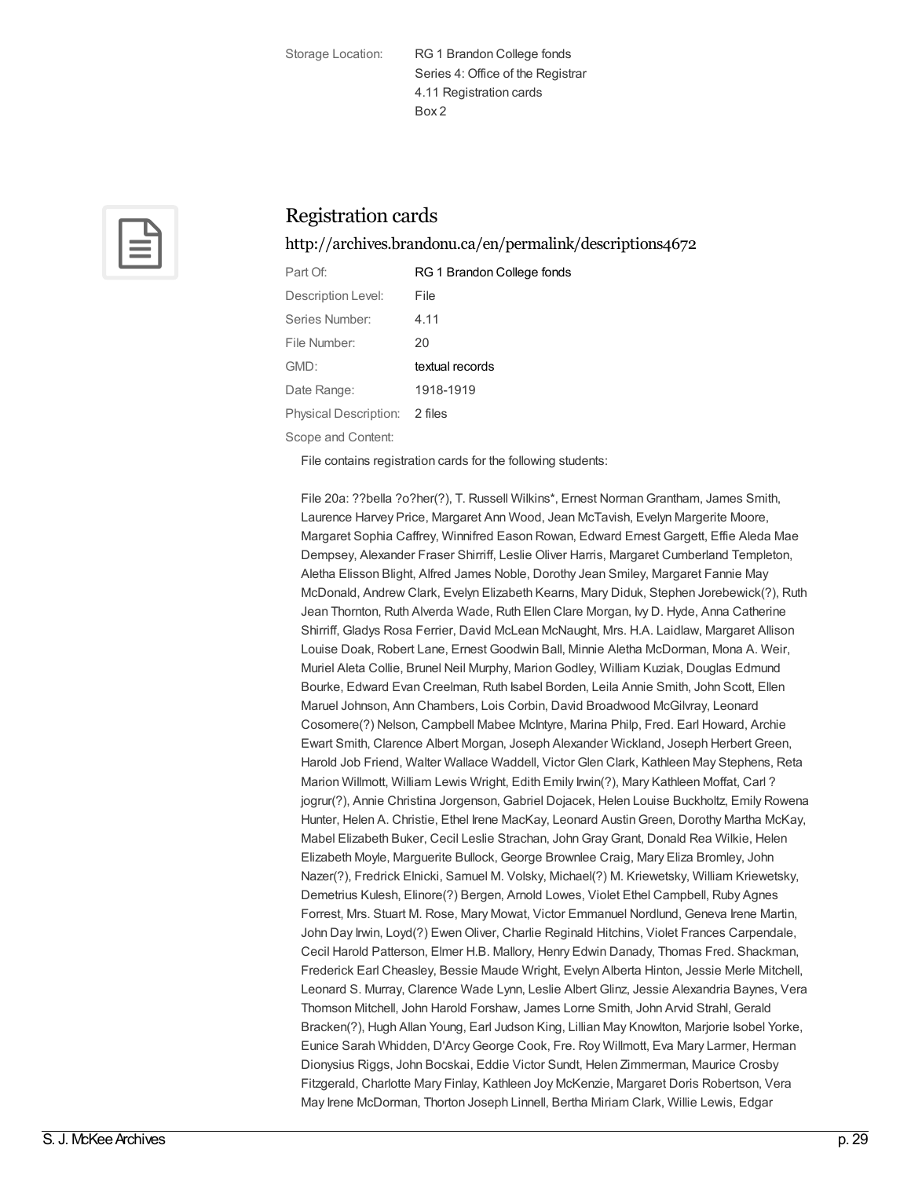Storage Location: RG 1 Brandon College fonds Series 4: Office of the Registrar 4.11 Registration cards Box 2



## Registration cards

<http://archives.brandonu.ca/en/permalink/descriptions4672>

| Part Of:              | RG 1 Brandon College fonds |
|-----------------------|----------------------------|
| Description Level:    | File                       |
| Series Number:        | 4.11                       |
| File Number:          | 20                         |
| GMD:                  | textual records            |
| Date Range:           | 1918-1919                  |
| Physical Description: | 2 files                    |
| Scope and Content:    |                            |

File contains registration cards for the following students:

File 20a: ??bella ?o?her(?), T. Russell Wilkins\*, Ernest NormanGrantham, James Smith, Laurence Harvey Price, Margaret Ann Wood, Jean McTavish, Evelyn Margerite Moore, Margaret Sophia Caffrey, Winnifred Eason Rowan, Edward Ernest Gargett, Effie Aleda Mae Dempsey, Alexander Fraser Shirriff, Leslie Oliver Harris, Margaret Cumberland Templeton, Aletha Elisson Blight, Alfred James Noble, Dorothy Jean Smiley, Margaret Fannie May McDonald, Andrew Clark, Evelyn Elizabeth Kearns, Mary Diduk, Stephen Jorebewick(?), Ruth Jean Thornton, Ruth Alverda Wade, Ruth Ellen Clare Morgan, Ivy D. Hyde, Anna Catherine Shirriff, Gladys Rosa Ferrier, David McLean McNaught, Mrs. H.A. Laidlaw, Margaret Allison Louise Doak, Robert Lane, Ernest Goodwin Ball, Minnie Aletha McDorman, Mona A. Weir, Muriel Aleta Collie, Brunel Neil Murphy, MarionGodley, William Kuziak, Douglas Edmund Bourke, Edward Evan Creelman, Ruth Isabel Borden, Leila Annie Smith, John Scott, Ellen Maruel Johnson, Ann Chambers, Lois Corbin, David Broadwood McGilvray, Leonard Cosomere(?) Nelson, Campbell Mabee McIntyre, Marina Philp, Fred. Earl Howard, Archie Ewart Smith, Clarence Albert Morgan, Joseph Alexander Wickland, Joseph Herbert Green, Harold Job Friend, Walter Wallace Waddell, Victor Glen Clark, Kathleen May Stephens, Reta Marion Willmott, William Lewis Wright, Edith Emily Irwin(?), Mary Kathleen Moffat, Carl ? jogrur(?), Annie Christina Jorgenson, Gabriel Dojacek, Helen Louise Buckholtz, Emily Rowena Hunter, Helen A. Christie, Ethel Irene MacKay, Leonard AustinGreen, Dorothy Martha McKay, Mabel Elizabeth Buker, Cecil Leslie Strachan, JohnGrayGrant, Donald Rea Wilkie, Helen Elizabeth Moyle, Marguerite Bullock, George Brownlee Craig, Mary Eliza Bromley, John Nazer(?), Fredrick Elnicki, Samuel M. Volsky, Michael(?) M. Kriewetsky, William Kriewetsky, Demetrius Kulesh, Elinore(?) Bergen, Arnold Lowes, Violet Ethel Campbell, Ruby Agnes Forrest, Mrs. Stuart M. Rose, Mary Mowat, Victor Emmanuel Nordlund, Geneva Irene Martin, John Day Irwin, Loyd(?) Ewen Oliver, Charlie Reginald Hitchins, Violet Frances Carpendale, Cecil Harold Patterson, Elmer H.B. Mallory, Henry Edwin Danady, Thomas Fred. Shackman, Frederick Earl Cheasley, Bessie Maude Wright, Evelyn Alberta Hinton, Jessie Merle Mitchell, Leonard S. Murray, Clarence Wade Lynn, Leslie Albert Glinz, Jessie Alexandria Baynes, Vera Thomson Mitchell, John Harold Forshaw, James Lorne Smith, John Arvid Strahl, Gerald Bracken(?), Hugh Allan Young, Earl Judson King, Lillian May Knowlton, Marjorie Isobel Yorke, Eunice Sarah Whidden, D'Arcy George Cook, Fre. Roy Willmott, Eva Mary Larmer, Herman Dionysius Riggs, John Bocskai, Eddie Victor Sundt, Helen Zimmerman, Maurice Crosby Fitzgerald, Charlotte Mary Finlay, Kathleen Joy McKenzie, Margaret Doris Robertson, Vera May Irene McDorman, Thorton Joseph Linnell, Bertha Miriam Clark, Willie Lewis, Edgar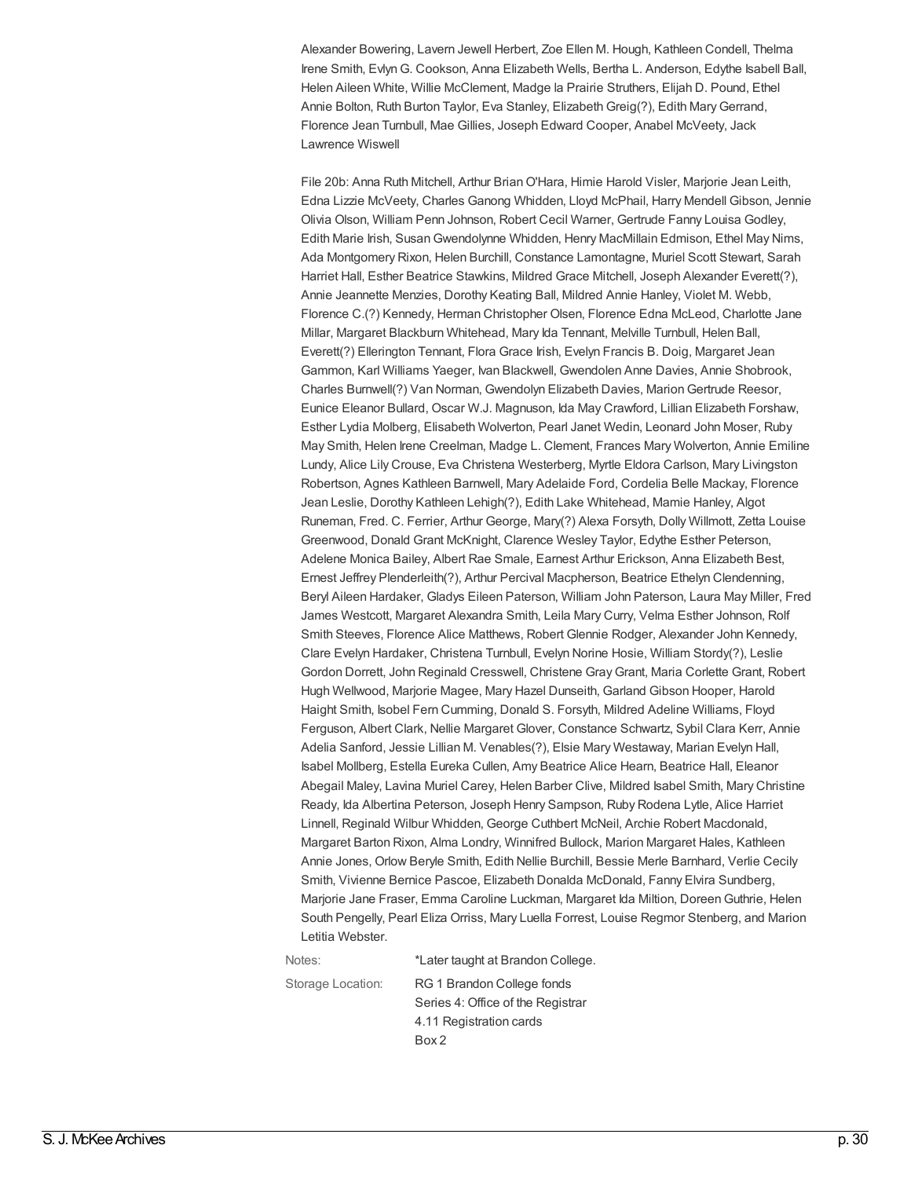Alexander Bowering, Lavern Jewell Herbert, Zoe Ellen M. Hough, Kathleen Condell, Thelma Irene Smith, EvlynG. Cookson, Anna Elizabeth Wells, Bertha L. Anderson, Edythe Isabell Ball, Helen Aileen White, Willie McClement, Madge la Prairie Struthers, Elijah D. Pound, Ethel Annie Bolton, Ruth Burton Taylor, Eva Stanley, Elizabeth Greig(?), Edith Mary Gerrand, Florence Jean Turnbull, Mae Gillies, Joseph Edward Cooper, Anabel McVeety, Jack Lawrence Wiswell

File 20b: Anna Ruth Mitchell, Arthur Brian O'Hara, Himie Harold Visler, Marjorie Jean Leith, Edna Lizzie McVeety, Charles Ganong Whidden, Lloyd McPhail, Harry Mendell Gibson, Jennie Olivia Olson, William Penn Johnson, Robert Cecil Warner, Gertrude Fanny Louisa Godley, Edith Marie Irish, SusanGwendolynne Whidden, Henry MacMillain Edmison, Ethel May Nims, Ada Montgomery Rixon, Helen Burchill, Constance Lamontagne, Muriel Scott Stewart, Sarah Harriet Hall, Esther Beatrice Stawkins, Mildred Grace Mitchell, Joseph Alexander Everett(?), Annie Jeannette Menzies, Dorothy Keating Ball, Mildred Annie Hanley, Violet M. Webb, Florence C.(?) Kennedy, Herman Christopher Olsen, Florence Edna McLeod, Charlotte Jane Millar, Margaret Blackburn Whitehead, Mary Ida Tennant, Melville Turnbull, Helen Ball, Everett(?) Ellerington Tennant, Flora Grace Irish, Evelyn Francis B. Doig, Margaret Jean Gammon, Karl Williams Yaeger, Ivan Blackwell, Gwendolen Anne Davies, Annie Shobrook, Charles Burnwell(?) Van Norman, Gwendolyn Elizabeth Davies, MarionGertrude Reesor, Eunice Eleanor Bullard, Oscar W.J. Magnuson, Ida May Crawford, Lillian Elizabeth Forshaw, Esther Lydia Molberg, Elisabeth Wolverton, Pearl Janet Wedin, Leonard John Moser, Ruby May Smith, Helen Irene Creelman, Madge L. Clement, Frances Mary Wolverton, Annie Emiline Lundy, Alice Lily Crouse, Eva Christena Westerberg, Myrtle Eldora Carlson, Mary Livingston Robertson, Agnes Kathleen Barnwell, Mary Adelaide Ford, Cordelia Belle Mackay, Florence Jean Leslie, Dorothy Kathleen Lehigh(?), Edith Lake Whitehead, Mamie Hanley, Algot Runeman, Fred. C. Ferrier, Arthur George, Mary(?) Alexa Forsyth, Dolly Willmott, Zetta Louise Greenwood, Donald Grant McKnight, Clarence Wesley Taylor, Edythe Esther Peterson, Adelene Monica Bailey, Albert Rae Smale, Earnest Arthur Erickson, Anna Elizabeth Best, Ernest Jeffrey Plenderleith(?), Arthur Percival Macpherson, Beatrice Ethelyn Clendenning, Beryl Aileen Hardaker, Gladys Eileen Paterson, William John Paterson, Laura May Miller, Fred James Westcott, Margaret Alexandra Smith, Leila Mary Curry, Velma Esther Johnson, Rolf Smith Steeves, Florence Alice Matthews, Robert Glennie Rodger, Alexander John Kennedy, Clare Evelyn Hardaker, Christena Turnbull, Evelyn Norine Hosie, William Stordy(?), Leslie Gordon Dorrett, John Reginald Cresswell, Christene GrayGrant, Maria Corlette Grant, Robert Hugh Wellwood, Marjorie Magee, Mary Hazel Dunseith, Garland Gibson Hooper, Harold Haight Smith, Isobel Fern Cumming, Donald S. Forsyth, Mildred Adeline Williams, Floyd Ferguson, Albert Clark, Nellie Margaret Glover, Constance Schwartz, Sybil Clara Kerr, Annie Adelia Sanford, Jessie Lillian M. Venables(?), Elsie Mary Westaway, Marian Evelyn Hall, Isabel Mollberg, Estella Eureka Cullen, Amy Beatrice Alice Hearn, Beatrice Hall, Eleanor Abegail Maley, Lavina Muriel Carey, Helen Barber Clive, Mildred Isabel Smith, Mary Christine Ready, Ida Albertina Peterson, Joseph Henry Sampson, Ruby Rodena Lytle, Alice Harriet Linnell, Reginald Wilbur Whidden, George Cuthbert McNeil, Archie Robert Macdonald, Margaret Barton Rixon, Alma Londry, Winnifred Bullock, Marion Margaret Hales, Kathleen Annie Jones, Orlow Beryle Smith, Edith Nellie Burchill, Bessie Merle Barnhard, Verlie Cecily Smith, Vivienne Bernice Pascoe, Elizabeth Donalda McDonald, Fanny Elvira Sundberg, Marjorie Jane Fraser, Emma Caroline Luckman, Margaret Ida Miltion, DoreenGuthrie, Helen South Pengelly, Pearl Eliza Orriss, Mary Luella Forrest, Louise Regmor Stenberg, and Marion Letitia Webster.

| Notes:            | *Later taught at Brandon College. |
|-------------------|-----------------------------------|
| Storage Location: | RG 1 Brandon College fonds        |
|                   | Series 4: Office of the Registrar |
|                   | 4.11 Registration cards           |
|                   | Box 2                             |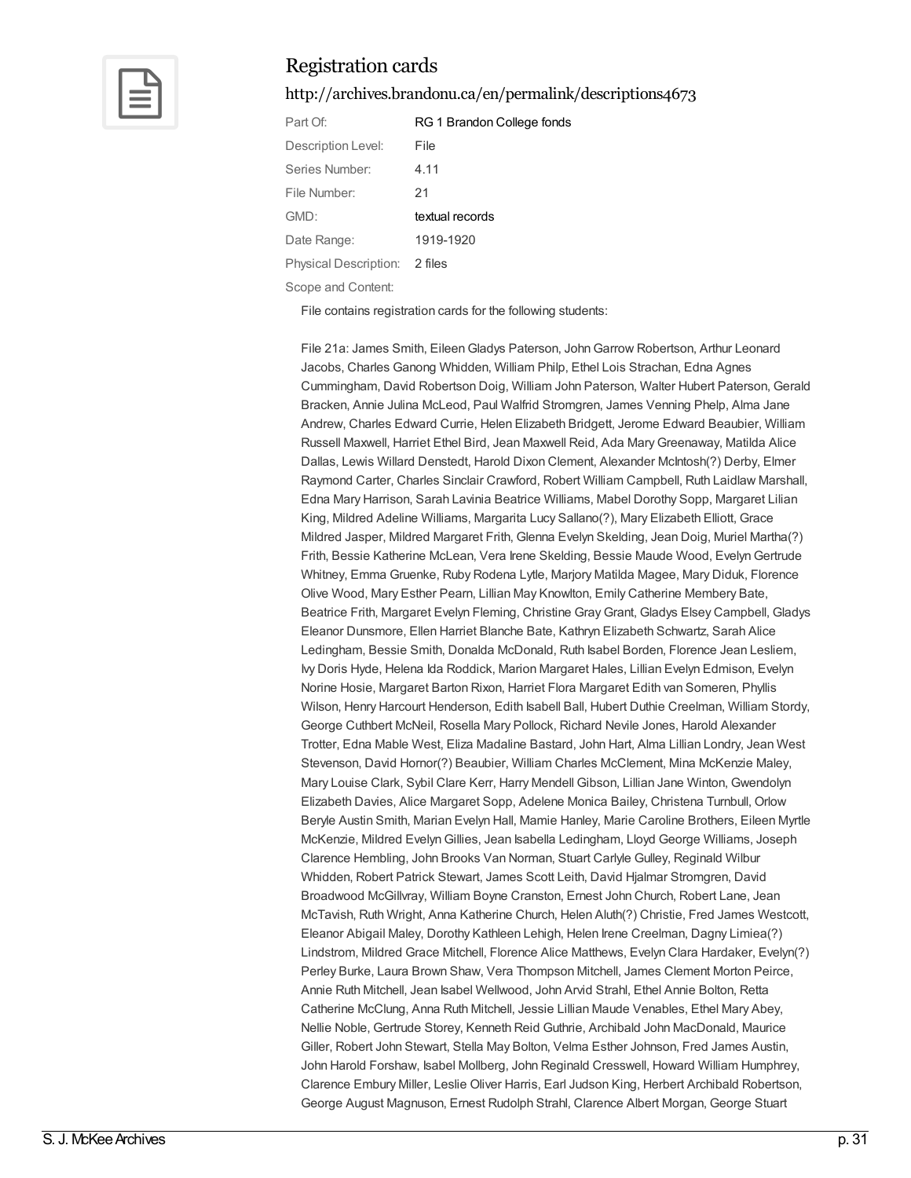

<http://archives.brandonu.ca/en/permalink/descriptions4673>

| Part Of:                      | RG 1 Brandon College fonds |
|-------------------------------|----------------------------|
| Description Level:            | File                       |
| Series Number:                | 4.11                       |
| File Number:                  | 21                         |
| GMD:                          | textual records            |
| Date Range:                   | 1919-1920                  |
| Physical Description: 2 files |                            |
| Scope and Content:            |                            |

File contains registration cards for the following students:

File 21a: James Smith, EileenGladys Paterson, JohnGarrow Robertson, Arthur Leonard Jacobs, Charles Ganong Whidden, William Philp, Ethel Lois Strachan, Edna Agnes Cummingham, David Robertson Doig, William John Paterson, Walter Hubert Paterson, Gerald Bracken, Annie Julina McLeod, Paul Walfrid Stromgren, James Venning Phelp, Alma Jane Andrew, Charles Edward Currie, Helen Elizabeth Bridgett, Jerome Edward Beaubier, William Russell Maxwell, Harriet Ethel Bird, Jean Maxwell Reid, Ada MaryGreenaway, Matilda Alice Dallas, Lewis Willard Denstedt, Harold Dixon Clement, Alexander McIntosh(?) Derby, Elmer Raymond Carter, Charles Sinclair Crawford, Robert William Campbell, Ruth Laidlaw Marshall, Edna Mary Harrison, Sarah Lavinia Beatrice Williams, Mabel Dorothy Sopp, Margaret Lilian King, Mildred Adeline Williams, Margarita Lucy Sallano(?), Mary Elizabeth Elliott, Grace Mildred Jasper, Mildred Margaret Frith, Glenna Evelyn Skelding, Jean Doig, Muriel Martha(?) Frith, Bessie Katherine McLean, Vera Irene Skelding, Bessie Maude Wood, EvelynGertrude Whitney, Emma Gruenke, Ruby Rodena Lytle, Marjory Matilda Magee, Mary Diduk, Florence Olive Wood, Mary Esther Pearn, Lillian May Knowlton, Emily Catherine Membery Bate, Beatrice Frith, Margaret Evelyn Fleming, Christine GrayGrant, Gladys Elsey Campbell, Gladys Eleanor Dunsmore, Ellen Harriet Blanche Bate, Kathryn Elizabeth Schwartz, Sarah Alice Ledingham, Bessie Smith, Donalda McDonald, Ruth Isabel Borden, Florence Jean Lesliem, Ivy Doris Hyde, Helena Ida Roddick, Marion Margaret Hales, Lillian Evelyn Edmison, Evelyn Norine Hosie, Margaret Barton Rixon, Harriet Flora Margaret Edith van Someren, Phyllis Wilson, Henry Harcourt Henderson, Edith Isabell Ball, Hubert Duthie Creelman, William Stordy, George Cuthbert McNeil, Rosella Mary Pollock, Richard Nevile Jones, Harold Alexander Trotter, Edna Mable West, Eliza Madaline Bastard, John Hart, Alma Lillian Londry, Jean West Stevenson, David Hornor(?) Beaubier, William Charles McClement, Mina McKenzie Maley, Mary Louise Clark, Sybil Clare Kerr, Harry Mendell Gibson, Lillian Jane Winton, Gwendolyn Elizabeth Davies, Alice Margaret Sopp, Adelene Monica Bailey, Christena Turnbull, Orlow Beryle Austin Smith, Marian Evelyn Hall, Mamie Hanley, Marie Caroline Brothers, Eileen Myrtle McKenzie, Mildred EvelynGillies, Jean Isabella Ledingham, Lloyd George Williams, Joseph Clarence Hembling, John Brooks Van Norman, Stuart Carlyle Gulley, Reginald Wilbur Whidden, Robert Patrick Stewart, James Scott Leith, David Hjalmar Stromgren, David Broadwood McGillvray, William Boyne Cranston, Ernest John Church, Robert Lane, Jean McTavish, Ruth Wright, Anna Katherine Church, Helen Aluth(?) Christie, Fred James Westcott, Eleanor Abigail Maley, Dorothy Kathleen Lehigh, Helen Irene Creelman, Dagny Limiea(?) Lindstrom, Mildred Grace Mitchell, Florence Alice Matthews, Evelyn Clara Hardaker, Evelyn(?) Perley Burke, Laura Brown Shaw, Vera Thompson Mitchell, James Clement Morton Peirce, Annie Ruth Mitchell, Jean Isabel Wellwood, John Arvid Strahl, Ethel Annie Bolton, Retta Catherine McClung, Anna Ruth Mitchell, Jessie Lillian Maude Venables, Ethel Mary Abey, Nellie Noble, Gertrude Storey, Kenneth Reid Guthrie, Archibald John MacDonald, Maurice Giller, Robert John Stewart, Stella May Bolton, Velma Esther Johnson, Fred James Austin, John Harold Forshaw, Isabel Mollberg, John Reginald Cresswell, Howard William Humphrey, Clarence Embury Miller, Leslie Oliver Harris, Earl Judson King, Herbert Archibald Robertson, George August Magnuson, Ernest Rudolph Strahl, Clarence Albert Morgan, George Stuart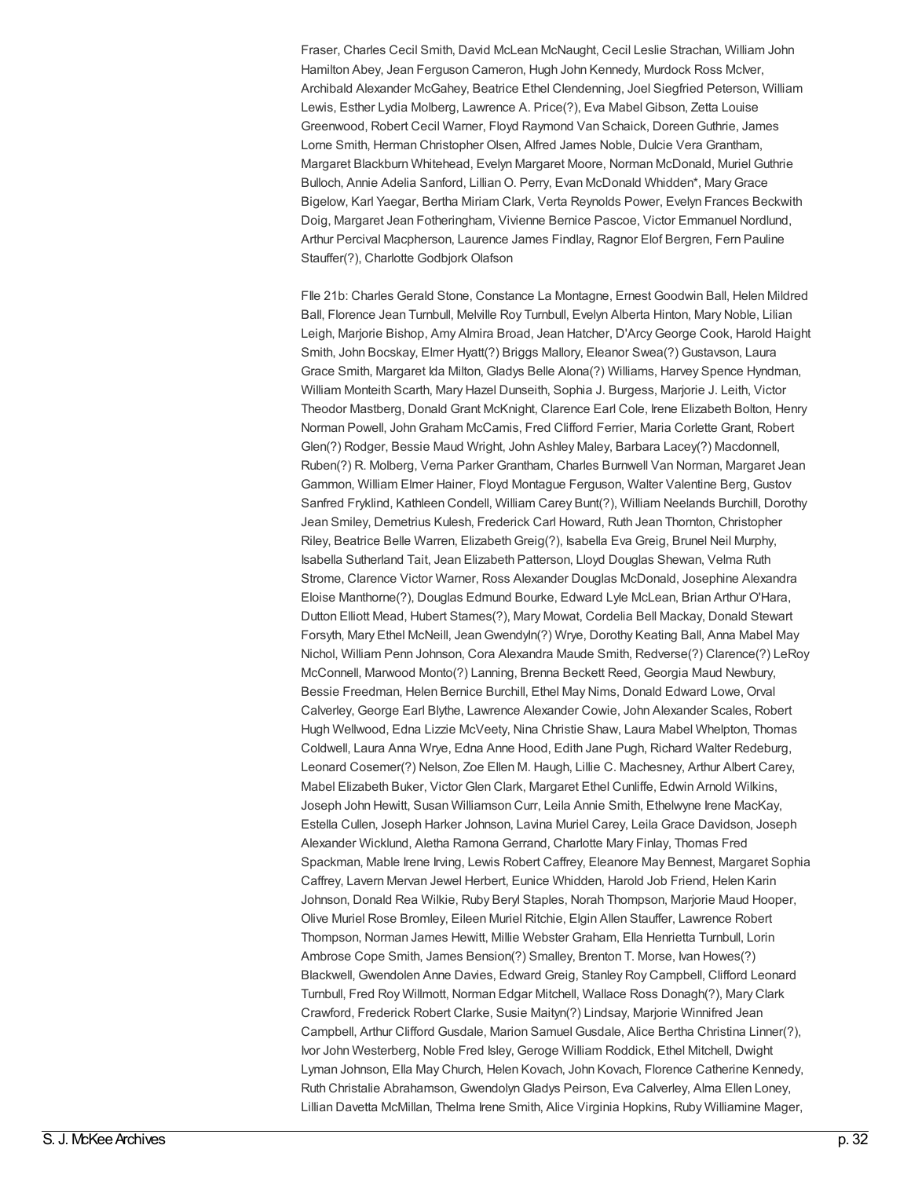Fraser, Charles Cecil Smith, David McLean McNaught, Cecil Leslie Strachan, William John Hamilton Abey, Jean Ferguson Cameron, Hugh John Kennedy, Murdock Ross McIver, Archibald Alexander McGahey, Beatrice Ethel Clendenning, Joel Siegfried Peterson, William Lewis, Esther Lydia Molberg, Lawrence A. Price(?), Eva Mabel Gibson, Zetta Louise Greenwood, Robert Cecil Warner, Floyd Raymond Van Schaick, DoreenGuthrie, James Lorne Smith, Herman Christopher Olsen, Alfred James Noble, Dulcie Vera Grantham, Margaret Blackburn Whitehead, Evelyn Margaret Moore, Norman McDonald, Muriel Guthrie Bulloch, Annie Adelia Sanford, Lillian O. Perry, Evan McDonald Whidden\*, Mary Grace Bigelow, Karl Yaegar, Bertha Miriam Clark, Verta Reynolds Power, Evelyn Frances Beckwith Doig, Margaret Jean Fotheringham, Vivienne Bernice Pascoe, Victor Emmanuel Nordlund, Arthur Percival Macpherson, Laurence James Findlay, Ragnor Elof Bergren, Fern Pauline Stauffer(?), Charlotte Godbjork Olafson

FIle 21b: Charles Gerald Stone, Constance La Montagne, Ernest Goodwin Ball, Helen Mildred Ball, Florence Jean Turnbull, Melville Roy Turnbull, Evelyn Alberta Hinton, Mary Noble, Lilian Leigh, Marjorie Bishop, Amy Almira Broad, Jean Hatcher, D'ArcyGeorge Cook, Harold Haight Smith, John Bocskay, Elmer Hyatt(?) Briggs Mallory, Eleanor Swea(?) Gustavson, Laura Grace Smith, Margaret Ida Milton, Gladys Belle Alona(?) Williams, Harvey Spence Hyndman, William Monteith Scarth, Mary Hazel Dunseith, Sophia J. Burgess, Marjorie J. Leith, Victor Theodor Mastberg, Donald Grant McKnight, Clarence Earl Cole, Irene Elizabeth Bolton, Henry Norman Powell, JohnGraham McCamis, Fred Clifford Ferrier, Maria Corlette Grant, Robert Glen(?) Rodger, Bessie Maud Wright, John Ashley Maley, Barbara Lacey(?) Macdonnell, Ruben(?) R. Molberg, Verna Parker Grantham, Charles Burnwell Van Norman, Margaret Jean Gammon, William Elmer Hainer, Floyd Montague Ferguson, Walter Valentine Berg, Gustov Sanfred Fryklind, Kathleen Condell, William Carey Bunt(?), William Neelands Burchill, Dorothy Jean Smiley, Demetrius Kulesh, Frederick Carl Howard, Ruth Jean Thornton, Christopher Riley, Beatrice Belle Warren, Elizabeth Greig(?), Isabella Eva Greig, Brunel Neil Murphy, Isabella Sutherland Tait, Jean Elizabeth Patterson, Lloyd Douglas Shewan, Velma Ruth Strome, Clarence Victor Warner, Ross Alexander Douglas McDonald, Josephine Alexandra Eloise Manthorne(?), Douglas Edmund Bourke, Edward Lyle McLean, Brian Arthur O'Hara, Dutton Elliott Mead, Hubert Stames(?), Mary Mowat, Cordelia Bell Mackay, Donald Stewart Forsyth, Mary Ethel McNeill, JeanGwendyln(?) Wrye, Dorothy Keating Ball, Anna Mabel May Nichol, William Penn Johnson, Cora Alexandra Maude Smith, Redverse(?) Clarence(?) LeRoy McConnell, Marwood Monto(?) Lanning, Brenna Beckett Reed, Georgia Maud Newbury, Bessie Freedman, Helen Bernice Burchill, Ethel May Nims, Donald Edward Lowe, Orval Calverley, George Earl Blythe, Lawrence Alexander Cowie, John Alexander Scales, Robert Hugh Wellwood, Edna Lizzie McVeety, Nina Christie Shaw, Laura Mabel Whelpton, Thomas Coldwell, Laura Anna Wrye, Edna Anne Hood, Edith Jane Pugh, Richard Walter Redeburg, Leonard Cosemer(?) Nelson, Zoe Ellen M. Haugh, Lillie C. Machesney, Arthur Albert Carey, Mabel Elizabeth Buker, Victor Glen Clark, Margaret Ethel Cunliffe, Edwin Arnold Wilkins, Joseph John Hewitt, Susan Williamson Curr, Leila Annie Smith, Ethelwyne Irene MacKay, Estella Cullen, Joseph Harker Johnson, Lavina Muriel Carey, Leila Grace Davidson, Joseph Alexander Wicklund, Aletha Ramona Gerrand, Charlotte Mary Finlay, Thomas Fred Spackman, Mable Irene Irving, Lewis Robert Caffrey, Eleanore May Bennest, Margaret Sophia Caffrey, Lavern Mervan Jewel Herbert, Eunice Whidden, Harold Job Friend, Helen Karin Johnson, Donald Rea Wilkie, Ruby Beryl Staples, Norah Thompson, Marjorie Maud Hooper, Olive Muriel Rose Bromley, Eileen Muriel Ritchie, Elgin Allen Stauffer, Lawrence Robert Thompson, Norman James Hewitt, Millie Webster Graham, Ella Henrietta Turnbull, Lorin Ambrose Cope Smith, James Bension(?) Smalley, Brenton T. Morse, Ivan Howes(?) Blackwell, Gwendolen Anne Davies, Edward Greig, Stanley Roy Campbell, Clifford Leonard Turnbull, Fred Roy Willmott, Norman Edgar Mitchell, Wallace Ross Donagh(?), Mary Clark Crawford, Frederick Robert Clarke, Susie Maityn(?) Lindsay, Marjorie Winnifred Jean Campbell, Arthur Clifford Gusdale, Marion Samuel Gusdale, Alice Bertha Christina Linner(?), Ivor John Westerberg, Noble Fred Isley, Geroge William Roddick, Ethel Mitchell, Dwight Lyman Johnson, Ella May Church, Helen Kovach, John Kovach, Florence Catherine Kennedy, Ruth Christalie Abrahamson, GwendolynGladys Peirson, Eva Calverley, Alma Ellen Loney, Lillian Davetta McMillan, Thelma Irene Smith, Alice Virginia Hopkins, Ruby Williamine Mager,